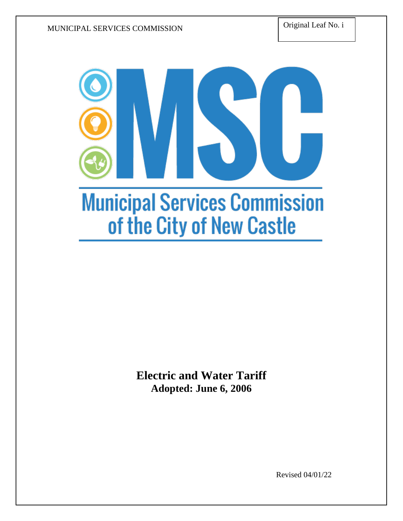Original Leaf No. i



**Electric and Water Tariff Adopted: June 6, 2006**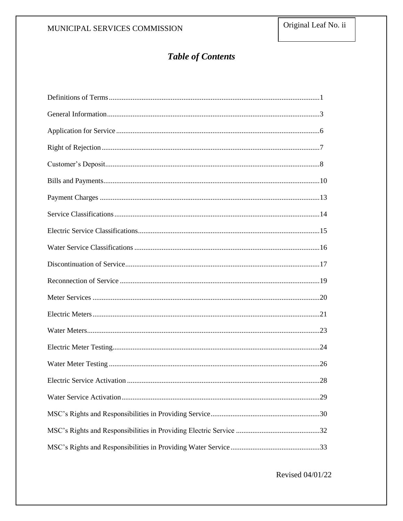# **Table of Contents**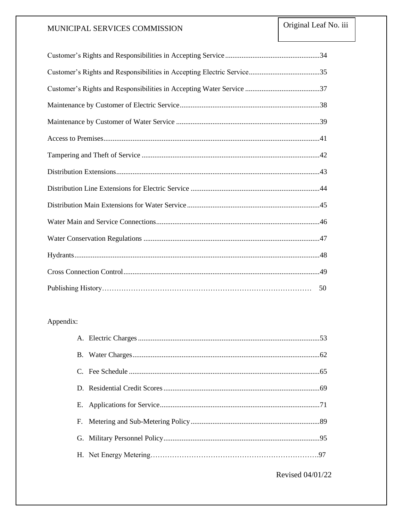| 50 |
|----|

# Appendix: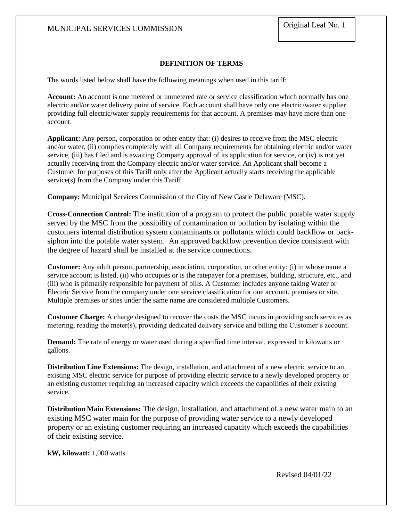# **DEFINITION OF TERMS**

The words listed below shall have the following meanings when used in this tariff:

**Account:** An account is one metered or unmetered rate or service classification which normally has one electric and/or water delivery point of service. Each account shall have only one electric/water supplier providing full electric/water supply requirements for that account. A premises may have more than one account.

**Applicant:** Any person, corporation or other entity that: (i) desires to receive from the MSC electric and/or water, (ii) complies completely with all Company requirements for obtaining electric and/or water service, (iii) has filed and is awaiting Company approval of its application for service, or (iv) is not yet actually receiving from the Company electric and/or water service. An Applicant shall become a Customer for purposes of this Tariff only after the Applicant actually starts receiving the applicable service(s) from the Company under this Tariff.

**Company:** Municipal Services Commission of the City of New Castle Delaware (MSC).

**Cross-Connection Control:** The institution of a program to protect the public potable water supply served by the MSC from the possibility of contamination or pollution by isolating within the customers internal distribution system contaminants or pollutants which could backflow or backsiphon into the potable water system. An approved backflow prevention device consistent with the degree of hazard shall be installed at the service connections.

**Customer:** Any adult person, partnership, association, corporation, or other entity: (i) in whose name a service account is listed, (ii) who occupies or is the ratepayer for a premises, building, structure, etc., and (iii) who is primarily responsible for payment of bills. A Customer includes anyone taking Water or Electric Service from the company under one service classification for one account, premises or site. Multiple premises or sites under the same name are considered multiple Customers.

**Customer Charge:** A charge designed to recover the costs the MSC incurs in providing such services as metering, reading the meter(s), providing dedicated delivery service and billing the Customer's account.

**Demand:** The rate of energy or water used during a specified time interval, expressed in kilowatts or gallons.

**Distribution Line Extensions:** The design, installation, and attachment of a new electric service to an existing MSC electric service for purpose of providing electric service to a newly developed property or an existing customer requiring an increased capacity which exceeds the capabilities of their existing service.

**Distribution Main Extensions:** The design, installation, and attachment of a new water main to an existing MSC water main for the purpose of providing water service to a newly developed property or an existing customer requiring an increased capacity which exceeds the capabilities of their existing service.

**kW, kilowatt:** 1,000 watts.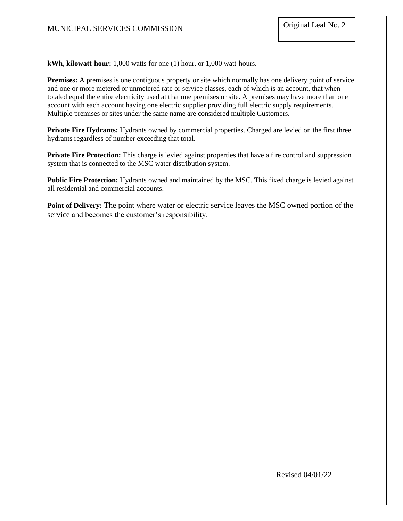**kWh, kilowatt-hour:** 1,000 watts for one (1) hour, or 1,000 watt-hours.

**Premises:** A premises is one contiguous property or site which normally has one delivery point of service and one or more metered or unmetered rate or service classes, each of which is an account, that when totaled equal the entire electricity used at that one premises or site. A premises may have more than one account with each account having one electric supplier providing full electric supply requirements. Multiple premises or sites under the same name are considered multiple Customers.

**Private Fire Hydrants:** Hydrants owned by commercial properties. Charged are levied on the first three hydrants regardless of number exceeding that total.

**Private Fire Protection:** This charge is levied against properties that have a fire control and suppression system that is connected to the MSC water distribution system.

**Public Fire Protection:** Hydrants owned and maintained by the MSC. This fixed charge is levied against all residential and commercial accounts.

**Point of Delivery:** The point where water or electric service leaves the MSC owned portion of the service and becomes the customer's responsibility.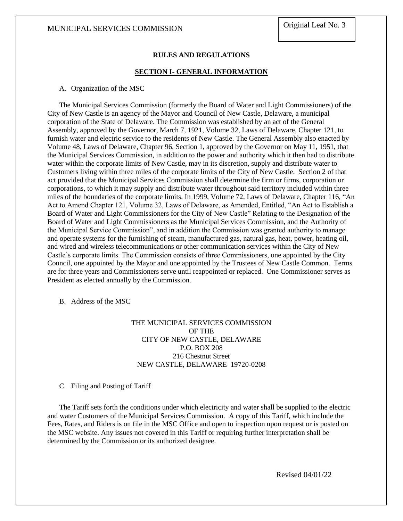#### **RULES AND REGULATIONS**

#### **SECTION I- GENERAL INFORMATION**

#### A. Organization of the MSC

The Municipal Services Commission (formerly the Board of Water and Light Commissioners) of the City of New Castle is an agency of the Mayor and Council of New Castle, Delaware, a municipal corporation of the State of Delaware. The Commission was established by an act of the General Assembly, approved by the Governor, March 7, 1921, Volume 32, Laws of Delaware, Chapter 121, to furnish water and electric service to the residents of New Castle. The General Assembly also enacted by Volume 48, Laws of Delaware, Chapter 96, Section 1, approved by the Governor on May 11, 1951, that the Municipal Services Commission, in addition to the power and authority which it then had to distribute water within the corporate limits of New Castle, may in its discretion, supply and distribute water to Customers living within three miles of the corporate limits of the City of New Castle. Section 2 of that act provided that the Municipal Services Commission shall determine the firm or firms, corporation or corporations, to which it may supply and distribute water throughout said territory included within three miles of the boundaries of the corporate limits. In 1999, Volume 72, Laws of Delaware, Chapter 116, "An Act to Amend Chapter 121, Volume 32, Laws of Delaware, as Amended, Entitled, "An Act to Establish a Board of Water and Light Commissioners for the City of New Castle" Relating to the Designation of the Board of Water and Light Commissioners as the Municipal Services Commission, and the Authority of the Municipal Service Commission", and in addition the Commission was granted authority to manage and operate systems for the furnishing of steam, manufactured gas, natural gas, heat, power, heating oil, and wired and wireless telecommunications or other communication services within the City of New Castle's corporate limits. The Commission consists of three Commissioners, one appointed by the City Council, one appointed by the Mayor and one appointed by the Trustees of New Castle Common. Terms are for three years and Commissioners serve until reappointed or replaced. One Commissioner serves as President as elected annually by the Commission.

B. Address of the MSC

# THE MUNICIPAL SERVICES COMMISSION OF THE CITY OF NEW CASTLE, DELAWARE P.O. BOX 208 216 Chestnut Street NEW CASTLE, DELAWARE 19720-0208

C. Filing and Posting of Tariff

The Tariff sets forth the conditions under which electricity and water shall be supplied to the electric and water Customers of the Municipal Services Commission. A copy of this Tariff, which include the Fees, Rates, and Riders is on file in the MSC Office and open to inspection upon request or is posted on the MSC website. Any issues not covered in this Tariff or requiring further interpretation shall be determined by the Commission or its authorized designee.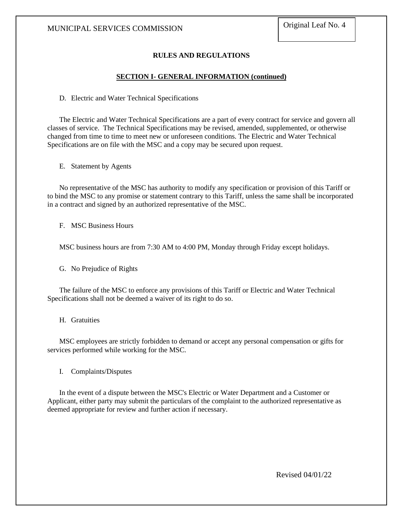# **RULES AND REGULATIONS**

### **SECTION I- GENERAL INFORMATION (continued)**

D. Electric and Water Technical Specifications

The Electric and Water Technical Specifications are a part of every contract for service and govern all classes of service. The Technical Specifications may be revised, amended, supplemented, or otherwise changed from time to time to meet new or unforeseen conditions. The Electric and Water Technical Specifications are on file with the MSC and a copy may be secured upon request.

E. Statement by Agents

No representative of the MSC has authority to modify any specification or provision of this Tariff or to bind the MSC to any promise or statement contrary to this Tariff, unless the same shall be incorporated in a contract and signed by an authorized representative of the MSC.

F. MSC Business Hours

MSC business hours are from 7:30 AM to 4:00 PM, Monday through Friday except holidays.

G. No Prejudice of Rights

The failure of the MSC to enforce any provisions of this Tariff or Electric and Water Technical Specifications shall not be deemed a waiver of its right to do so.

H. Gratuities

MSC employees are strictly forbidden to demand or accept any personal compensation or gifts for services performed while working for the MSC.

I. Complaints/Disputes

In the event of a dispute between the MSC's Electric or Water Department and a Customer or Applicant, either party may submit the particulars of the complaint to the authorized representative as deemed appropriate for review and further action if necessary.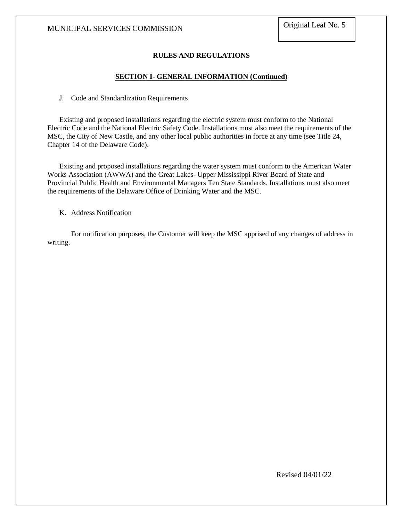# **RULES AND REGULATIONS**

# **SECTION I- GENERAL INFORMATION (Continued)**

J. Code and Standardization Requirements

Existing and proposed installations regarding the electric system must conform to the National Electric Code and the National Electric Safety Code. Installations must also meet the requirements of the MSC, the City of New Castle, and any other local public authorities in force at any time (see Title 24, Chapter 14 of the Delaware Code).

Existing and proposed installations regarding the water system must conform to the American Water Works Association (AWWA) and the Great Lakes- Upper Mississippi River Board of State and Provincial Public Health and Environmental Managers Ten State Standards. Installations must also meet the requirements of the Delaware Office of Drinking Water and the MSC.

K. Address Notification

For notification purposes, the Customer will keep the MSC apprised of any changes of address in writing.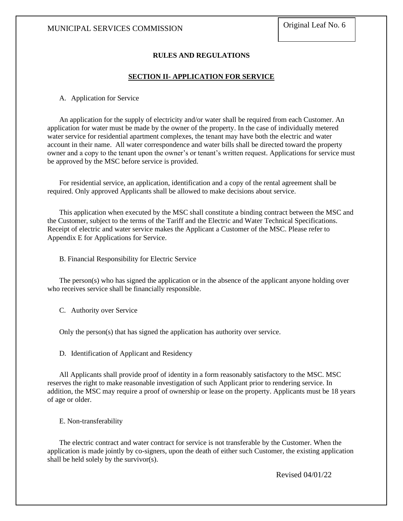# **RULES AND REGULATIONS**

#### **SECTION II- APPLICATION FOR SERVICE**

A. Application for Service

An application for the supply of electricity and/or water shall be required from each Customer. An application for water must be made by the owner of the property. In the case of individually metered water service for residential apartment complexes, the tenant may have both the electric and water account in their name. All water correspondence and water bills shall be directed toward the property owner and a copy to the tenant upon the owner's or tenant's written request. Applications for service must be approved by the MSC before service is provided.

For residential service, an application, identification and a copy of the rental agreement shall be required. Only approved Applicants shall be allowed to make decisions about service.

This application when executed by the MSC shall constitute a binding contract between the MSC and the Customer, subject to the terms of the Tariff and the Electric and Water Technical Specifications. Receipt of electric and water service makes the Applicant a Customer of the MSC. Please refer to Appendix E for Applications for Service.

B. Financial Responsibility for Electric Service

The person(s) who has signed the application or in the absence of the applicant anyone holding over who receives service shall be financially responsible.

C. Authority over Service

Only the person(s) that has signed the application has authority over service.

D. Identification of Applicant and Residency

All Applicants shall provide proof of identity in a form reasonably satisfactory to the MSC. MSC reserves the right to make reasonable investigation of such Applicant prior to rendering service. In addition, the MSC may require a proof of ownership or lease on the property. Applicants must be 18 years of age or older.

E. Non-transferability

The electric contract and water contract for service is not transferable by the Customer. When the application is made jointly by co-signers, upon the death of either such Customer, the existing application shall be held solely by the survivor(s).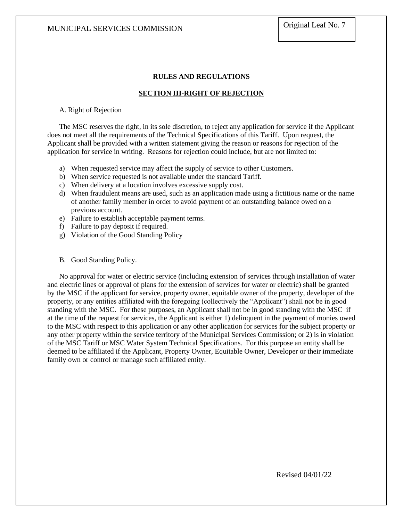# **RULES AND REGULATIONS**

# **SECTION III-RIGHT OF REJECTION**

# A. Right of Rejection

The MSC reserves the right, in its sole discretion, to reject any application for service if the Applicant does not meet all the requirements of the Technical Specifications of this Tariff. Upon request, the Applicant shall be provided with a written statement giving the reason or reasons for rejection of the application for service in writing. Reasons for rejection could include, but are not limited to:

- a) When requested service may affect the supply of service to other Customers.
- b) When service requested is not available under the standard Tariff.
- c) When delivery at a location involves excessive supply cost.
- d) When fraudulent means are used, such as an application made using a fictitious name or the name of another family member in order to avoid payment of an outstanding balance owed on a previous account.
- e) Failure to establish acceptable payment terms.
- f) Failure to pay deposit if required.
- g) Violation of the Good Standing Policy

### B. Good Standing Policy.

No approval for water or electric service (including extension of services through installation of water and electric lines or approval of plans for the extension of services for water or electric) shall be granted by the MSC if the applicant for service, property owner, equitable owner of the property, developer of the property, or any entities affiliated with the foregoing (collectively the "Applicant") shall not be in good standing with the MSC. For these purposes, an Applicant shall not be in good standing with the MSC if at the time of the request for services, the Applicant is either 1) delinquent in the payment of monies owed to the MSC with respect to this application or any other application for services for the subject property or any other property within the service territory of the Municipal Services Commission; or 2) is in violation of the MSC Tariff or MSC Water System Technical Specifications. For this purpose an entity shall be deemed to be affiliated if the Applicant, Property Owner, Equitable Owner, Developer or their immediate family own or control or manage such affiliated entity.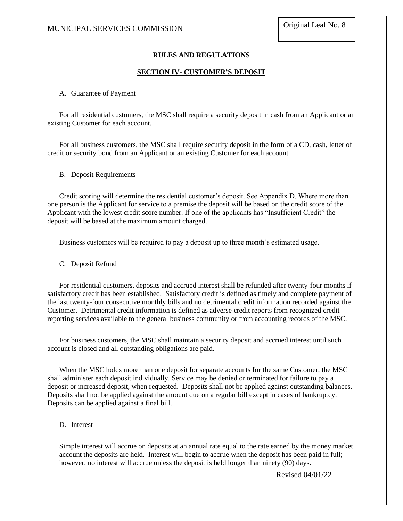# **RULES AND REGULATIONS**

# **SECTION IV- CUSTOMER'S DEPOSIT**

#### A. Guarantee of Payment

For all residential customers, the MSC shall require a security deposit in cash from an Applicant or an existing Customer for each account.

For all business customers, the MSC shall require security deposit in the form of a CD, cash, letter of credit or security bond from an Applicant or an existing Customer for each account

#### B. Deposit Requirements

Credit scoring will determine the residential customer's deposit. See Appendix D. Where more than one person is the Applicant for service to a premise the deposit will be based on the credit score of the Applicant with the lowest credit score number. If one of the applicants has "Insufficient Credit" the deposit will be based at the maximum amount charged.

Business customers will be required to pay a deposit up to three month's estimated usage.

C. Deposit Refund

For residential customers, deposits and accrued interest shall be refunded after twenty-four months if satisfactory credit has been established. Satisfactory credit is defined as timely and complete payment of the last twenty-four consecutive monthly bills and no detrimental credit information recorded against the Customer. Detrimental credit information is defined as adverse credit reports from recognized credit reporting services available to the general business community or from accounting records of the MSC.

For business customers, the MSC shall maintain a security deposit and accrued interest until such account is closed and all outstanding obligations are paid.

When the MSC holds more than one deposit for separate accounts for the same Customer, the MSC shall administer each deposit individually. Service may be denied or terminated for failure to pay a deposit or increased deposit, when requested. Deposits shall not be applied against outstanding balances. Deposits shall not be applied against the amount due on a regular bill except in cases of bankruptcy. Deposits can be applied against a final bill.

# D. Interest

Simple interest will accrue on deposits at an annual rate equal to the rate earned by the money market account the deposits are held. Interest will begin to accrue when the deposit has been paid in full; however, no interest will accrue unless the deposit is held longer than ninety (90) days.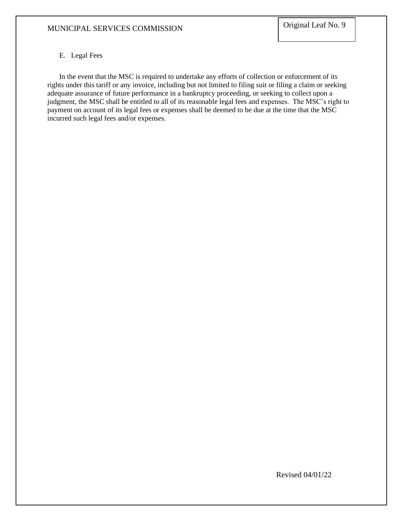# E. Legal Fees

In the event that the MSC is required to undertake any efforts of collection or enforcement of its rights under this tariff or any invoice, including but not limited to filing suit or filing a claim or seeking adequate assurance of future performance in a bankruptcy proceeding, or seeking to collect upon a judgment, the MSC shall be entitled to all of its reasonable legal fees and expenses. The MSC's right to payment on account of its legal fees or expenses shall be deemed to be due at the time that the MSC incurred such legal fees and/or expenses.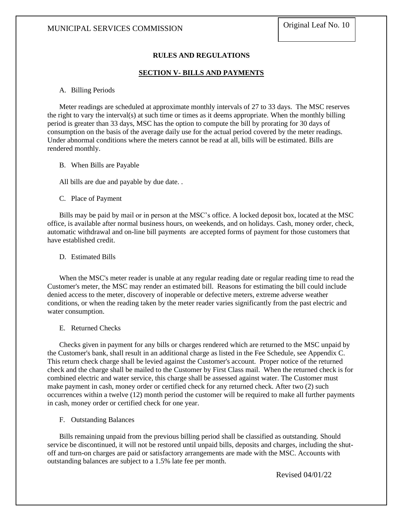# **RULES AND REGULATIONS**

#### **SECTION V- BILLS AND PAYMENTS**

#### A. Billing Periods

Meter readings are scheduled at approximate monthly intervals of 27 to 33 days. The MSC reserves the right to vary the interval(s) at such time or times as it deems appropriate. When the monthly billing period is greater than 33 days, MSC has the option to compute the bill by prorating for 30 days of consumption on the basis of the average daily use for the actual period covered by the meter readings. Under abnormal conditions where the meters cannot be read at all, bills will be estimated. Bills are rendered monthly.

#### B. When Bills are Payable

All bills are due and payable by due date...

#### C. Place of Payment

Bills may be paid by mail or in person at the MSC's office. A locked deposit box, located at the MSC office, is available after normal business hours, on weekends, and on holidays. Cash, money order, check, automatic withdrawal and on-line bill payments are accepted forms of payment for those customers that have established credit.

### D. Estimated Bills

When the MSC's meter reader is unable at any regular reading date or regular reading time to read the Customer's meter, the MSC may render an estimated bill. Reasons for estimating the bill could include denied access to the meter, discovery of inoperable or defective meters, extreme adverse weather conditions, or when the reading taken by the meter reader varies significantly from the past electric and water consumption.

#### E. Returned Checks

Checks given in payment for any bills or charges rendered which are returned to the MSC unpaid by the Customer's bank, shall result in an additional charge as listed in the Fee Schedule, see Appendix C. This return check charge shall be levied against the Customer's account. Proper notice of the returned check and the charge shall be mailed to the Customer by First Class mail. When the returned check is for combined electric and water service, this charge shall be assessed against water. The Customer must make payment in cash, money order or certified check for any returned check. After two (2) such occurrences within a twelve (12) month period the customer will be required to make all further payments in cash, money order or certified check for one year.

#### F. Outstanding Balances

Bills remaining unpaid from the previous billing period shall be classified as outstanding. Should service be discontinued, it will not be restored until unpaid bills, deposits and charges, including the shutoff and turn-on charges are paid or satisfactory arrangements are made with the MSC. Accounts with outstanding balances are subject to a 1.5% late fee per month.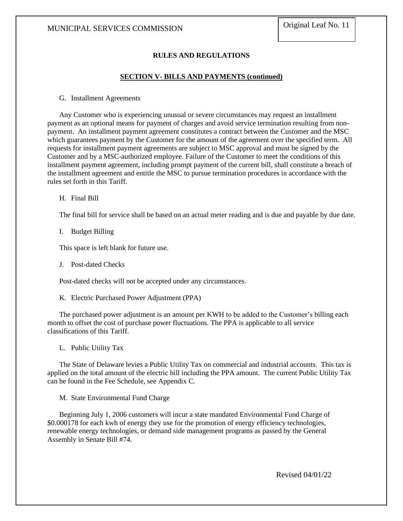# **RULES AND REGULATIONS**

#### **SECTION V- BILLS AND PAYMENTS (continued)**

G. Installment Agreements

Any Customer who is experiencing unusual or severe circumstances may request an installment payment as an optional means for payment of charges and avoid service termination resulting from nonpayment. An installment payment agreement constitutes a contract between the Customer and the MSC which guarantees payment by the Customer for the amount of the agreement over the specified term. All requests for installment payment agreements are subject to MSC approval and must be signed by the Customer and by a MSC-authorized employee. Failure of the Customer to meet the conditions of this installment payment agreement, including prompt payment of the current bill, shall constitute a breach of the installment agreement and entitle the MSC to pursue termination procedures in accordance with the rules set forth in this Tariff.

H. Final Bill

The final bill for service shall be based on an actual meter reading and is due and payable by due date.

I. Budget Billing

This space is left blank for future use.

J. Post-dated Checks

Post-dated checks will not be accepted under any circumstances.

K. Electric Purchased Power Adjustment (PPA)

The purchased power adjustment is an amount per KWH to be added to the Customer's billing each month to offset the cost of purchase power fluctuations. The PPA is applicable to all service classifications of this Tariff.

L. Public Utility Tax

The State of Delaware levies a Public Utility Tax on commercial and industrial accounts. This tax is applied on the total amount of the electric bill including the PPA amount. The current Public Utility Tax can be found in the Fee Schedule, see Appendix C.

M. State Environmental Fund Charge

Beginning July 1, 2006 customers will incur a state mandated Environmental Fund Charge of \$0.000178 for each kwh of energy they use for the promotion of energy efficiency technologies, renewable energy technologies, or demand side management programs as passed by the General Assembly in Senate Bill #74.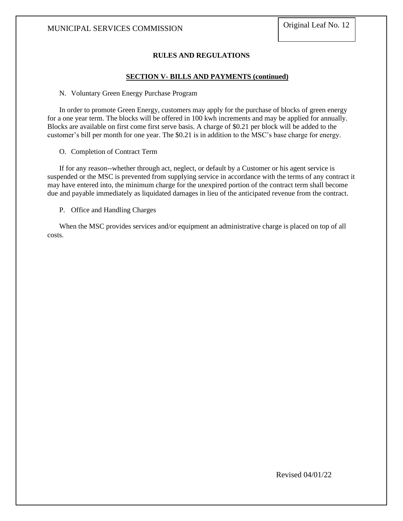# **RULES AND REGULATIONS**

### **SECTION V- BILLS AND PAYMENTS (continued)**

#### N. Voluntary Green Energy Purchase Program

In order to promote Green Energy, customers may apply for the purchase of blocks of green energy for a one year term. The blocks will be offered in 100 kwh increments and may be applied for annually. Blocks are available on first come first serve basis. A charge of \$0.21 per block will be added to the customer's bill per month for one year. The \$0.21 is in addition to the MSC's base charge for energy.

O. Completion of Contract Term

If for any reason--whether through act, neglect, or default by a Customer or his agent service is suspended or the MSC is prevented from supplying service in accordance with the terms of any contract it may have entered into, the minimum charge for the unexpired portion of the contract term shall become due and payable immediately as liquidated damages in lieu of the anticipated revenue from the contract.

P. Office and Handling Charges

When the MSC provides services and/or equipment an administrative charge is placed on top of all costs.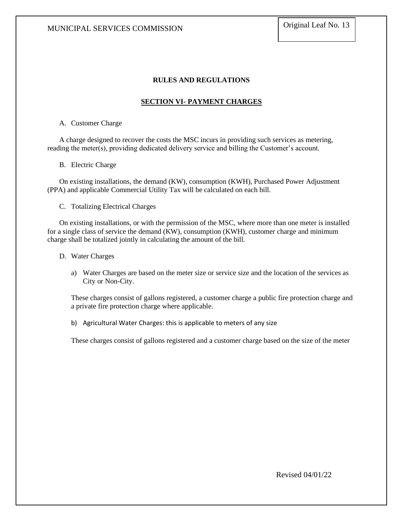# **RULES AND REGULATIONS**

# **SECTION VI- PAYMENT CHARGES**

### A. Customer Charge

A charge designed to recover the costs the MSC incurs in providing such services as metering, reading the meter(s), providing dedicated delivery service and billing the Customer's account.

### B. Electric Charge

On existing installations, the demand (KW), consumption (KWH), Purchased Power Adjustment (PPA) and applicable Commercial Utility Tax will be calculated on each bill.

C. Totalizing Electrical Charges

On existing installations, or with the permission of the MSC, where more than one meter is installed for a single class of service the demand (KW), consumption (KWH), customer charge and minimum charge shall be totalized jointly in calculating the amount of the bill.

#### D. Water Charges

a) Water Charges are based on the meter size or service size and the location of the services as City or Non-City.

These charges consist of gallons registered, a customer charge a public fire protection charge and a private fire protection charge where applicable.

b) Agricultural Water Charges: this is applicable to meters of any size

These charges consist of gallons registered and a customer charge based on the size of the meter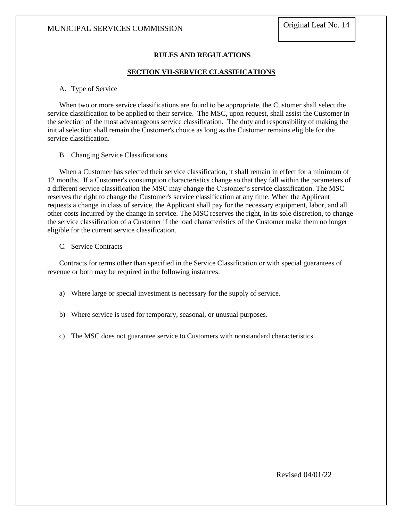# **RULES AND REGULATIONS**

# **SECTION VII-SERVICE CLASSIFICATIONS**

#### A. Type of Service

When two or more service classifications are found to be appropriate, the Customer shall select the service classification to be applied to their service. The MSC, upon request, shall assist the Customer in the selection of the most advantageous service classification. The duty and responsibility of making the initial selection shall remain the Customer's choice as long as the Customer remains eligible for the service classification.

#### B. Changing Service Classifications

When a Customer has selected their service classification, it shall remain in effect for a minimum of 12 months. If a Customer's consumption characteristics change so that they fall within the parameters of a different service classification the MSC may change the Customer's service classification. The MSC reserves the right to change the Customer's service classification at any time. When the Applicant requests a change in class of service, the Applicant shall pay for the necessary equipment, labor, and all other costs incurred by the change in service. The MSC reserves the right, in its sole discretion, to change the service classification of a Customer if the load characteristics of the Customer make them no longer eligible for the current service classification.

#### C. Service Contracts

Contracts for terms other than specified in the Service Classification or with special guarantees of revenue or both may be required in the following instances.

- a) Where large or special investment is necessary for the supply of service.
- b) Where service is used for temporary, seasonal, or unusual purposes.
- c) The MSC does not guarantee service to Customers with nonstandard characteristics.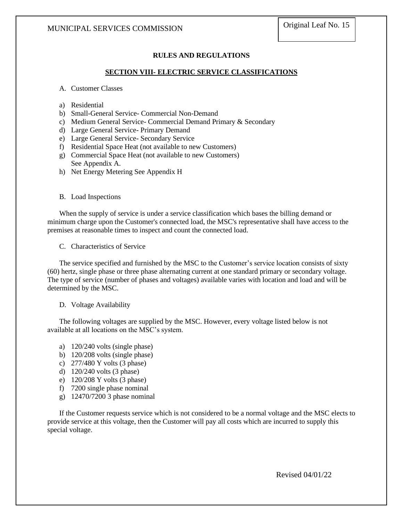# **RULES AND REGULATIONS**

# **SECTION VIII- ELECTRIC SERVICE CLASSIFICATIONS**

#### A. Customer Classes

- a) Residential
- b) Small-General Service- Commercial Non-Demand
- c) Medium General Service- Commercial Demand Primary & Secondary
- d) Large General Service- Primary Demand
- e) Large General Service- Secondary Service
- f) Residential Space Heat (not available to new Customers)
- g) Commercial Space Heat (not available to new Customers) See Appendix A.
- h) Net Energy Metering See Appendix H

#### B. Load Inspections

When the supply of service is under a service classification which bases the billing demand or minimum charge upon the Customer's connected load, the MSC's representative shall have access to the premises at reasonable times to inspect and count the connected load.

C. Characteristics of Service

The service specified and furnished by the MSC to the Customer's service location consists of sixty (60) hertz, single phase or three phase alternating current at one standard primary or secondary voltage. The type of service (number of phases and voltages) available varies with location and load and will be determined by the MSC.

#### D. Voltage Availability

The following voltages are supplied by the MSC. However, every voltage listed below is not available at all locations on the MSC's system.

- a) 120/240 volts (single phase)
- b) 120/208 volts (single phase)
- c) 277/480 Y volts (3 phase)
- d) 120/240 volts (3 phase)
- e) 120/208 Y volts (3 phase)
- f) 7200 single phase nominal
- g) 12470/7200 3 phase nominal

If the Customer requests service which is not considered to be a normal voltage and the MSC elects to provide service at this voltage, then the Customer will pay all costs which are incurred to supply this special voltage.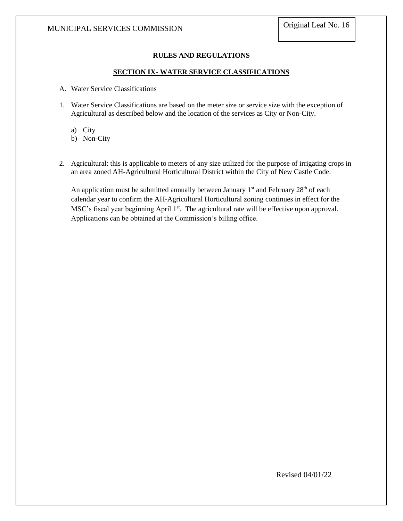# **RULES AND REGULATIONS**

# **SECTION IX- WATER SERVICE CLASSIFICATIONS**

- A. Water Service Classifications
- 1. Water Service Classifications are based on the meter size or service size with the exception of Agricultural as described below and the location of the services as City or Non-City.
	- a) City

b) Non-City

2. Agricultural: this is applicable to meters of any size utilized for the purpose of irrigating crops in an area zoned AH-Agricultural Horticultural District within the City of New Castle Code.

An application must be submitted annually between January  $1<sup>st</sup>$  and February  $28<sup>th</sup>$  of each calendar year to confirm the AH-Agricultural Horticultural zoning continues in effect for the MSC's fiscal year beginning April 1<sup>st</sup>. The agricultural rate will be effective upon approval. Applications can be obtained at the Commission's billing office.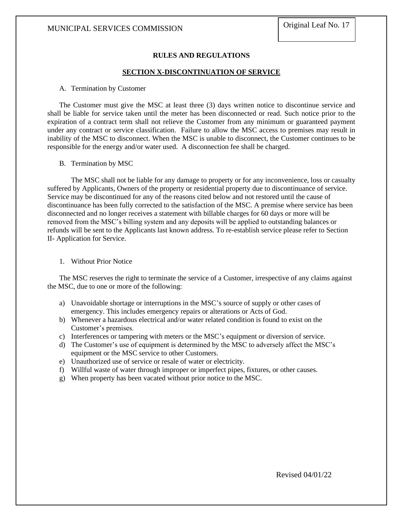# **RULES AND REGULATIONS**

### **SECTION X-DISCONTINUATION OF SERVICE**

#### A. Termination by Customer

The Customer must give the MSC at least three (3) days written notice to discontinue service and shall be liable for service taken until the meter has been disconnected or read. Such notice prior to the expiration of a contract term shall not relieve the Customer from any minimum or guaranteed payment under any contract or service classification. Failure to allow the MSC access to premises may result in inability of the MSC to disconnect. When the MSC is unable to disconnect, the Customer continues to be responsible for the energy and/or water used. A disconnection fee shall be charged.

#### B. Termination by MSC

The MSC shall not be liable for any damage to property or for any inconvenience, loss or casualty suffered by Applicants, Owners of the property or residential property due to discontinuance of service. Service may be discontinued for any of the reasons cited below and not restored until the cause of discontinuance has been fully corrected to the satisfaction of the MSC. A premise where service has been disconnected and no longer receives a statement with billable charges for 60 days or more will be removed from the MSC's billing system and any deposits will be applied to outstanding balances or refunds will be sent to the Applicants last known address. To re-establish service please refer to Section II- Application for Service.

#### 1. Without Prior Notice

The MSC reserves the right to terminate the service of a Customer, irrespective of any claims against the MSC, due to one or more of the following:

- a) Unavoidable shortage or interruptions in the MSC's source of supply or other cases of emergency. This includes emergency repairs or alterations or Acts of God.
- b) Whenever a hazardous electrical and/or water related condition is found to exist on the Customer's premises.
- c) Interferences or tampering with meters or the MSC's equipment or diversion of service.
- d) The Customer's use of equipment is determined by the MSC to adversely affect the MSC's equipment or the MSC service to other Customers.
- e) Unauthorized use of service or resale of water or electricity.
- f) Willful waste of water through improper or imperfect pipes, fixtures, or other causes.
- g) When property has been vacated without prior notice to the MSC.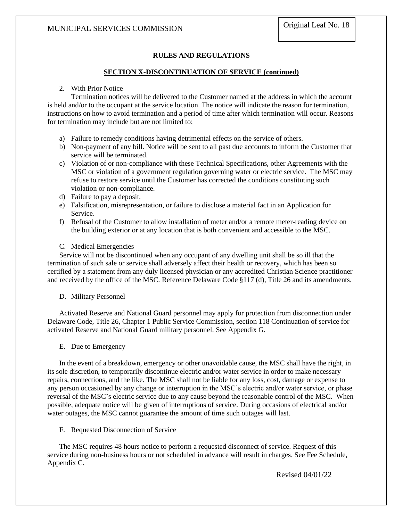# **RULES AND REGULATIONS**

# **SECTION X-DISCONTINUATION OF SERVICE (continued)**

# 2. With Prior Notice

Termination notices will be delivered to the Customer named at the address in which the account is held and/or to the occupant at the service location. The notice will indicate the reason for termination, instructions on how to avoid termination and a period of time after which termination will occur. Reasons for termination may include but are not limited to:

- a) Failure to remedy conditions having detrimental effects on the service of others.
- b) Non-payment of any bill. Notice will be sent to all past due accounts to inform the Customer that service will be terminated.
- c) Violation of or non-compliance with these Technical Specifications, other Agreements with the MSC or violation of a government regulation governing water or electric service. The MSC may refuse to restore service until the Customer has corrected the conditions constituting such violation or non-compliance.
- d) Failure to pay a deposit.
- e) Falsification, misrepresentation, or failure to disclose a material fact in an Application for Service.
- f) Refusal of the Customer to allow installation of meter and/or a remote meter-reading device on the building exterior or at any location that is both convenient and accessible to the MSC.
- C. Medical Emergencies

Service will not be discontinued when any occupant of any dwelling unit shall be so ill that the termination of such sale or service shall adversely affect their health or recovery, which has been so certified by a statement from any duly licensed physician or any accredited Christian Science practitioner and received by the office of the MSC. Reference Delaware Code §117 (d), Title 26 and its amendments.

# D. Military Personnel

Activated Reserve and National Guard personnel may apply for protection from disconnection under Delaware Code, Title 26, Chapter 1 Public Service Commission, section 118 Continuation of service for activated Reserve and National Guard military personnel. See Appendix G.

# E. Due to Emergency

In the event of a breakdown, emergency or other unavoidable cause, the MSC shall have the right, in its sole discretion, to temporarily discontinue electric and/or water service in order to make necessary repairs, connections, and the like. The MSC shall not be liable for any loss, cost, damage or expense to any person occasioned by any change or interruption in the MSC's electric and/or water service, or phase reversal of the MSC's electric service due to any cause beyond the reasonable control of the MSC. When possible, adequate notice will be given of interruptions of service. During occasions of electrical and/or water outages, the MSC cannot guarantee the amount of time such outages will last.

F. Requested Disconnection of Service

The MSC requires 48 hours notice to perform a requested disconnect of service. Request of this service during non-business hours or not scheduled in advance will result in charges. See Fee Schedule, Appendix C.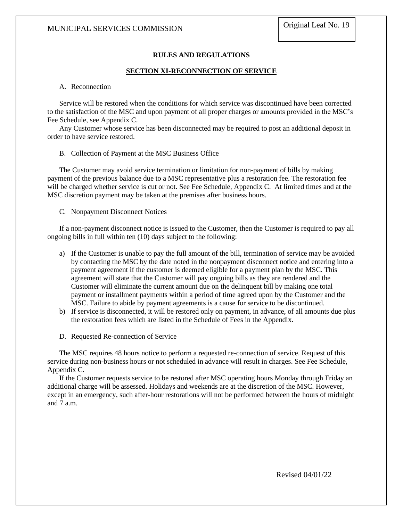# **RULES AND REGULATIONS**

#### **SECTION XI-RECONNECTION OF SERVICE**

### A. Reconnection

Service will be restored when the conditions for which service was discontinued have been corrected to the satisfaction of the MSC and upon payment of all proper charges or amounts provided in the MSC's Fee Schedule, see Appendix C.

Any Customer whose service has been disconnected may be required to post an additional deposit in order to have service restored.

#### B. Collection of Payment at the MSC Business Office

The Customer may avoid service termination or limitation for non-payment of bills by making payment of the previous balance due to a MSC representative plus a restoration fee. The restoration fee will be charged whether service is cut or not. See Fee Schedule, Appendix C. At limited times and at the MSC discretion payment may be taken at the premises after business hours.

C. Nonpayment Disconnect Notices

If a non-payment disconnect notice is issued to the Customer, then the Customer is required to pay all ongoing bills in full within ten (10) days subject to the following:

- a) If the Customer is unable to pay the full amount of the bill, termination of service may be avoided by contacting the MSC by the date noted in the nonpayment disconnect notice and entering into a payment agreement if the customer is deemed eligible for a payment plan by the MSC. This agreement will state that the Customer will pay ongoing bills as they are rendered and the Customer will eliminate the current amount due on the delinquent bill by making one total payment or installment payments within a period of time agreed upon by the Customer and the MSC. Failure to abide by payment agreements is a cause for service to be discontinued.
- b) If service is disconnected, it will be restored only on payment, in advance, of all amounts due plus the restoration fees which are listed in the Schedule of Fees in the Appendix.
- D. Requested Re-connection of Service

The MSC requires 48 hours notice to perform a requested re-connection of service. Request of this service during non-business hours or not scheduled in advance will result in charges. See Fee Schedule, Appendix C.

If the Customer requests service to be restored after MSC operating hours Monday through Friday an additional charge will be assessed. Holidays and weekends are at the discretion of the MSC. However, except in an emergency, such after-hour restorations will not be performed between the hours of midnight and 7 a.m.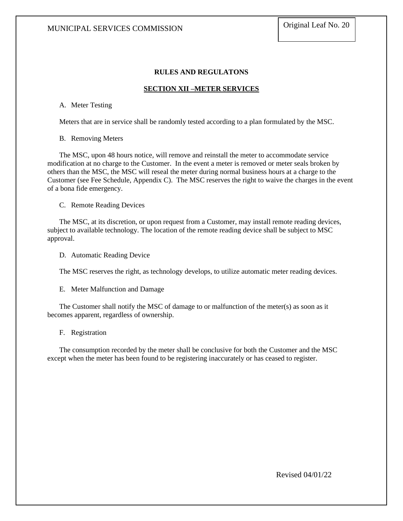# **RULES AND REGULATONS**

### **SECTION XII –METER SERVICES**

A. Meter Testing

Meters that are in service shall be randomly tested according to a plan formulated by the MSC.

B. Removing Meters

The MSC, upon 48 hours notice, will remove and reinstall the meter to accommodate service modification at no charge to the Customer. In the event a meter is removed or meter seals broken by others than the MSC, the MSC will reseal the meter during normal business hours at a charge to the Customer (see Fee Schedule, Appendix C). The MSC reserves the right to waive the charges in the event of a bona fide emergency.

C. Remote Reading Devices

The MSC, at its discretion, or upon request from a Customer, may install remote reading devices, subject to available technology. The location of the remote reading device shall be subject to MSC approval.

D. Automatic Reading Device

The MSC reserves the right, as technology develops, to utilize automatic meter reading devices.

E. Meter Malfunction and Damage

The Customer shall notify the MSC of damage to or malfunction of the meter(s) as soon as it becomes apparent, regardless of ownership.

F. Registration

The consumption recorded by the meter shall be conclusive for both the Customer and the MSC except when the meter has been found to be registering inaccurately or has ceased to register.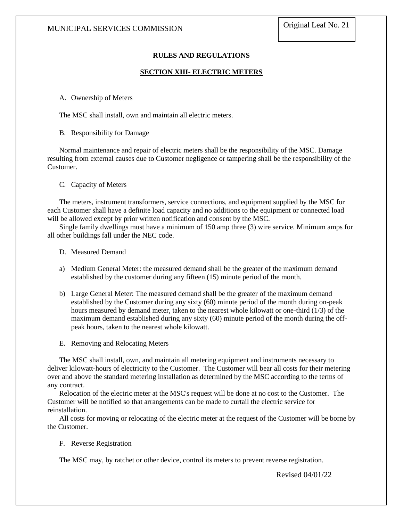# **RULES AND REGULATIONS**

# **SECTION XIII- ELECTRIC METERS**

A. Ownership of Meters

The MSC shall install, own and maintain all electric meters.

#### B. Responsibility for Damage

Normal maintenance and repair of electric meters shall be the responsibility of the MSC. Damage resulting from external causes due to Customer negligence or tampering shall be the responsibility of the Customer.

#### C. Capacity of Meters

The meters, instrument transformers, service connections, and equipment supplied by the MSC for each Customer shall have a definite load capacity and no additions to the equipment or connected load will be allowed except by prior written notification and consent by the MSC.

Single family dwellings must have a minimum of 150 amp three (3) wire service. Minimum amps for all other buildings fall under the NEC code.

- D. Measured Demand
- a) Medium General Meter: the measured demand shall be the greater of the maximum demand established by the customer during any fifteen (15) minute period of the month.
- b) Large General Meter: The measured demand shall be the greater of the maximum demand established by the Customer during any sixty (60) minute period of the month during on-peak hours measured by demand meter, taken to the nearest whole kilowatt or one-third (1/3) of the maximum demand established during any sixty (60) minute period of the month during the offpeak hours, taken to the nearest whole kilowatt.
- E. Removing and Relocating Meters

The MSC shall install, own, and maintain all metering equipment and instruments necessary to deliver kilowatt-hours of electricity to the Customer. The Customer will bear all costs for their metering over and above the standard metering installation as determined by the MSC according to the terms of any contract.

Relocation of the electric meter at the MSC's request will be done at no cost to the Customer. The Customer will be notified so that arrangements can be made to curtail the electric service for reinstallation.

All costs for moving or relocating of the electric meter at the request of the Customer will be borne by the Customer.

#### F. Reverse Registration

The MSC may, by ratchet or other device, control its meters to prevent reverse registration.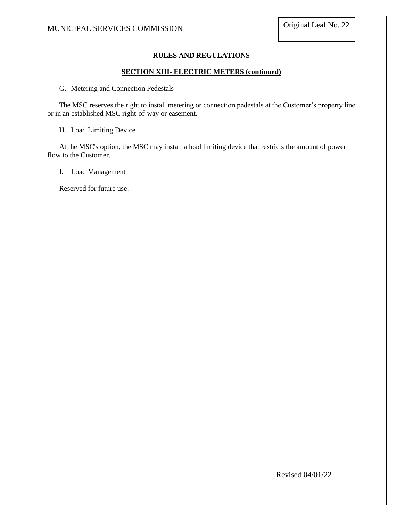# **RULES AND REGULATIONS**

### **SECTION XIII- ELECTRIC METERS (continued)**

G. Metering and Connection Pedestals

The MSC reserves the right to install metering or connection pedestals at the Customer's property line or in an established MSC right-of-way or easement.

H. Load Limiting Device

At the MSC's option, the MSC may install a load limiting device that restricts the amount of power flow to the Customer.

I. Load Management

Reserved for future use.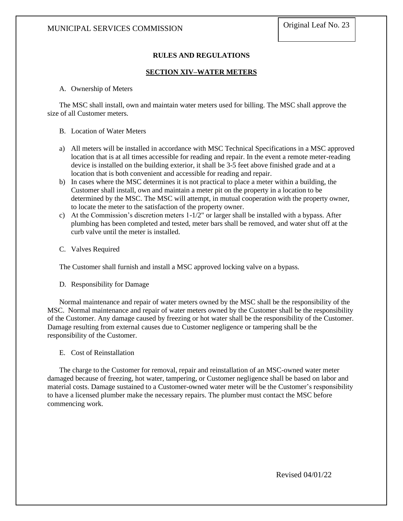# **RULES AND REGULATIONS**

# **SECTION XIV–WATER METERS**

# A. Ownership of Meters

The MSC shall install, own and maintain water meters used for billing. The MSC shall approve the size of all Customer meters.

## B. Location of Water Meters

- a) All meters will be installed in accordance with MSC Technical Specifications in a MSC approved location that is at all times accessible for reading and repair. In the event a remote meter-reading device is installed on the building exterior, it shall be 3-5 feet above finished grade and at a location that is both convenient and accessible for reading and repair.
- b) In cases where the MSC determines it is not practical to place a meter within a building, the Customer shall install, own and maintain a meter pit on the property in a location to be determined by the MSC. The MSC will attempt, in mutual cooperation with the property owner, to locate the meter to the satisfaction of the property owner.
- c) At the Commission's discretion meters 1-1/2" or larger shall be installed with a bypass. After plumbing has been completed and tested, meter bars shall be removed, and water shut off at the curb valve until the meter is installed.
- C. Valves Required

The Customer shall furnish and install a MSC approved locking valve on a bypass.

D. Responsibility for Damage

Normal maintenance and repair of water meters owned by the MSC shall be the responsibility of the MSC. Normal maintenance and repair of water meters owned by the Customer shall be the responsibility of the Customer. Any damage caused by freezing or hot water shall be the responsibility of the Customer. Damage resulting from external causes due to Customer negligence or tampering shall be the responsibility of the Customer.

E. Cost of Reinstallation

The charge to the Customer for removal, repair and reinstallation of an MSC-owned water meter damaged because of freezing, hot water, tampering, or Customer negligence shall be based on labor and material costs. Damage sustained to a Customer-owned water meter will be the Customer's responsibility to have a licensed plumber make the necessary repairs. The plumber must contact the MSC before commencing work.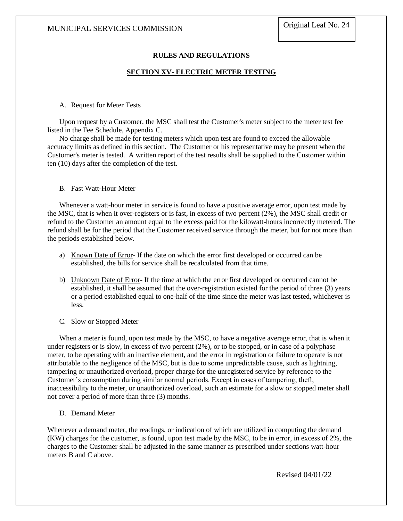# **RULES AND REGULATIONS**

# **SECTION XV- ELECTRIC METER TESTING**

#### A. Request for Meter Tests

Upon request by a Customer, the MSC shall test the Customer's meter subject to the meter test fee listed in the Fee Schedule, Appendix C.

No charge shall be made for testing meters which upon test are found to exceed the allowable accuracy limits as defined in this section. The Customer or his representative may be present when the Customer's meter is tested. A written report of the test results shall be supplied to the Customer within ten (10) days after the completion of the test.

#### B. Fast Watt-Hour Meter

Whenever a watt-hour meter in service is found to have a positive average error, upon test made by the MSC, that is when it over-registers or is fast, in excess of two percent (2%), the MSC shall credit or refund to the Customer an amount equal to the excess paid for the kilowatt-hours incorrectly metered. The refund shall be for the period that the Customer received service through the meter, but for not more than the periods established below.

- a) Known Date of Error- If the date on which the error first developed or occurred can be established, the bills for service shall be recalculated from that time.
- b) Unknown Date of Error- If the time at which the error first developed or occurred cannot be established, it shall be assumed that the over-registration existed for the period of three (3) years or a period established equal to one-half of the time since the meter was last tested, whichever is less.
- C. Slow or Stopped Meter

When a meter is found, upon test made by the MSC, to have a negative average error, that is when it under registers or is slow, in excess of two percent (2%), or to be stopped, or in case of a polyphase meter, to be operating with an inactive element, and the error in registration or failure to operate is not attributable to the negligence of the MSC, but is due to some unpredictable cause, such as lightning, tampering or unauthorized overload, proper charge for the unregistered service by reference to the Customer's consumption during similar normal periods. Except in cases of tampering, theft, inaccessibility to the meter, or unauthorized overload, such an estimate for a slow or stopped meter shall not cover a period of more than three (3) months.

D. Demand Meter

Whenever a demand meter, the readings, or indication of which are utilized in computing the demand (KW) charges for the customer, is found, upon test made by the MSC, to be in error, in excess of 2%, the charges to the Customer shall be adjusted in the same manner as prescribed under sections watt-hour meters B and C above.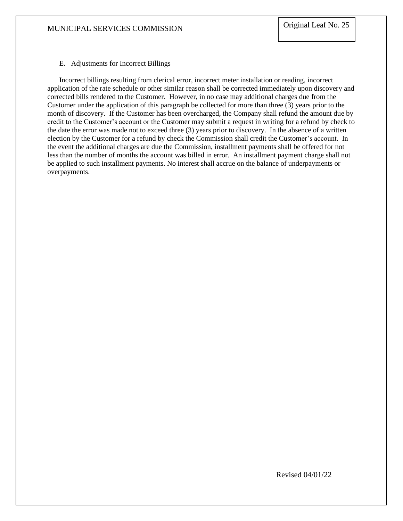# E. Adjustments for Incorrect Billings

Incorrect billings resulting from clerical error, incorrect meter installation or reading, incorrect application of the rate schedule or other similar reason shall be corrected immediately upon discovery and corrected bills rendered to the Customer. However, in no case may additional charges due from the Customer under the application of this paragraph be collected for more than three (3) years prior to the month of discovery. If the Customer has been overcharged, the Company shall refund the amount due by credit to the Customer's account or the Customer may submit a request in writing for a refund by check to the date the error was made not to exceed three (3) years prior to discovery. In the absence of a written election by the Customer for a refund by check the Commission shall credit the Customer's account. In the event the additional charges are due the Commission, installment payments shall be offered for not less than the number of months the account was billed in error. An installment payment charge shall not be applied to such installment payments. No interest shall accrue on the balance of underpayments or overpayments.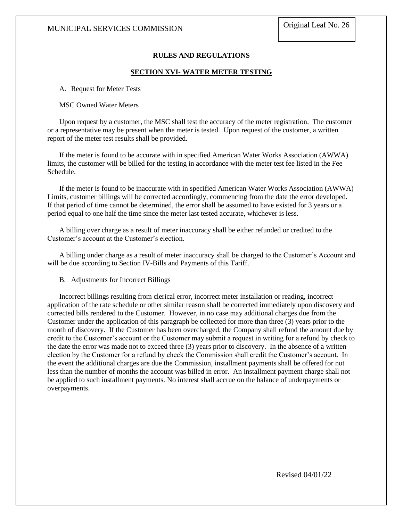# **RULES AND REGULATIONS**

### **SECTION XVI- WATER METER TESTING**

A. Request for Meter Tests

### MSC Owned Water Meters

Upon request by a customer, the MSC shall test the accuracy of the meter registration. The customer or a representative may be present when the meter is tested. Upon request of the customer, a written report of the meter test results shall be provided.

If the meter is found to be accurate with in specified American Water Works Association (AWWA) limits, the customer will be billed for the testing in accordance with the meter test fee listed in the Fee Schedule.

If the meter is found to be inaccurate with in specified American Water Works Association (AWWA) Limits, customer billings will be corrected accordingly, commencing from the date the error developed. If that period of time cannot be determined, the error shall be assumed to have existed for 3 years or a period equal to one half the time since the meter last tested accurate, whichever is less.

A billing over charge as a result of meter inaccuracy shall be either refunded or credited to the Customer's account at the Customer's election.

A billing under charge as a result of meter inaccuracy shall be charged to the Customer's Account and will be due according to Section IV-Bills and Payments of this Tariff.

B. Adjustments for Incorrect Billings

Incorrect billings resulting from clerical error, incorrect meter installation or reading, incorrect application of the rate schedule or other similar reason shall be corrected immediately upon discovery and corrected bills rendered to the Customer. However, in no case may additional charges due from the Customer under the application of this paragraph be collected for more than three (3) years prior to the month of discovery. If the Customer has been overcharged, the Company shall refund the amount due by credit to the Customer's account or the Customer may submit a request in writing for a refund by check to the date the error was made not to exceed three (3) years prior to discovery. In the absence of a written election by the Customer for a refund by check the Commission shall credit the Customer's account. In the event the additional charges are due the Commission, installment payments shall be offered for not less than the number of months the account was billed in error. An installment payment charge shall not be applied to such installment payments. No interest shall accrue on the balance of underpayments or overpayments.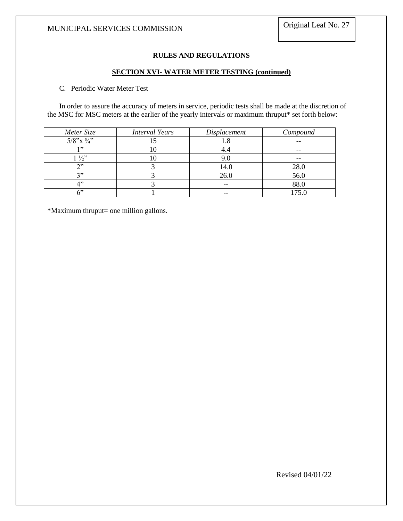# **RULES AND REGULATIONS**

#### **SECTION XVI- WATER METER TESTING (continued)**

# C. Periodic Water Meter Test

In order to assure the accuracy of meters in service, periodic tests shall be made at the discretion of the MSC for MSC meters at the earlier of the yearly intervals or maximum thruput\* set forth below:

| Meter Size               | <b>Interval Years</b> | Displacement | Compound |
|--------------------------|-----------------------|--------------|----------|
| $5/8$ "x $\frac{3}{4}$ " |                       | 1.8          |          |
| ,,,                      | ιU                    | 4.4          |          |
| $1\frac{1}{2}$           |                       | 9.0          | --       |
| ገንን                      |                       | 14.0         | 28.0     |
| 2, 3                     |                       | 26.0         | 56.0     |
| $\lambda$ <sup>2</sup>   |                       | --           | 88.0     |
| دديم                     |                       |              | 175.0    |

\*Maximum thruput= one million gallons.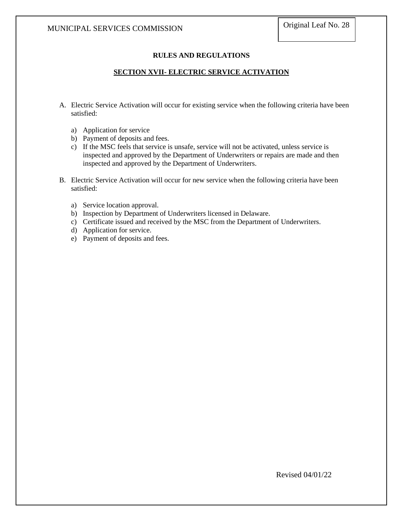# **RULES AND REGULATIONS**

# **SECTION XVII- ELECTRIC SERVICE ACTIVATION**

- A. Electric Service Activation will occur for existing service when the following criteria have been satisfied:
	- a) Application for service
	- b) Payment of deposits and fees.
	- c) If the MSC feels that service is unsafe, service will not be activated, unless service is inspected and approved by the Department of Underwriters or repairs are made and then inspected and approved by the Department of Underwriters.
- B. Electric Service Activation will occur for new service when the following criteria have been satisfied:
	- a) Service location approval.
	- b) Inspection by Department of Underwriters licensed in Delaware.
	- c) Certificate issued and received by the MSC from the Department of Underwriters.
	- d) Application for service.
	- e) Payment of deposits and fees.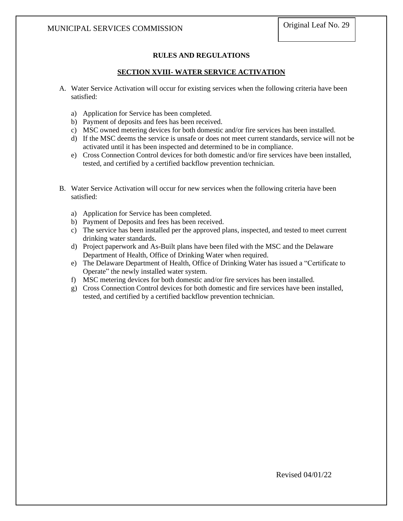# **RULES AND REGULATIONS**

# **SECTION XVIII- WATER SERVICE ACTIVATION**

- A. Water Service Activation will occur for existing services when the following criteria have been satisfied:
	- a) Application for Service has been completed.
	- b) Payment of deposits and fees has been received.
	- c) MSC owned metering devices for both domestic and/or fire services has been installed.
	- d) If the MSC deems the service is unsafe or does not meet current standards, service will not be activated until it has been inspected and determined to be in compliance.
	- e) Cross Connection Control devices for both domestic and/or fire services have been installed, tested, and certified by a certified backflow prevention technician.
- B. Water Service Activation will occur for new services when the following criteria have been satisfied:
	- a) Application for Service has been completed.
	- b) Payment of Deposits and fees has been received.
	- c) The service has been installed per the approved plans, inspected, and tested to meet current drinking water standards.
	- d) Project paperwork and As-Built plans have been filed with the MSC and the Delaware Department of Health, Office of Drinking Water when required.
	- e) The Delaware Department of Health, Office of Drinking Water has issued a "Certificate to Operate" the newly installed water system.
	- f) MSC metering devices for both domestic and/or fire services has been installed.
	- g) Cross Connection Control devices for both domestic and fire services have been installed, tested, and certified by a certified backflow prevention technician.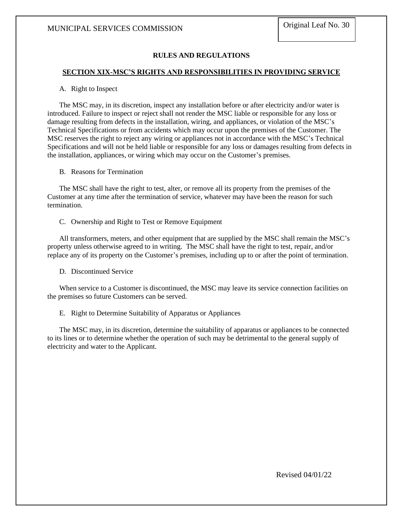# **RULES AND REGULATIONS**

#### **SECTION XIX-MSC'S RIGHTS AND RESPONSIBILITIES IN PROVIDING SERVICE**

#### A. Right to Inspect

The MSC may, in its discretion, inspect any installation before or after electricity and/or water is introduced. Failure to inspect or reject shall not render the MSC liable or responsible for any loss or damage resulting from defects in the installation, wiring, and appliances, or violation of the MSC's Technical Specifications or from accidents which may occur upon the premises of the Customer. The MSC reserves the right to reject any wiring or appliances not in accordance with the MSC's Technical Specifications and will not be held liable or responsible for any loss or damages resulting from defects in the installation, appliances, or wiring which may occur on the Customer's premises.

B. Reasons for Termination

The MSC shall have the right to test, alter, or remove all its property from the premises of the Customer at any time after the termination of service, whatever may have been the reason for such termination.

C. Ownership and Right to Test or Remove Equipment

All transformers, meters, and other equipment that are supplied by the MSC shall remain the MSC's property unless otherwise agreed to in writing. The MSC shall have the right to test, repair, and/or replace any of its property on the Customer's premises, including up to or after the point of termination.

D. Discontinued Service

When service to a Customer is discontinued, the MSC may leave its service connection facilities on the premises so future Customers can be served.

E. Right to Determine Suitability of Apparatus or Appliances

The MSC may, in its discretion, determine the suitability of apparatus or appliances to be connected to its lines or to determine whether the operation of such may be detrimental to the general supply of electricity and water to the Applicant.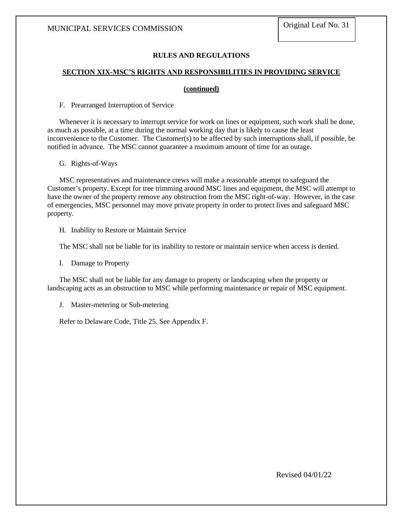# **RULES AND REGULATIONS**

# **SECTION XIX-MSC'S RIGHTS AND RESPONSIBILITIES IN PROVIDING SERVICE**

#### **(continued)**

F. Prearranged Interruption of Service

Whenever it is necessary to interrupt service for work on lines or equipment, such work shall be done, as much as possible, at a time during the normal working day that is likely to cause the least inconvenience to the Customer. The Customer(s) to be affected by such interruptions shall, if possible, be notified in advance. The MSC cannot guarantee a maximum amount of time for an outage.

G. Rights-of-Ways

MSC representatives and maintenance crews will make a reasonable attempt to safeguard the Customer's property. Except for tree trimming around MSC lines and equipment, the MSC will attempt to have the owner of the property remove any obstruction from the MSC right-of-way. However, in the case of emergencies, MSC personnel may move private property in order to protect lives and safeguard MSC property.

H. Inability to Restore or Maintain Service

The MSC shall not be liable for its inability to restore or maintain service when access is denied.

I. Damage to Property

The MSC shall not be liable for any damage to property or landscaping when the property or landscaping acts as an obstruction to MSC while performing maintenance or repair of MSC equipment.

J. Master-metering or Sub-metering

Refer to Delaware Code, Title 25. See Appendix F.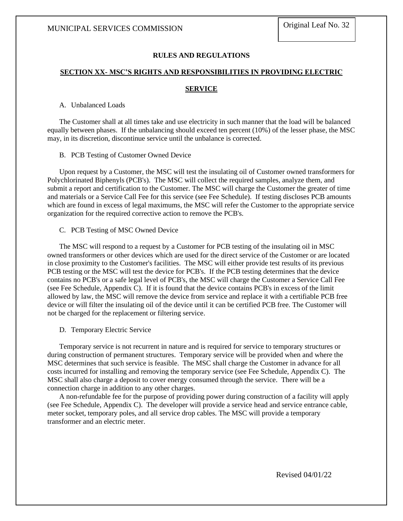# **RULES AND REGULATIONS**

# **SECTION XX- MSC'S RIGHTS AND RESPONSIBILITIES IN PROVIDING ELECTRIC**

#### **SERVICE**

# A. Unbalanced Loads

The Customer shall at all times take and use electricity in such manner that the load will be balanced equally between phases. If the unbalancing should exceed ten percent (10%) of the lesser phase, the MSC may, in its discretion, discontinue service until the unbalance is corrected.

#### B. PCB Testing of Customer Owned Device

Upon request by a Customer, the MSC will test the insulating oil of Customer owned transformers for Polychlorinated Biphenyls (PCB's). The MSC will collect the required samples, analyze them, and submit a report and certification to the Customer. The MSC will charge the Customer the greater of time and materials or a Service Call Fee for this service (see Fee Schedule). If testing discloses PCB amounts which are found in excess of legal maximums, the MSC will refer the Customer to the appropriate service organization for the required corrective action to remove the PCB's.

#### C. PCB Testing of MSC Owned Device

The MSC will respond to a request by a Customer for PCB testing of the insulating oil in MSC owned transformers or other devices which are used for the direct service of the Customer or are located in close proximity to the Customer's facilities. The MSC will either provide test results of its previous PCB testing or the MSC will test the device for PCB's. If the PCB testing determines that the device contains no PCB's or a safe legal level of PCB's, the MSC will charge the Customer a Service Call Fee (see Fee Schedule, Appendix C). If it is found that the device contains PCB's in excess of the limit allowed by law, the MSC will remove the device from service and replace it with a certifiable PCB free device or will filter the insulating oil of the device until it can be certified PCB free. The Customer will not be charged for the replacement or filtering service.

D. Temporary Electric Service

Temporary service is not recurrent in nature and is required for service to temporary structures or during construction of permanent structures. Temporary service will be provided when and where the MSC determines that such service is feasible. The MSC shall charge the Customer in advance for all costs incurred for installing and removing the temporary service (see Fee Schedule, Appendix C). The MSC shall also charge a deposit to cover energy consumed through the service. There will be a connection charge in addition to any other charges.

A non-refundable fee for the purpose of providing power during construction of a facility will apply (see Fee Schedule, Appendix C). The developer will provide a service head and service entrance cable, meter socket, temporary poles, and all service drop cables. The MSC will provide a temporary transformer and an electric meter.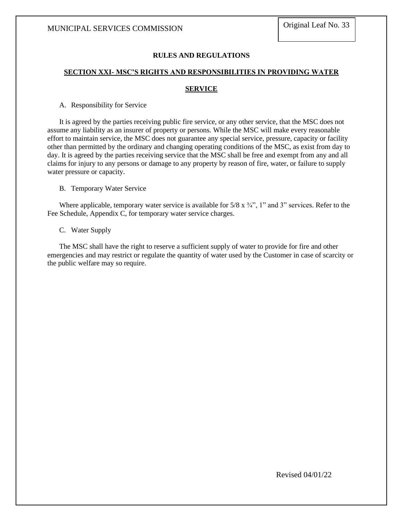#### **RULES AND REGULATIONS**

#### **SECTION XXI- MSC'S RIGHTS AND RESPONSIBILITIES IN PROVIDING WATER**

#### **SERVICE**

A. Responsibility for Service

It is agreed by the parties receiving public fire service, or any other service, that the MSC does not assume any liability as an insurer of property or persons. While the MSC will make every reasonable effort to maintain service, the MSC does not guarantee any special service, pressure, capacity or facility other than permitted by the ordinary and changing operating conditions of the MSC, as exist from day to day. It is agreed by the parties receiving service that the MSC shall be free and exempt from any and all claims for injury to any persons or damage to any property by reason of fire, water, or failure to supply water pressure or capacity.

B. Temporary Water Service

Where applicable, temporary water service is available for  $5/8 \times 3/4$ ", 1" and 3" services. Refer to the Fee Schedule, Appendix C, for temporary water service charges.

C. Water Supply

The MSC shall have the right to reserve a sufficient supply of water to provide for fire and other emergencies and may restrict or regulate the quantity of water used by the Customer in case of scarcity or the public welfare may so require.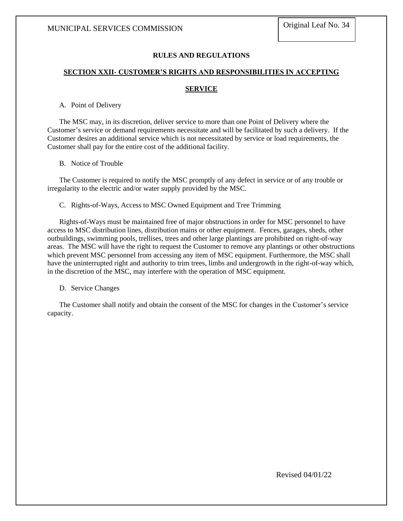#### **RULES AND REGULATIONS**

#### **SECTION XXII- CUSTOMER'S RIGHTS AND RESPONSIBILITIES IN ACCEPTING**

#### **SERVICE**

A. Point of Delivery

The MSC may, in its discretion, deliver service to more than one Point of Delivery where the Customer's service or demand requirements necessitate and will be facilitated by such a delivery. If the Customer desires an additional service which is not necessitated by service or load requirements, the Customer shall pay for the entire cost of the additional facility.

B. Notice of Trouble

The Customer is required to notify the MSC promptly of any defect in service or of any trouble or irregularity to the electric and/or water supply provided by the MSC.

C. Rights-of-Ways, Access to MSC Owned Equipment and Tree Trimming

Rights-of-Ways must be maintained free of major obstructions in order for MSC personnel to have access to MSC distribution lines, distribution mains or other equipment. Fences, garages, sheds, other outbuildings, swimming pools, trellises, trees and other large plantings are prohibited on right-of-way areas. The MSC will have the right to request the Customer to remove any plantings or other obstructions which prevent MSC personnel from accessing any item of MSC equipment. Furthermore, the MSC shall have the uninterrupted right and authority to trim trees, limbs and undergrowth in the right-of-way which, in the discretion of the MSC, may interfere with the operation of MSC equipment.

D. Service Changes

The Customer shall notify and obtain the consent of the MSC for changes in the Customer's service capacity.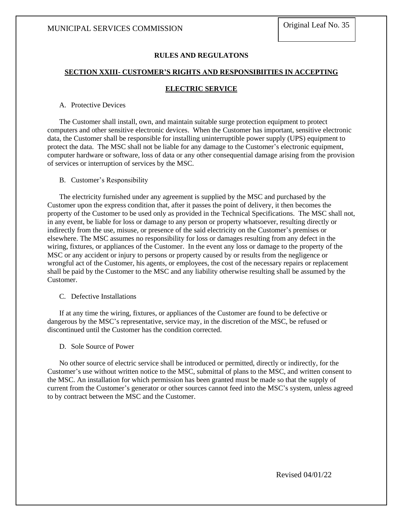#### **RULES AND REGULATONS**

#### **SECTION XXIII- CUSTOMER'S RIGHTS AND RESPONSIBIITIES IN ACCEPTING**

#### **ELECTRIC SERVICE**

#### A. Protective Devices

The Customer shall install, own, and maintain suitable surge protection equipment to protect computers and other sensitive electronic devices. When the Customer has important, sensitive electronic data, the Customer shall be responsible for installing uninterruptible power supply (UPS) equipment to protect the data. The MSC shall not be liable for any damage to the Customer's electronic equipment, computer hardware or software, loss of data or any other consequential damage arising from the provision of services or interruption of services by the MSC.

#### B. Customer's Responsibility

The electricity furnished under any agreement is supplied by the MSC and purchased by the Customer upon the express condition that, after it passes the point of delivery, it then becomes the property of the Customer to be used only as provided in the Technical Specifications. The MSC shall not, in any event, be liable for loss or damage to any person or property whatsoever, resulting directly or indirectly from the use, misuse, or presence of the said electricity on the Customer's premises or elsewhere. The MSC assumes no responsibility for loss or damages resulting from any defect in the wiring, fixtures, or appliances of the Customer. In the event any loss or damage to the property of the MSC or any accident or injury to persons or property caused by or results from the negligence or wrongful act of the Customer, his agents, or employees, the cost of the necessary repairs or replacement shall be paid by the Customer to the MSC and any liability otherwise resulting shall be assumed by the Customer.

#### C. Defective Installations

If at any time the wiring, fixtures, or appliances of the Customer are found to be defective or dangerous by the MSC's representative, service may, in the discretion of the MSC, be refused or discontinued until the Customer has the condition corrected.

#### D. Sole Source of Power

No other source of electric service shall be introduced or permitted, directly or indirectly, for the Customer's use without written notice to the MSC, submittal of plans to the MSC, and written consent to the MSC. An installation for which permission has been granted must be made so that the supply of current from the Customer's generator or other sources cannot feed into the MSC's system, unless agreed to by contract between the MSC and the Customer.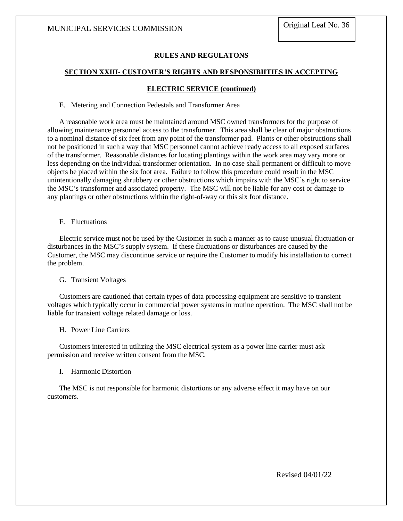#### **RULES AND REGULATONS**

#### **SECTION XXIII- CUSTOMER'S RIGHTS AND RESPONSIBIITIES IN ACCEPTING**

#### **ELECTRIC SERVICE (continued)**

#### E. Metering and Connection Pedestals and Transformer Area

A reasonable work area must be maintained around MSC owned transformers for the purpose of allowing maintenance personnel access to the transformer. This area shall be clear of major obstructions to a nominal distance of six feet from any point of the transformer pad. Plants or other obstructions shall not be positioned in such a way that MSC personnel cannot achieve ready access to all exposed surfaces of the transformer. Reasonable distances for locating plantings within the work area may vary more or less depending on the individual transformer orientation. In no case shall permanent or difficult to move objects be placed within the six foot area. Failure to follow this procedure could result in the MSC unintentionally damaging shrubbery or other obstructions which impairs with the MSC's right to service the MSC's transformer and associated property. The MSC will not be liable for any cost or damage to any plantings or other obstructions within the right-of-way or this six foot distance.

F. Fluctuations

Electric service must not be used by the Customer in such a manner as to cause unusual fluctuation or disturbances in the MSC's supply system. If these fluctuations or disturbances are caused by the Customer, the MSC may discontinue service or require the Customer to modify his installation to correct the problem.

#### G. Transient Voltages

Customers are cautioned that certain types of data processing equipment are sensitive to transient voltages which typically occur in commercial power systems in routine operation. The MSC shall not be liable for transient voltage related damage or loss.

#### H. Power Line Carriers

Customers interested in utilizing the MSC electrical system as a power line carrier must ask permission and receive written consent from the MSC.

#### I. Harmonic Distortion

The MSC is not responsible for harmonic distortions or any adverse effect it may have on our customers.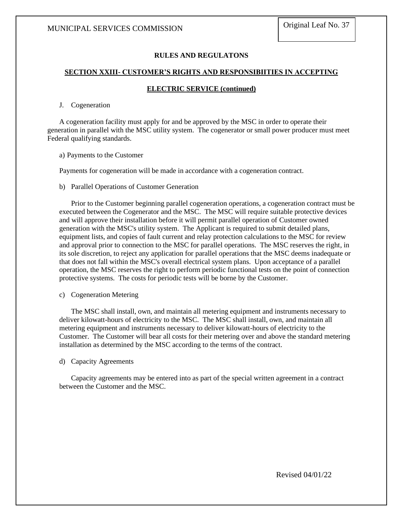#### **RULES AND REGULATONS**

#### **SECTION XXIII- CUSTOMER'S RIGHTS AND RESPONSIBIITIES IN ACCEPTING**

#### **ELECTRIC SERVICE (continued)**

#### J. Cogeneration

A cogeneration facility must apply for and be approved by the MSC in order to operate their generation in parallel with the MSC utility system. The cogenerator or small power producer must meet Federal qualifying standards.

a) Payments to the Customer

Payments for cogeneration will be made in accordance with a cogeneration contract.

b) Parallel Operations of Customer Generation

Prior to the Customer beginning parallel cogeneration operations, a cogeneration contract must be executed between the Cogenerator and the MSC. The MSC will require suitable protective devices and will approve their installation before it will permit parallel operation of Customer owned generation with the MSC's utility system. The Applicant is required to submit detailed plans, equipment lists, and copies of fault current and relay protection calculations to the MSC for review and approval prior to connection to the MSC for parallel operations. The MSC reserves the right, in its sole discretion, to reject any application for parallel operations that the MSC deems inadequate or that does not fall within the MSC's overall electrical system plans. Upon acceptance of a parallel operation, the MSC reserves the right to perform periodic functional tests on the point of connection protective systems. The costs for periodic tests will be borne by the Customer.

c) Cogeneration Metering

The MSC shall install, own, and maintain all metering equipment and instruments necessary to deliver kilowatt-hours of electricity to the MSC. The MSC shall install, own, and maintain all metering equipment and instruments necessary to deliver kilowatt-hours of electricity to the Customer. The Customer will bear all costs for their metering over and above the standard metering installation as determined by the MSC according to the terms of the contract.

d) Capacity Agreements

Capacity agreements may be entered into as part of the special written agreement in a contract between the Customer and the MSC.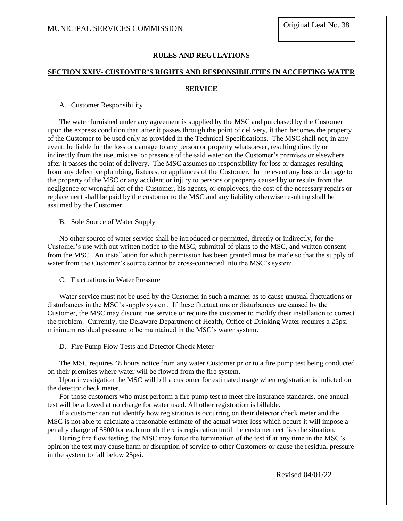#### **RULES AND REGULATIONS**

#### **SECTION XXIV- CUSTOMER'S RIGHTS AND RESPONSIBILITIES IN ACCEPTING WATER**

#### **SERVICE**

A. Customer Responsibility

The water furnished under any agreement is supplied by the MSC and purchased by the Customer upon the express condition that, after it passes through the point of delivery, it then becomes the property of the Customer to be used only as provided in the Technical Specifications. The MSC shall not, in any event, be liable for the loss or damage to any person or property whatsoever, resulting directly or indirectly from the use, misuse, or presence of the said water on the Customer's premises or elsewhere after it passes the point of delivery. The MSC assumes no responsibility for loss or damages resulting from any defective plumbing, fixtures, or appliances of the Customer. In the event any loss or damage to the property of the MSC or any accident or injury to persons or property caused by or results from the negligence or wrongful act of the Customer, his agents, or employees, the cost of the necessary repairs or replacement shall be paid by the customer to the MSC and any liability otherwise resulting shall be assumed by the Customer.

B. Sole Source of Water Supply

No other source of water service shall be introduced or permitted, directly or indirectly, for the Customer's use with out written notice to the MSC, submittal of plans to the MSC, and written consent from the MSC. An installation for which permission has been granted must be made so that the supply of water from the Customer's source cannot be cross-connected into the MSC's system.

C. Fluctuations in Water Pressure

Water service must not be used by the Customer in such a manner as to cause unusual fluctuations or disturbances in the MSC's supply system. If these fluctuations or disturbances are caused by the Customer, the MSC may discontinue service or require the customer to modify their installation to correct the problem. Currently, the Delaware Department of Health, Office of Drinking Water requires a 25psi minimum residual pressure to be maintained in the MSC's water system.

D. Fire Pump Flow Tests and Detector Check Meter

The MSC requires 48 hours notice from any water Customer prior to a fire pump test being conducted on their premises where water will be flowed from the fire system.

Upon investigation the MSC will bill a customer for estimated usage when registration is indicted on the detector check meter.

For those customers who must perform a fire pump test to meet fire insurance standards, one annual test will be allowed at no charge for water used. All other registration is billable.

If a customer can not identify how registration is occurring on their detector check meter and the MSC is not able to calculate a reasonable estimate of the actual water loss which occurs it will impose a penalty charge of \$500 for each month there is registration until the customer rectifies the situation.

During fire flow testing, the MSC may force the termination of the test if at any time in the MSC's opinion the test may cause harm or disruption of service to other Customers or cause the residual pressure in the system to fall below 25psi.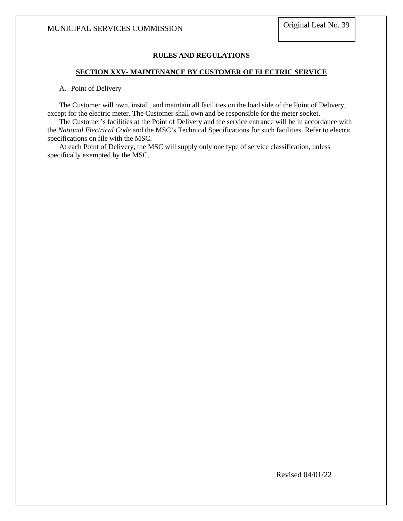#### **RULES AND REGULATIONS**

#### **SECTION XXV- MAINTENANCE BY CUSTOMER OF ELECTRIC SERVICE**

A. Point of Delivery

The Customer will own, install, and maintain all facilities on the load side of the Point of Delivery, except for the electric meter. The Customer shall own and be responsible for the meter socket.

The Customer's facilities at the Point of Delivery and the service entrance will be in accordance with the *National Electrical Code* and the MSC's Technical Specifications for such facilities. Refer to electric specifications on file with the MSC.

At each Point of Delivery, the MSC will supply only one type of service classification, unless specifically exempted by the MSC.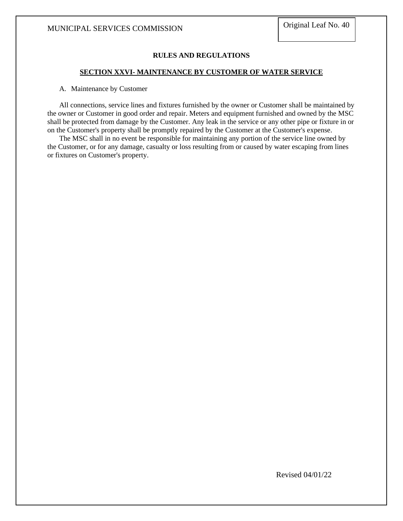### **RULES AND REGULATIONS**

#### **SECTION XXVI- MAINTENANCE BY CUSTOMER OF WATER SERVICE**

#### A. Maintenance by Customer

All connections, service lines and fixtures furnished by the owner or Customer shall be maintained by the owner or Customer in good order and repair. Meters and equipment furnished and owned by the MSC shall be protected from damage by the Customer. Any leak in the service or any other pipe or fixture in or on the Customer's property shall be promptly repaired by the Customer at the Customer's expense.

The MSC shall in no event be responsible for maintaining any portion of the service line owned by the Customer, or for any damage, casualty or loss resulting from or caused by water escaping from lines or fixtures on Customer's property.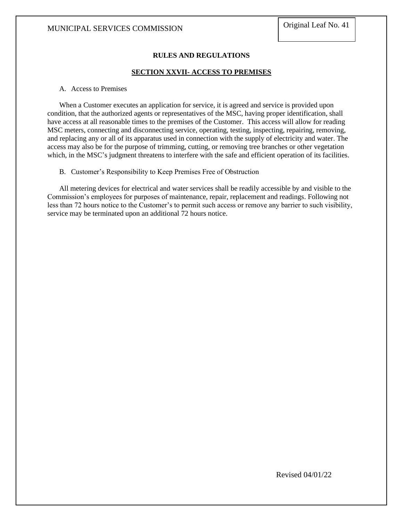### **RULES AND REGULATIONS**

#### **SECTION XXVII- ACCESS TO PREMISES**

#### A. Access to Premises

When a Customer executes an application for service, it is agreed and service is provided upon condition, that the authorized agents or representatives of the MSC, having proper identification, shall have access at all reasonable times to the premises of the Customer. This access will allow for reading MSC meters, connecting and disconnecting service, operating, testing, inspecting, repairing, removing, and replacing any or all of its apparatus used in connection with the supply of electricity and water. The access may also be for the purpose of trimming, cutting, or removing tree branches or other vegetation which, in the MSC's judgment threatens to interfere with the safe and efficient operation of its facilities.

B. Customer's Responsibility to Keep Premises Free of Obstruction

All metering devices for electrical and water services shall be readily accessible by and visible to the Commission's employees for purposes of maintenance, repair, replacement and readings. Following not less than 72 hours notice to the Customer's to permit such access or remove any barrier to such visibility, service may be terminated upon an additional 72 hours notice.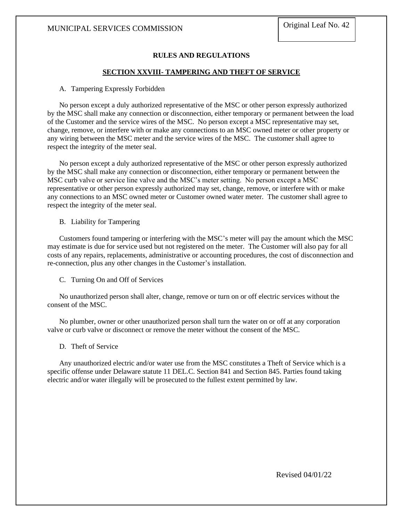### **RULES AND REGULATIONS**

### **SECTION XXVIII- TAMPERING AND THEFT OF SERVICE**

#### A. Tampering Expressly Forbidden

No person except a duly authorized representative of the MSC or other person expressly authorized by the MSC shall make any connection or disconnection, either temporary or permanent between the load of the Customer and the service wires of the MSC. No person except a MSC representative may set, change, remove, or interfere with or make any connections to an MSC owned meter or other property or any wiring between the MSC meter and the service wires of the MSC. The customer shall agree to respect the integrity of the meter seal.

No person except a duly authorized representative of the MSC or other person expressly authorized by the MSC shall make any connection or disconnection, either temporary or permanent between the MSC curb valve or service line valve and the MSC's meter setting. No person except a MSC representative or other person expressly authorized may set, change, remove, or interfere with or make any connections to an MSC owned meter or Customer owned water meter. The customer shall agree to respect the integrity of the meter seal.

#### B. Liability for Tampering

Customers found tampering or interfering with the MSC's meter will pay the amount which the MSC may estimate is due for service used but not registered on the meter. The Customer will also pay for all costs of any repairs, replacements, administrative or accounting procedures, the cost of disconnection and re-connection, plus any other changes in the Customer's installation.

#### C. Turning On and Off of Services

No unauthorized person shall alter, change, remove or turn on or off electric services without the consent of the MSC.

No plumber, owner or other unauthorized person shall turn the water on or off at any corporation valve or curb valve or disconnect or remove the meter without the consent of the MSC.

#### D. Theft of Service

Any unauthorized electric and/or water use from the MSC constitutes a Theft of Service which is a specific offense under Delaware statute 11 DEL.C. Section 841 and Section 845. Parties found taking electric and/or water illegally will be prosecuted to the fullest extent permitted by law.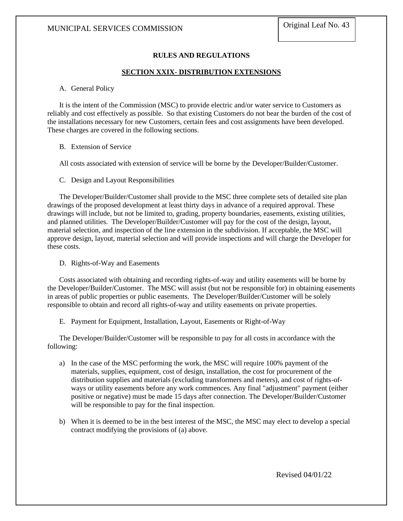### **RULES AND REGULATIONS**

#### **SECTION XXIX- DISTRIBUTION EXTENSIONS**

#### A. General Policy

It is the intent of the Commission (MSC) to provide electric and/or water service to Customers as reliably and cost effectively as possible. So that existing Customers do not bear the burden of the cost of the installations necessary for new Customers, certain fees and cost assignments have been developed. These charges are covered in the following sections.

#### B. Extension of Service

All costs associated with extension of service will be borne by the Developer/Builder/Customer.

#### C. Design and Layout Responsibilities

The Developer/Builder/Customer shall provide to the MSC three complete sets of detailed site plan drawings of the proposed development at least thirty days in advance of a required approval. These drawings will include, but not be limited to, grading, property boundaries, easements, existing utilities, and planned utilities. The Developer/Builder/Customer will pay for the cost of the design, layout, material selection, and inspection of the line extension in the subdivision. If acceptable, the MSC will approve design, layout, material selection and will provide inspections and will charge the Developer for these costs.

D. Rights-of-Way and Easements

Costs associated with obtaining and recording rights-of-way and utility easements will be borne by the Developer/Builder/Customer. The MSC will assist (but not be responsible for) in obtaining easements in areas of public properties or public easements. The Developer/Builder/Customer will be solely responsible to obtain and record all rights-of-way and utility easements on private properties.

E. Payment for Equipment, Installation, Layout, Easements or Right-of-Way

The Developer/Builder/Customer will be responsible to pay for all costs in accordance with the following:

- a) In the case of the MSC performing the work, the MSC will require 100% payment of the materials, supplies, equipment, cost of design, installation, the cost for procurement of the distribution supplies and materials (excluding transformers and meters), and cost of rights-ofways or utility easements before any work commences. Any final "adjustment" payment (either positive or negative) must be made 15 days after connection. The Developer/Builder/Customer will be responsible to pay for the final inspection.
- b) When it is deemed to be in the best interest of the MSC, the MSC may elect to develop a special contract modifying the provisions of (a) above.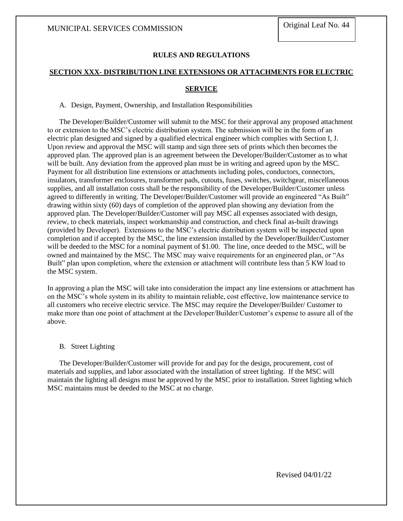### **RULES AND REGULATIONS**

#### **SECTION XXX- DISTRIBUTION LINE EXTENSIONS OR ATTACHMENTS FOR ELECTRIC**

#### **SERVICE**

A. Design, Payment, Ownership, and Installation Responsibilities

The Developer/Builder/Customer will submit to the MSC for their approval any proposed attachment to or extension to the MSC's electric distribution system. The submission will be in the form of an electric plan designed and signed by a qualified electrical engineer which complies with Section I, J. Upon review and approval the MSC will stamp and sign three sets of prints which then becomes the approved plan. The approved plan is an agreement between the Developer/Builder/Customer as to what will be built. Any deviation from the approved plan must be in writing and agreed upon by the MSC. Payment for all distribution line extensions or attachments including poles, conductors, connectors, insulators, transformer enclosures, transformer pads, cutouts, fuses, switches, switchgear, miscellaneous supplies, and all installation costs shall be the responsibility of the Developer/Builder/Customer unless agreed to differently in writing. The Developer/Builder/Customer will provide an engineered "As Built" drawing within sixty (60) days of completion of the approved plan showing any deviation from the approved plan. The Developer/Builder/Customer will pay MSC all expenses associated with design, review, to check materials, inspect workmanship and construction, and check final as-built drawings (provided by Developer). Extensions to the MSC's electric distribution system will be inspected upon completion and if accepted by the MSC, the line extension installed by the Developer/Builder/Customer will be deeded to the MSC for a nominal payment of \$1.00. The line, once deeded to the MSC, will be owned and maintained by the MSC. The MSC may waive requirements for an engineered plan, or "As Built" plan upon completion, where the extension or attachment will contribute less than 5 KW load to the MSC system.

In approving a plan the MSC will take into consideration the impact any line extensions or attachment has on the MSC's whole system in its ability to maintain reliable, cost effective, low maintenance service to all customers who receive electric service. The MSC may require the Developer/Builder/ Customer to make more than one point of attachment at the Developer/Builder/Customer's expense to assure all of the above.

#### B. Street Lighting

The Developer/Builder/Customer will provide for and pay for the design, procurement, cost of materials and supplies, and labor associated with the installation of street lighting. If the MSC will maintain the lighting all designs must be approved by the MSC prior to installation. Street lighting which MSC maintains must be deeded to the MSC at no charge.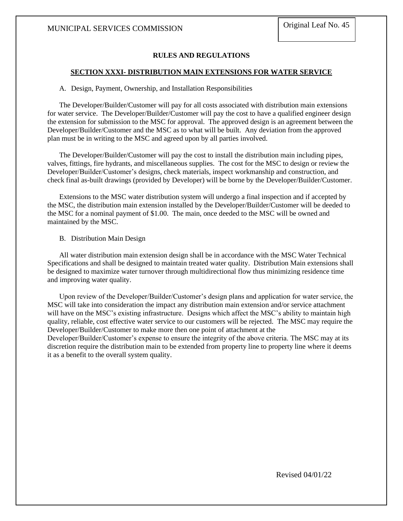#### **RULES AND REGULATIONS**

#### **SECTION XXXI- DISTRIBUTION MAIN EXTENSIONS FOR WATER SERVICE**

#### A. Design, Payment, Ownership, and Installation Responsibilities

The Developer/Builder/Customer will pay for all costs associated with distribution main extensions for water service. The Developer/Builder/Customer will pay the cost to have a qualified engineer design the extension for submission to the MSC for approval. The approved design is an agreement between the Developer/Builder/Customer and the MSC as to what will be built. Any deviation from the approved plan must be in writing to the MSC and agreed upon by all parties involved.

The Developer/Builder/Customer will pay the cost to install the distribution main including pipes, valves, fittings, fire hydrants, and miscellaneous supplies. The cost for the MSC to design or review the Developer/Builder/Customer's designs, check materials, inspect workmanship and construction, and check final as-built drawings (provided by Developer) will be borne by the Developer/Builder/Customer.

Extensions to the MSC water distribution system will undergo a final inspection and if accepted by the MSC, the distribution main extension installed by the Developer/Builder/Customer will be deeded to the MSC for a nominal payment of \$1.00. The main, once deeded to the MSC will be owned and maintained by the MSC.

#### B. Distribution Main Design

All water distribution main extension design shall be in accordance with the MSC Water Technical Specifications and shall be designed to maintain treated water quality. Distribution Main extensions shall be designed to maximize water turnover through multidirectional flow thus minimizing residence time and improving water quality.

Upon review of the Developer/Builder/Customer's design plans and application for water service, the MSC will take into consideration the impact any distribution main extension and/or service attachment will have on the MSC's existing infrastructure. Designs which affect the MSC's ability to maintain high quality, reliable, cost effective water service to our customers will be rejected. The MSC may require the Developer/Builder/Customer to make more then one point of attachment at the

Developer/Builder/Customer's expense to ensure the integrity of the above criteria. The MSC may at its discretion require the distribution main to be extended from property line to property line where it deems it as a benefit to the overall system quality.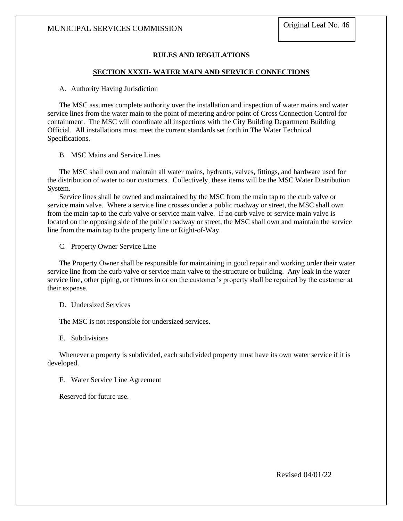### **RULES AND REGULATIONS**

#### **SECTION XXXII- WATER MAIN AND SERVICE CONNECTIONS**

#### A. Authority Having Jurisdiction

The MSC assumes complete authority over the installation and inspection of water mains and water service lines from the water main to the point of metering and/or point of Cross Connection Control for containment. The MSC will coordinate all inspections with the City Building Department Building Official. All installations must meet the current standards set forth in The Water Technical Specifications.

#### B. MSC Mains and Service Lines

The MSC shall own and maintain all water mains, hydrants, valves, fittings, and hardware used for the distribution of water to our customers. Collectively, these items will be the MSC Water Distribution System.

Service lines shall be owned and maintained by the MSC from the main tap to the curb valve or service main valve. Where a service line crosses under a public roadway or street, the MSC shall own from the main tap to the curb valve or service main valve. If no curb valve or service main valve is located on the opposing side of the public roadway or street, the MSC shall own and maintain the service line from the main tap to the property line or Right-of-Way.

C. Property Owner Service Line

The Property Owner shall be responsible for maintaining in good repair and working order their water service line from the curb valve or service main valve to the structure or building. Any leak in the water service line, other piping, or fixtures in or on the customer's property shall be repaired by the customer at their expense.

D. Undersized Services

The MSC is not responsible for undersized services.

E. Subdivisions

Whenever a property is subdivided, each subdivided property must have its own water service if it is developed.

F. Water Service Line Agreement

Reserved for future use.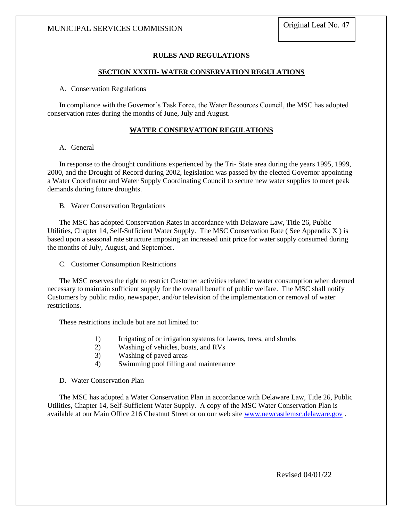### **RULES AND REGULATIONS**

#### **SECTION XXXIII- WATER CONSERVATION REGULATIONS**

#### A. Conservation Regulations

In compliance with the Governor's Task Force, the Water Resources Council, the MSC has adopted conservation rates during the months of June, July and August.

#### **WATER CONSERVATION REGULATIONS**

#### A. General

In response to the drought conditions experienced by the Tri- State area during the years 1995, 1999, 2000, and the Drought of Record during 2002, legislation was passed by the elected Governor appointing a Water Coordinator and Water Supply Coordinating Council to secure new water supplies to meet peak demands during future droughts.

B. Water Conservation Regulations

The MSC has adopted Conservation Rates in accordance with Delaware Law, Title 26, Public Utilities, Chapter 14, Self-Sufficient Water Supply. The MSC Conservation Rate ( See Appendix X ) is based upon a seasonal rate structure imposing an increased unit price for water supply consumed during the months of July, August, and September.

C. Customer Consumption Restrictions

The MSC reserves the right to restrict Customer activities related to water consumption when deemed necessary to maintain sufficient supply for the overall benefit of public welfare. The MSC shall notify Customers by public radio, newspaper, and/or television of the implementation or removal of water restrictions.

These restrictions include but are not limited to:

- 1) Irrigating of or irrigation systems for lawns, trees, and shrubs
- 2) Washing of vehicles, boats, and RVs
- 3) Washing of paved areas
- 4) Swimming pool filling and maintenance

#### D. Water Conservation Plan

The MSC has adopted a Water Conservation Plan in accordance with Delaware Law, Title 26, Public Utilities, Chapter 14, Self-Sufficient Water Supply. A copy of the MSC Water Conservation Plan is available at our Main Office 216 Chestnut Street or on our web site [www.newcastlemsc.delaware.gov](http://www.newcastlemsc.delaware.gov/) .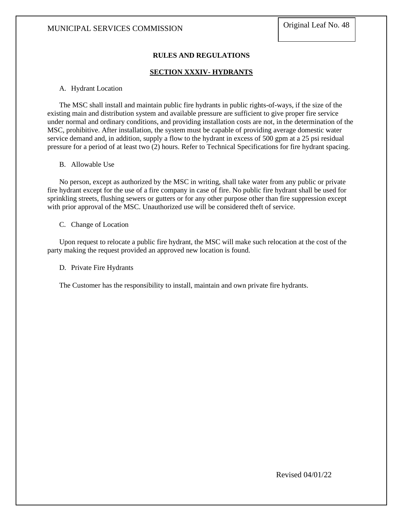### **RULES AND REGULATIONS**

### **SECTION XXXIV- HYDRANTS**

#### A. Hydrant Location

The MSC shall install and maintain public fire hydrants in public rights-of-ways, if the size of the existing main and distribution system and available pressure are sufficient to give proper fire service under normal and ordinary conditions, and providing installation costs are not, in the determination of the MSC, prohibitive. After installation, the system must be capable of providing average domestic water service demand and, in addition, supply a flow to the hydrant in excess of 500 gpm at a 25 psi residual pressure for a period of at least two (2) hours. Refer to Technical Specifications for fire hydrant spacing.

#### B. Allowable Use

No person, except as authorized by the MSC in writing, shall take water from any public or private fire hydrant except for the use of a fire company in case of fire. No public fire hydrant shall be used for sprinkling streets, flushing sewers or gutters or for any other purpose other than fire suppression except with prior approval of the MSC. Unauthorized use will be considered theft of service.

#### C. Change of Location

Upon request to relocate a public fire hydrant, the MSC will make such relocation at the cost of the party making the request provided an approved new location is found.

#### D. Private Fire Hydrants

The Customer has the responsibility to install, maintain and own private fire hydrants.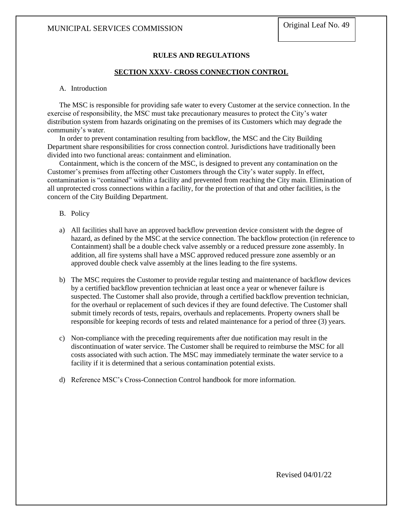#### **RULES AND REGULATIONS**

#### **SECTION XXXV- CROSS CONNECTION CONTROL**

#### A. Introduction

The MSC is responsible for providing safe water to every Customer at the service connection. In the exercise of responsibility, the MSC must take precautionary measures to protect the City's water distribution system from hazards originating on the premises of its Customers which may degrade the community's water.

In order to prevent contamination resulting from backflow, the MSC and the City Building Department share responsibilities for cross connection control. Jurisdictions have traditionally been divided into two functional areas: containment and elimination.

Containment, which is the concern of the MSC, is designed to prevent any contamination on the Customer's premises from affecting other Customers through the City's water supply. In effect, contamination is "contained" within a facility and prevented from reaching the City main. Elimination of all unprotected cross connections within a facility, for the protection of that and other facilities, is the concern of the City Building Department.

#### B. Policy

- a) All facilities shall have an approved backflow prevention device consistent with the degree of hazard, as defined by the MSC at the service connection. The backflow protection (in reference to Containment) shall be a double check valve assembly or a reduced pressure zone assembly. In addition, all fire systems shall have a MSC approved reduced pressure zone assembly or an approved double check valve assembly at the lines leading to the fire systems.
- b) The MSC requires the Customer to provide regular testing and maintenance of backflow devices by a certified backflow prevention technician at least once a year or whenever failure is suspected. The Customer shall also provide, through a certified backflow prevention technician, for the overhaul or replacement of such devices if they are found defective. The Customer shall submit timely records of tests, repairs, overhauls and replacements. Property owners shall be responsible for keeping records of tests and related maintenance for a period of three (3) years.
- c) Non-compliance with the preceding requirements after due notification may result in the discontinuation of water service. The Customer shall be required to reimburse the MSC for all costs associated with such action. The MSC may immediately terminate the water service to a facility if it is determined that a serious contamination potential exists.
- d) Reference MSC's Cross-Connection Control handbook for more information.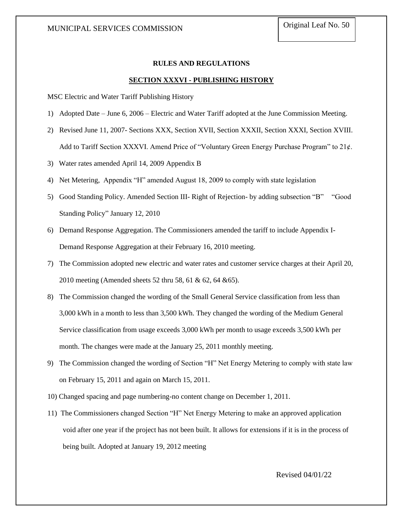#### **RULES AND REGULATIONS**

#### **SECTION XXXVI - PUBLISHING HISTORY**

MSC Electric and Water Tariff Publishing History

- 1) Adopted Date June 6, 2006 Electric and Water Tariff adopted at the June Commission Meeting.
- 2) Revised June 11, 2007- Sections XXX, Section XVII, Section XXXII, Section XXXI, Section XVIII. Add to Tariff Section XXXVI. Amend Price of "Voluntary Green Energy Purchase Program" to 21¢.
- 3) Water rates amended April 14, 2009 Appendix B
- 4) Net Metering, Appendix "H" amended August 18, 2009 to comply with state legislation
- 5) Good Standing Policy. Amended Section III- Right of Rejection- by adding subsection "B" "Good Standing Policy" January 12, 2010
- 6) Demand Response Aggregation. The Commissioners amended the tariff to include Appendix I-Demand Response Aggregation at their February 16, 2010 meeting.
- 7) The Commission adopted new electric and water rates and customer service charges at their April 20, 2010 meeting (Amended sheets 52 thru 58, 61 & 62, 64 &65).
- 8) The Commission changed the wording of the Small General Service classification from less than 3,000 kWh in a month to less than 3,500 kWh. They changed the wording of the Medium General Service classification from usage exceeds 3,000 kWh per month to usage exceeds 3,500 kWh per month. The changes were made at the January 25, 2011 monthly meeting.
- 9) The Commission changed the wording of Section "H" Net Energy Metering to comply with state law on February 15, 2011 and again on March 15, 2011.
- 10) Changed spacing and page numbering-no content change on December 1, 2011.
- 11) The Commissioners changed Section "H" Net Energy Metering to make an approved application void after one year if the project has not been built. It allows for extensions if it is in the process of being built. Adopted at January 19, 2012 meeting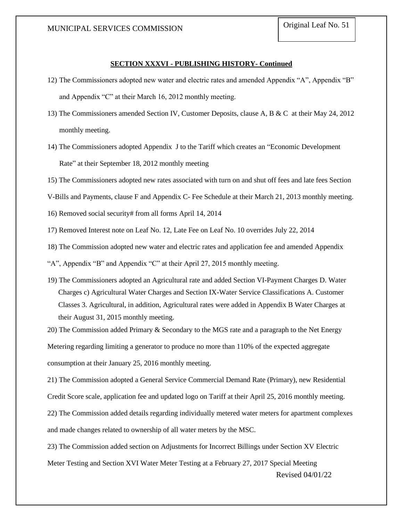#### **SECTION XXXVI - PUBLISHING HISTORY- Continued**

- 12) The Commissioners adopted new water and electric rates and amended Appendix "A", Appendix "B" and Appendix "C" at their March 16, 2012 monthly meeting.
- 13) The Commissioners amended Section IV, Customer Deposits, clause A, B & C at their May 24, 2012 monthly meeting.
- 14) The Commissioners adopted Appendix J to the Tariff which creates an "Economic Development Rate" at their September 18, 2012 monthly meeting
- 15) The Commissioners adopted new rates associated with turn on and shut off fees and late fees Section
- V-Bills and Payments, clause F and Appendix C- Fee Schedule at their March 21, 2013 monthly meeting.

16) Removed social security# from all forms April 14, 2014

- 17) Removed Interest note on Leaf No. 12, Late Fee on Leaf No. 10 overrides July 22, 2014
- 18) The Commission adopted new water and electric rates and application fee and amended Appendix

"A", Appendix "B" and Appendix "C" at their April 27, 2015 monthly meeting.

19) The Commissioners adopted an Agricultural rate and added Section VI-Payment Charges D. Water Charges c) Agricultural Water Charges and Section IX-Water Service Classifications A. Customer Classes 3. Agricultural, in addition, Agricultural rates were added in Appendix B Water Charges at their August 31, 2015 monthly meeting.

20) The Commission added Primary & Secondary to the MGS rate and a paragraph to the Net Energy Metering regarding limiting a generator to produce no more than 110% of the expected aggregate consumption at their January 25, 2016 monthly meeting.

21) The Commission adopted a General Service Commercial Demand Rate (Primary), new Residential

Credit Score scale, application fee and updated logo on Tariff at their April 25, 2016 monthly meeting.

22) The Commission added details regarding individually metered water meters for apartment complexes and made changes related to ownership of all water meters by the MSC.

23) The Commission added section on Adjustments for Incorrect Billings under Section XV Electric

Meter Testing and Section XVI Water Meter Testing at a February 27, 2017 Special Meeting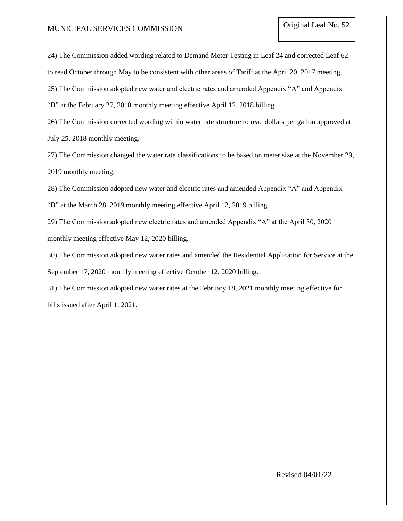24) The Commission added wording related to Demand Meter Testing in Leaf 24 and corrected Leaf 62

to read October through May to be consistent with other areas of Tariff at the April 20, 2017 meeting.

25) The Commission adopted new water and electric rates and amended Appendix "A" and Appendix

"B" at the February 27, 2018 monthly meeting effective April 12, 2018 billing.

26) The Commission corrected wording within water rate structure to read dollars per gallon approved at July 25, 2018 monthly meeting.

27) The Commission changed the water rate classifications to be based on meter size at the November 29, 2019 monthly meeting.

28) The Commission adopted new water and electric rates and amended Appendix "A" and Appendix "B" at the March 28, 2019 monthly meeting effective April 12, 2019 billing.

29) The Commission adopted new electric rates and amended Appendix "A" at the April 30, 2020 monthly meeting effective May 12, 2020 billing.

30) The Commission adopted new water rates and amended the Residential Application for Service at the September 17, 2020 monthly meeting effective October 12, 2020 billing.

31) The Commission adopted new water rates at the February 18, 2021 monthly meeting effective for bills issued after April 1, 2021.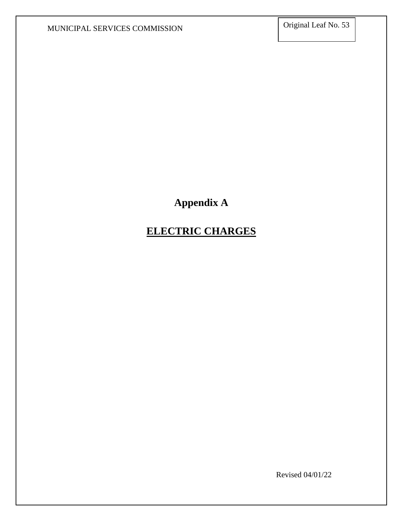# **Appendix A**

# **ELECTRIC CHARGES**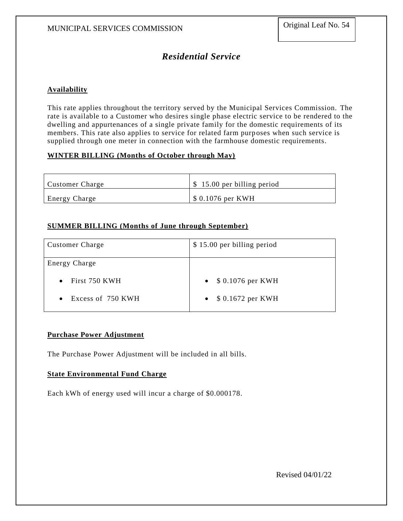# *Residential Service*

### **Availability**

This rate applies throughout the territory served by the Municipal Services Commission. The rate is available to a Customer who desires single phase electric service to be rendered to the dwelling and appurtenances of a single private family for the domestic requirements of its members. This rate also applies to service for related farm purposes when such service is supplied through one meter in connection with the farmhouse domestic requirements.

### **WINTER BILLING (Months of October through May)**

| Customer Charge      | \$15.00 per billing period |
|----------------------|----------------------------|
| <b>Energy Charge</b> | $$0.1076$ per KWH          |

### **SUMMER BILLING (Months of June through September)**

| <b>Customer Charge</b> | \$15.00 per billing period     |
|------------------------|--------------------------------|
| Energy Charge          |                                |
| First 750 KWH          | \$ 0.1076 per KWH<br>$\bullet$ |
| Excess of 750 KWH      | \$ 0.1672 per KWH<br>$\bullet$ |

### **Purchase Power Adjustment**

The Purchase Power Adjustment will be included in all bills.

### **State Environmental Fund Charge**

Each kWh of energy used will incur a charge of \$0.000178.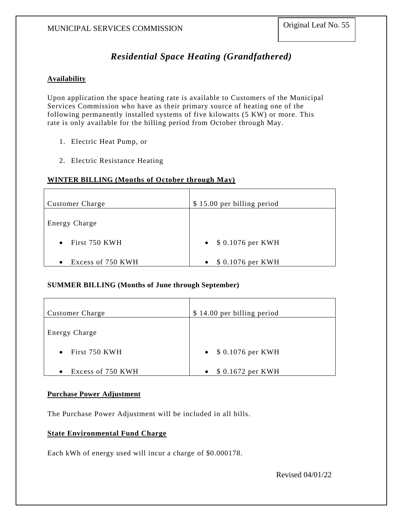# *Residential Space Heating (Grandfathered)*

### **Availability**

Upon application the space heating rate is available to Customers of the Municipal Services Commission who have as their primary source of heating one of the following permanently installed systems of five kilowatts (5 KW) or more. This rate is only available for the billing period from October through May.

- 1. Electric Heat Pump, or
- 2. Electric Resistance Heating

### **WINTER BILLING (Months of October through May)**

| <b>Customer Charge</b>         | \$15.00 per billing period     |
|--------------------------------|--------------------------------|
| <b>Energy Charge</b>           |                                |
| $\bullet$ First 750 KWH        | • $$0.1076$ per KWH            |
| Excess of 750 KWH<br>$\bullet$ | \$ 0.1076 per KWH<br>$\bullet$ |

#### **SUMMER BILLING (Months of June through September)**

| <b>Customer Charge</b>         | \$14.00 per billing period |
|--------------------------------|----------------------------|
| <b>Energy Charge</b>           |                            |
| First 750 KWH<br>$\bullet$     | • $$0.1076$ per KWH        |
| Excess of 750 KWH<br>$\bullet$ | \$ 0.1672 per KWH          |

#### **Purchase Power Adjustment**

The Purchase Power Adjustment will be included in all bills.

### **State Environmental Fund Charge**

Each kWh of energy used will incur a charge of \$0.000178.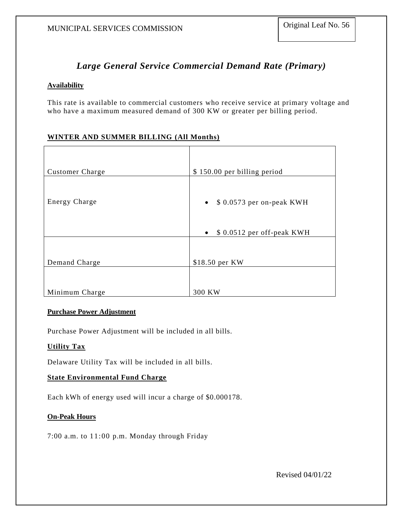## *Large General Service Commercial Demand Rate (Primary)*

### **Availability**

This rate is available to commercial customers who receive service at primary voltage and who have a maximum measured demand of 300 KW or greater per billing period.

### **WINTER AND SUMMER BILLING (All Months)**

| <b>Customer Charge</b> | \$150.00 per billing period                                                    |
|------------------------|--------------------------------------------------------------------------------|
| <b>Energy Charge</b>   | $\bullet$ \$ 0.0573 per on-peak KWH<br>\$ 0.0512 per off-peak KWH<br>$\bullet$ |
| Demand Charge          | \$18.50 per KW                                                                 |
| Minimum Charge         | 300 KW                                                                         |

#### **Purchase Power Adjustment**

Purchase Power Adjustment will be included in all bills.

### **Utility Tax**

Delaware Utility Tax will be included in all bills.

### **State Environmental Fund Charge**

Each kWh of energy used will incur a charge of \$0.000178.

### **On-Peak Hours**

7:00 a.m. to 11:00 p.m. Monday through Friday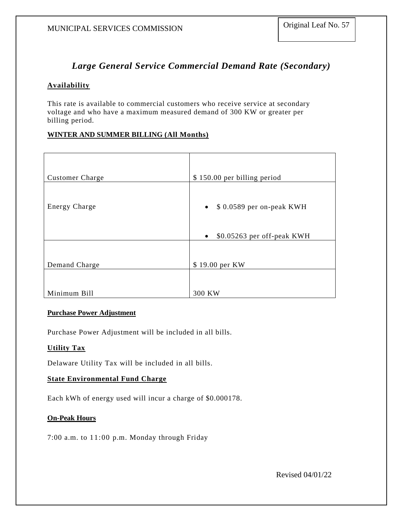# *Large General Service Commercial Demand Rate (Secondary)*

### **Availability**

This rate is available to commercial customers who receive service at secondary voltage and who have a maximum measured demand of 300 KW or greater per billing period.

### **WINTER AND SUMMER BILLING (All Months)**

| <b>Customer Charge</b> | \$150.00 per billing period             |
|------------------------|-----------------------------------------|
|                        |                                         |
| <b>Energy Charge</b>   | \$ 0.0589 per on-peak KWH<br>$\bullet$  |
|                        | \$0.05263 per off-peak KWH<br>$\bullet$ |
| Demand Charge          | \$19.00 per KW                          |
| Minimum Bill           | 300 KW                                  |

### **Purchase Power Adjustment**

Purchase Power Adjustment will be included in all bills.

### **Utility Tax**

Delaware Utility Tax will be included in all bills.

### **State Environmental Fund Charge**

Each kWh of energy used will incur a charge of \$0.000178.

### **On-Peak Hours**

7:00 a.m. to 11:00 p.m. Monday through Friday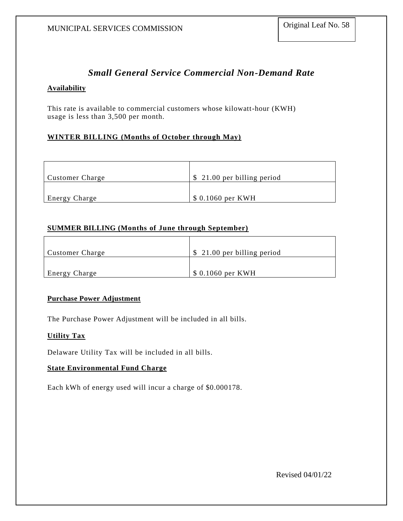## *Small General Service Commercial Non-Demand Rate*

### **Availability**

This rate is available to commercial customers whose kilowatt-hour (KWH) usage is less than 3,500 per month.

### **WINTER BILLING (Months of October through May)**

| <b>Customer Charge</b> | \$ 21.00 per billing period |
|------------------------|-----------------------------|
|                        |                             |
| <b>Energy Charge</b>   | \$ 0.1060 per KWH           |

### **SUMMER BILLING (Months of June through September)**

| <b>Customer Charge</b> | $\frac{1}{2}$ 21.00 per billing period |
|------------------------|----------------------------------------|
|                        |                                        |
| <b>Energy Charge</b>   | $\frac{1}{2}$ 0.1060 per KWH           |

### **Purchase Power Adjustment**

The Purchase Power Adjustment will be included in all bills.

### **Utility Tax**

Delaware Utility Tax will be included in all bills.

### **State Environmental Fund Charge**

Each kWh of energy used will incur a charge of \$0.000178.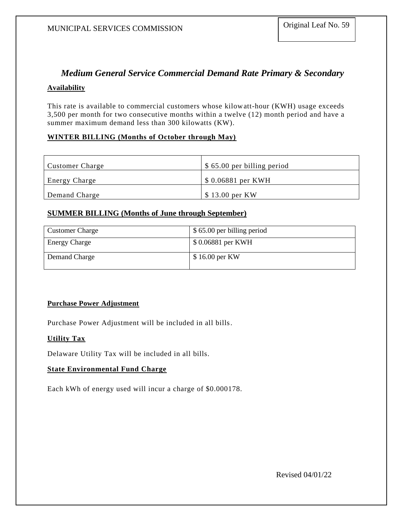# *Medium General Service Commercial Demand Rate Primary & Secondary*

### **Availability**

This rate is available to commercial customers whose kilowatt-hour (KWH) usage exceeds 3,500 per month for two consecutive months within a twelve (12) month period and have a summer maximum demand less than 300 kilowatts (KW).

### **WINTER BILLING (Months of October through May)**

| <b>Customer Charge</b> | $\frac{1}{2}$ \$ 65.00 per billing period |  |
|------------------------|-------------------------------------------|--|
| <b>Energy Charge</b>   | $\$0.06881$ per KWH                       |  |
| Demand Charge          | $\frac{1}{2}$ \$ 13.00 per KW             |  |

### **SUMMER BILLING (Months of June through September)**

| <b>Customer Charge</b> | \$65.00 per billing period |
|------------------------|----------------------------|
| <b>Energy Charge</b>   | \$0.06881 per KWH          |
| Demand Charge          | \$16.00 per KW             |

### **Purchase Power Adjustment**

Purchase Power Adjustment will be included in all bills.

### **Utility Tax**

Delaware Utility Tax will be included in all bills.

### **State Environmental Fund Charge**

Each kWh of energy used will incur a charge of \$0.000178.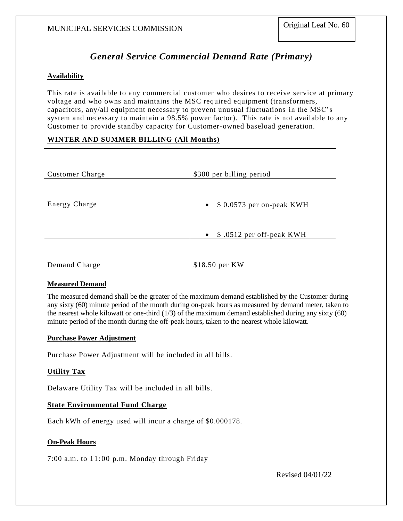## *General Service Commercial Demand Rate (Primary)*

### **Availability**

This rate is available to any commercial customer who desires to receive service at primary voltage and who owns and maintains the MSC required equipment (transformers, capacitors, any/all equipment necessary to prevent unusual fluctuations in the MSC's system and necessary to maintain a 98.5% power factor). This rate is not available to any Customer to provide standby capacity for Customer-owned baseload generation.

### **WINTER AND SUMMER BILLING (All Months)**

| <b>Customer Charge</b> | \$300 per billing period                                           |
|------------------------|--------------------------------------------------------------------|
| Energy Charge          | $\bullet$ \$ 0.0573 per on-peak KWH<br>• $$.0512$ per off-peak KWH |
| Demand Charge          | \$18.50 per KW                                                     |

### **Measured Demand**

The measured demand shall be the greater of the maximum demand established by the Customer during any sixty (60) minute period of the month during on-peak hours as measured by demand meter, taken to the nearest whole kilowatt or one-third (1/3) of the maximum demand established during any sixty (60) minute period of the month during the off-peak hours, taken to the nearest whole kilowatt.

### **Purchase Power Adjustment**

Purchase Power Adjustment will be included in all bills.

### **Utility Tax**

Delaware Utility Tax will be included in all bills.

### **State Environmental Fund Charge**

Each kWh of energy used will incur a charge of \$0.000178.

### **On-Peak Hours**

7:00 a.m. to 11:00 p.m. Monday through Friday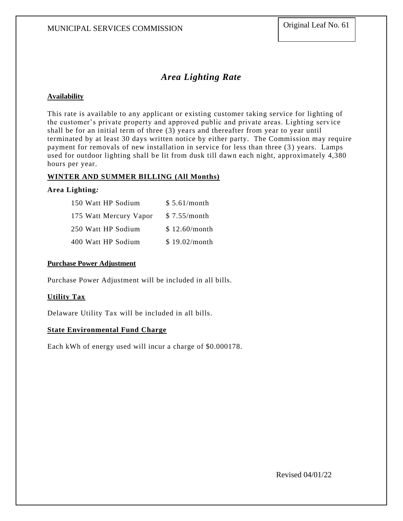# *Area Lighting Rate*

### **Availability**

This rate is available to any applicant or existing customer taking service for lighting of the customer's private property and approved public and private areas. Lighting serv ice shall be for an initial term of three (3) years and thereafter from year to year until terminated by at least 30 days written notice by either party. The Commission may require payment for removals of new installation in service for less than three (3) years. Lamps used for outdoor lighting shall be lit from dusk till dawn each night, approximately 4,380 hours per year.

### **WINTER AND SUMMER BILLING (All Months)**

### **Area Lighting***:*

| 150 Watt HP Sodium     | \$5.61/month  |
|------------------------|---------------|
| 175 Watt Mercury Vapor | \$7.55/month  |
| 250 Watt HP Sodium     | \$12.60/month |
| 400 Watt HP Sodium     | \$19.02/month |

### **Purchase Power Adjustment**

Purchase Power Adjustment will be included in all bills.

### **Utility Tax**

Delaware Utility Tax will be included in all bills.

#### **State Environmental Fund Charge**

Each kWh of energy used will incur a charge of \$0.000178.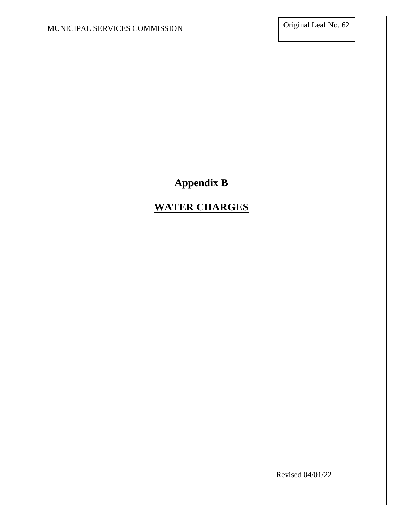**Appendix B**

# **WATER CHARGES**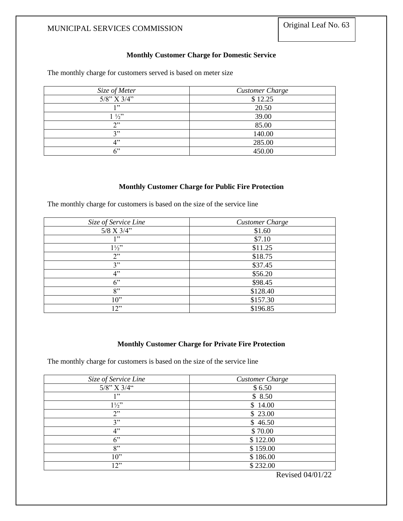### **Monthly Customer Charge for Domestic Service**

The monthly charge for customers served is based on meter size

| Size of Meter     | <b>Customer Charge</b> |
|-------------------|------------------------|
| $5/8$ " X $3/4$ " | \$12.25                |
| 199               | 20.50                  |
| $1\frac{1}{2}$    | 39.00                  |
| 2"                | 85.00                  |
| 2"                | 140.00                 |
| 4"                | 285.00                 |
| 6"                | 450.00                 |

### **Monthly Customer Charge for Public Fire Protection**

The monthly charge for customers is based on the size of the service line

| Size of Service Line | Customer Charge |
|----------------------|-----------------|
| $5/8$ X $3/4"$       | \$1.60          |
| 1"                   | \$7.10          |
| $1\frac{1}{2}$       | \$11.25         |
| 2"                   | \$18.75         |
| 3"                   | \$37.45         |
| 4"                   | \$56.20         |
| 6"                   | \$98.45         |
| 8"                   | \$128.40        |
| $10$ "               | \$157.30        |
| 12"                  | \$196.85        |

### **Monthly Customer Charge for Private Fire Protection**

The monthly charge for customers is based on the size of the service line

| Size of Service Line | <b>Customer Charge</b> |
|----------------------|------------------------|
| $5/8$ " X $3/4$ "    | \$6.50                 |
| 1, 22                | \$8.50                 |
| $1\frac{1}{2}$       | \$14.00                |
| 2"                   | \$23.00                |
| 3"                   | \$46.50                |
| 4"                   | \$70.00                |
| 6"                   | \$122.00               |
| 8"                   | \$159.00               |
| $10$ "               | \$186.00               |
| 12"                  | \$232.00               |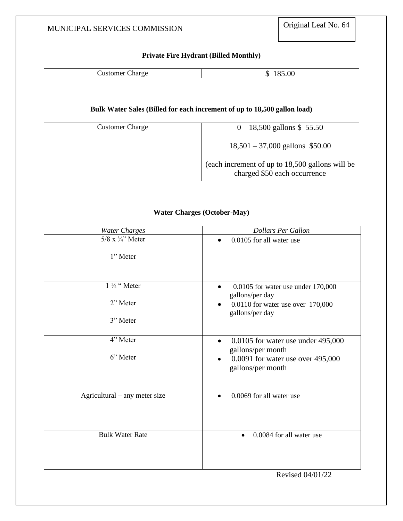## **Private Fire Hydrant (Billed Monthly)**

| --<br>$\cdots$ |                 |    |
|----------------|-----------------|----|
| .<br>ы.<br>.   | ∃istor<br>лигун | ΩC |

### **Bulk Water Sales (Billed for each increment of up to 18,500 gallon load)**

| <b>Customer Charge</b> | $0 - 18,500$ gallons \$55.50                                                    |
|------------------------|---------------------------------------------------------------------------------|
|                        | $18,501 - 37,000$ gallons \$50.00                                               |
|                        | (each increment of up to 18,500 gallons will be<br>charged \$50 each occurrence |

### **Water Charges (October-May)**

| <b>Water Charges</b>          | <b>Dollars Per Gallon</b>                                              |
|-------------------------------|------------------------------------------------------------------------|
| $5/8$ x $\frac{3}{4}$ " Meter | 0.0105 for all water use                                               |
| 1" Meter                      |                                                                        |
| 1 ½ "Meter                    | 0.0105 for water use under 170,000<br>$\bullet$<br>gallons/per day     |
| 2" Meter                      | 0.0110 for water use over 170,000<br>gallons/per day                   |
| 3" Meter                      |                                                                        |
| 4" Meter                      | $0.0105$ for water use under 495,000<br>$\bullet$<br>gallons/per month |
| 6" Meter                      | 0.0091 for water use over 495,000<br>$\bullet$<br>gallons/per month    |
| Agricultural – any meter size | 0.0069 for all water use                                               |
| <b>Bulk Water Rate</b>        | 0.0084 for all water use<br>$\bullet$                                  |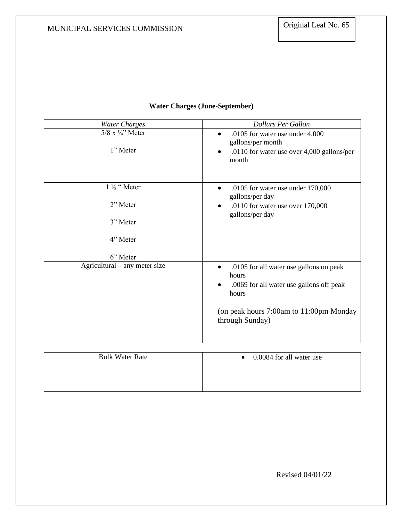| <b>Water Charges</b>                              | <b>Dollars Per Gallon</b>                                                                                                                                                        |
|---------------------------------------------------|----------------------------------------------------------------------------------------------------------------------------------------------------------------------------------|
| $5/8$ x $\frac{3}{4}$ " Meter<br>1" Meter         | .0105 for water use under 4,000<br>gallons/per month<br>.0110 for water use over 4,000 gallons/per<br>month                                                                      |
| 1 1/2 " Meter<br>2" Meter<br>3" Meter<br>4" Meter | .0105 for water use under $170,000$<br>$\bullet$<br>gallons/per day<br>.0110 for water use over 170,000<br>gallons/per day                                                       |
| 6" Meter                                          |                                                                                                                                                                                  |
| Agricultural – any meter size                     | .0105 for all water use gallons on peak<br>$\bullet$<br>hours<br>.0069 for all water use gallons off peak<br>hours<br>(on peak hours 7:00am to 11:00pm Monday<br>through Sunday) |
|                                                   |                                                                                                                                                                                  |
| <b>Bulk Water Rate</b>                            | 0.0084 for all water use                                                                                                                                                         |

## **Water Charges (June-September)**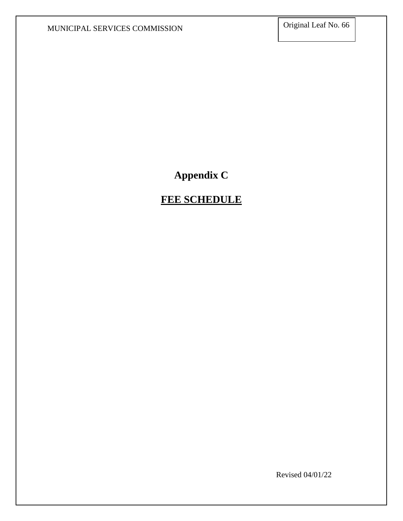# **Appendix C**

# **FEE SCHEDULE**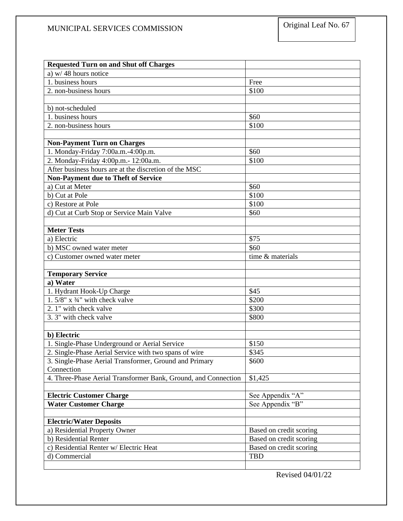| <b>Requested Turn on and Shut off Charges</b>                  |                         |
|----------------------------------------------------------------|-------------------------|
| a) $w/48$ hours notice                                         |                         |
| 1. business hours                                              | Free                    |
| 2. non-business hours                                          | \$100                   |
|                                                                |                         |
| b) not-scheduled                                               |                         |
| 1. business hours                                              | \$60                    |
| 2. non-business hours                                          | \$100                   |
|                                                                |                         |
| <b>Non-Payment Turn on Charges</b>                             |                         |
| 1. Monday-Friday 7:00a.m.-4:00p.m.                             | \$60                    |
| 2. Monday-Friday 4:00p.m.- 12:00a.m.                           | \$100                   |
| After business hours are at the discretion of the MSC          |                         |
| <b>Non-Payment due to Theft of Service</b>                     |                         |
| a) Cut at Meter                                                | \$60                    |
| b) Cut at Pole                                                 | \$100                   |
| c) Restore at Pole                                             | \$100                   |
| d) Cut at Curb Stop or Service Main Valve                      | \$60                    |
|                                                                |                         |
| <b>Meter Tests</b>                                             |                         |
| a) Electric                                                    | \$75                    |
| b) MSC owned water meter                                       | \$60                    |
| c) Customer owned water meter                                  | time & materials        |
|                                                                |                         |
| <b>Temporary Service</b>                                       |                         |
| a) Water                                                       |                         |
| 1. Hydrant Hook-Up Charge                                      | \$45                    |
| 1.5/8" $x$ 3/4" with check valve                               | \$200                   |
| 2. 1" with check valve                                         | \$300                   |
| 3.3" with check valve                                          | \$800                   |
|                                                                |                         |
| b) Electric                                                    |                         |
| 1. Single-Phase Underground or Aerial Service                  | \$150                   |
| 2. Single-Phase Aerial Service with two spans of wire          | \$345                   |
| 3. Single-Phase Aerial Transformer, Ground and Primary         | \$600                   |
| Connection                                                     |                         |
| 4. Three-Phase Aerial Transformer Bank, Ground, and Connection | \$1,425                 |
|                                                                |                         |
| <b>Electric Customer Charge</b>                                | See Appendix "A"        |
| <b>Water Customer Charge</b>                                   | See Appendix "B"        |
|                                                                |                         |
| <b>Electric/Water Deposits</b>                                 |                         |
| a) Residential Property Owner                                  | Based on credit scoring |
| b) Residential Renter                                          | Based on credit scoring |
| c) Residential Renter w/ Electric Heat                         | Based on credit scoring |
| d) Commercial                                                  | <b>TBD</b>              |
|                                                                |                         |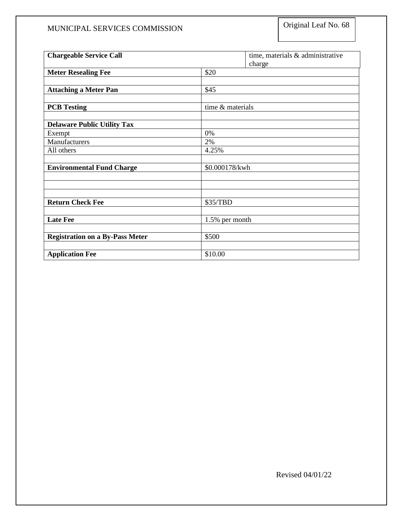| <b>Chargeable Service Call</b>         |                  | time, materials & administrative |
|----------------------------------------|------------------|----------------------------------|
| <b>Meter Resealing Fee</b>             | \$20             | charge                           |
|                                        |                  |                                  |
| <b>Attaching a Meter Pan</b>           | \$45             |                                  |
|                                        |                  |                                  |
| <b>PCB</b> Testing                     | time & materials |                                  |
|                                        |                  |                                  |
| <b>Delaware Public Utility Tax</b>     |                  |                                  |
| Exempt                                 | 0%               |                                  |
| Manufacturers                          | 2%               |                                  |
| All others                             | 4.25%            |                                  |
|                                        |                  |                                  |
| <b>Environmental Fund Charge</b>       | \$0.000178/kwh   |                                  |
|                                        |                  |                                  |
|                                        |                  |                                  |
|                                        |                  |                                  |
| <b>Return Check Fee</b>                | \$35/TBD         |                                  |
| <b>Late Fee</b>                        | 1.5% per month   |                                  |
|                                        |                  |                                  |
| <b>Registration on a By-Pass Meter</b> | \$500            |                                  |
|                                        |                  |                                  |
| <b>Application Fee</b>                 | \$10.00          |                                  |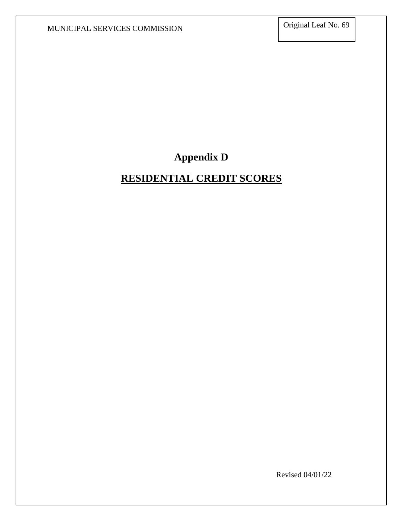**Appendix D**

## **RESIDENTIAL CREDIT SCORES**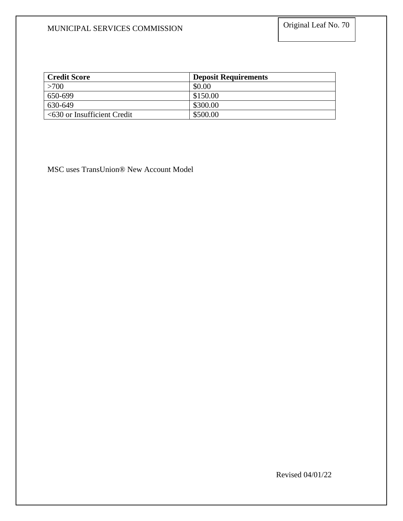| <b>Credit Score</b>           | <b>Deposit Requirements</b> |
|-------------------------------|-----------------------------|
| >700                          | \$0.00                      |
| 650-699                       | \$150.00                    |
| 630-649                       | \$300.00                    |
| $<630$ or Insufficient Credit | \$500.00                    |

MSC uses TransUnion® New Account Model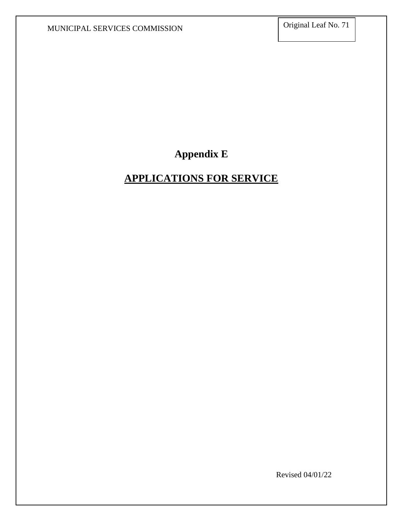## **Appendix E**

## **APPLICATIONS FOR SERVICE**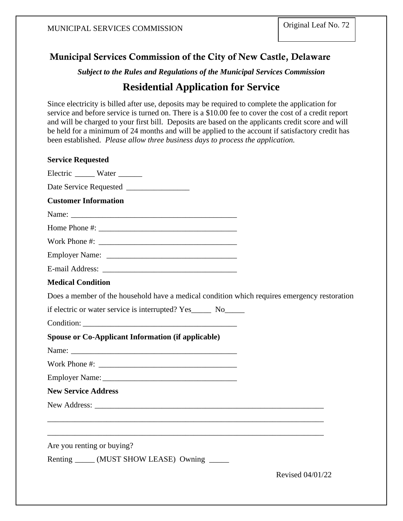### Municipal Services Commission of the City of New Castle, Delaware

*Subject to the Rules and Regulations of the Municipal Services Commission*

### **Residential Application for Service**

Since electricity is billed after use, deposits may be required to complete the application for service and before service is turned on. There is a \$10.00 fee to cover the cost of a credit report and will be charged to your first bill. Deposits are based on the applicants credit score and will be held for a minimum of 24 months and will be applied to the account if satisfactory credit has been established. *Please allow three business days to process the application.*

| <b>Service Requested</b>                                                                     |                  |
|----------------------------------------------------------------------------------------------|------------------|
| Electric _______ Water _______                                                               |                  |
|                                                                                              |                  |
| <b>Customer Information</b>                                                                  |                  |
|                                                                                              |                  |
|                                                                                              |                  |
|                                                                                              |                  |
|                                                                                              |                  |
|                                                                                              |                  |
| <b>Medical Condition</b>                                                                     |                  |
| Does a member of the household have a medical condition which requires emergency restoration |                  |
| if electric or water service is interrupted? Yes _______ No_______                           |                  |
| Condition:                                                                                   |                  |
| <b>Spouse or Co-Applicant Information (if applicable)</b>                                    |                  |
|                                                                                              |                  |
| Work Phone #:                                                                                |                  |
|                                                                                              |                  |
| <b>New Service Address</b>                                                                   |                  |
|                                                                                              |                  |
|                                                                                              |                  |
|                                                                                              |                  |
| Are you renting or buying?                                                                   |                  |
| Renting ______ (MUST SHOW LEASE) Owning ______                                               |                  |
|                                                                                              | Revised 04/01/22 |
|                                                                                              |                  |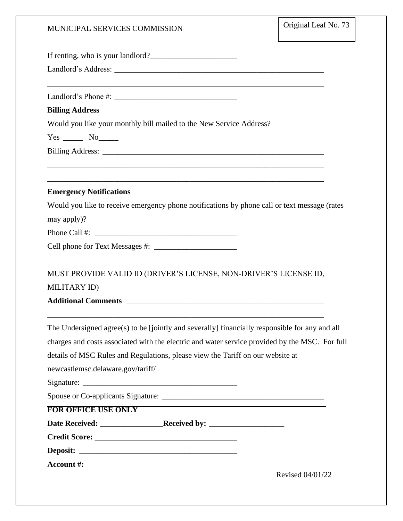| If renting, who is your landlord? |  |
|-----------------------------------|--|
|-----------------------------------|--|

Landlord's Address: \_\_\_\_\_\_\_\_\_\_\_\_\_\_\_\_\_\_\_\_\_\_\_\_\_\_\_\_\_\_\_\_\_\_\_\_\_\_\_\_\_\_\_\_\_\_\_\_\_\_\_\_\_

Landlord's Phone #: \_\_\_\_\_\_\_\_\_\_\_\_\_\_\_\_\_\_\_\_\_\_\_\_\_\_\_\_\_\_\_

#### **Billing Address**

Would you like your monthly bill mailed to the New Service Address?

\_\_\_\_\_\_\_\_\_\_\_\_\_\_\_\_\_\_\_\_\_\_\_\_\_\_\_\_\_\_\_\_\_\_\_\_\_\_\_\_\_\_\_\_\_\_\_\_\_\_\_\_\_\_\_\_\_\_\_\_\_\_\_\_\_\_\_\_\_\_

\_\_\_\_\_\_\_\_\_\_\_\_\_\_\_\_\_\_\_\_\_\_\_\_\_\_\_\_\_\_\_\_\_\_\_\_\_\_\_\_\_\_\_\_\_\_\_\_\_\_\_\_\_\_\_\_\_\_\_\_\_\_\_\_\_\_\_\_\_\_

\_\_\_\_\_\_\_\_\_\_\_\_\_\_\_\_\_\_\_\_\_\_\_\_\_\_\_\_\_\_\_\_\_\_\_\_\_\_\_\_\_\_\_\_\_\_\_\_\_\_\_\_\_\_\_\_\_\_\_\_\_\_\_\_\_\_\_\_\_\_

Yes \_\_\_\_\_\_\_ No\_\_\_\_\_\_

Billing Address: \_\_\_\_\_\_\_\_\_\_\_\_\_\_\_\_\_\_\_\_\_\_\_\_\_\_\_\_\_\_\_\_\_\_\_\_\_\_\_\_\_\_\_\_\_\_\_\_\_\_\_\_\_\_\_\_

#### **Emergency Notifications**

Would you like to receive emergency phone notifications by phone call or text message (rates may apply)?

Phone Call #: \_\_\_\_\_\_\_\_\_\_\_\_\_\_\_\_\_\_\_\_\_\_\_\_\_\_\_\_\_\_\_\_\_\_\_\_

| Cell phone for Text Messages #: |  |
|---------------------------------|--|
|---------------------------------|--|

MUST PROVIDE VALID ID (DRIVER'S LICENSE, NON-DRIVER'S LICENSE ID,

\_\_\_\_\_\_\_\_\_\_\_\_\_\_\_\_\_\_\_\_\_\_\_\_\_\_\_\_\_\_\_\_\_\_\_\_\_\_\_\_\_\_\_\_\_\_\_\_\_\_\_\_\_\_\_\_\_\_\_\_\_\_\_\_\_\_\_\_\_\_

MILITARY ID)

**Additional Comments** \_\_\_\_\_\_\_\_\_\_\_\_\_\_\_\_\_\_\_\_\_\_\_\_\_\_\_\_\_\_\_\_\_\_\_\_\_\_\_\_\_\_\_\_\_\_\_\_\_\_

| The Undersigned agree(s) to be [jointly and severally] financially responsible for any and all |                  |
|------------------------------------------------------------------------------------------------|------------------|
| charges and costs associated with the electric and water service provided by the MSC. For full |                  |
| details of MSC Rules and Regulations, please view the Tariff on our website at                 |                  |
| newcastlemsc.delaware.gov/tariff/                                                              |                  |
|                                                                                                |                  |
|                                                                                                |                  |
| <b>FOR OFFICE USE ONLY</b>                                                                     |                  |
|                                                                                                |                  |
|                                                                                                |                  |
|                                                                                                |                  |
| Account #:                                                                                     |                  |
|                                                                                                | Revised 04/01/22 |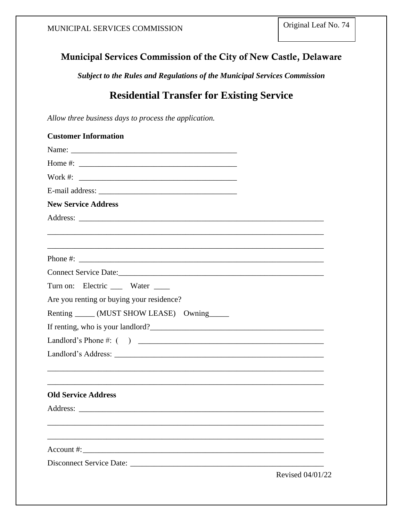### Municipal Services Commission of the City of New Castle, Delaware

*Subject to the Rules and Regulations of the Municipal Services Commission*

## **Residential Transfer for Existing Service**

*Allow three business days to process the application.* 

| <b>Customer Information</b>                                                                                                                                                                                                                                                                           |                  |
|-------------------------------------------------------------------------------------------------------------------------------------------------------------------------------------------------------------------------------------------------------------------------------------------------------|------------------|
|                                                                                                                                                                                                                                                                                                       |                  |
| Home #: $\frac{1}{2}$ = $\frac{1}{2}$ = $\frac{1}{2}$ = $\frac{1}{2}$ = $\frac{1}{2}$ = $\frac{1}{2}$ = $\frac{1}{2}$ = $\frac{1}{2}$ = $\frac{1}{2}$ = $\frac{1}{2}$ = $\frac{1}{2}$ = $\frac{1}{2}$ = $\frac{1}{2}$ = $\frac{1}{2}$ = $\frac{1}{2}$ = $\frac{1}{2}$ = $\frac{1}{2}$ = $\frac{1}{2}$ |                  |
| Work #: $\qquad \qquad$                                                                                                                                                                                                                                                                               |                  |
|                                                                                                                                                                                                                                                                                                       |                  |
| <b>New Service Address</b>                                                                                                                                                                                                                                                                            |                  |
|                                                                                                                                                                                                                                                                                                       |                  |
|                                                                                                                                                                                                                                                                                                       |                  |
|                                                                                                                                                                                                                                                                                                       |                  |
| Phone #:                                                                                                                                                                                                                                                                                              |                  |
|                                                                                                                                                                                                                                                                                                       |                  |
| Turn on: Electric ____ Water ____                                                                                                                                                                                                                                                                     |                  |
| Are you renting or buying your residence?                                                                                                                                                                                                                                                             |                  |
| Renting ______ (MUST SHOW LEASE) Owning ______                                                                                                                                                                                                                                                        |                  |
| If renting, who is your landlord?                                                                                                                                                                                                                                                                     |                  |
|                                                                                                                                                                                                                                                                                                       |                  |
|                                                                                                                                                                                                                                                                                                       |                  |
|                                                                                                                                                                                                                                                                                                       |                  |
|                                                                                                                                                                                                                                                                                                       |                  |
| <b>Old Service Address</b>                                                                                                                                                                                                                                                                            |                  |
|                                                                                                                                                                                                                                                                                                       |                  |
|                                                                                                                                                                                                                                                                                                       |                  |
|                                                                                                                                                                                                                                                                                                       |                  |
|                                                                                                                                                                                                                                                                                                       |                  |
| Disconnect Service Date:                                                                                                                                                                                                                                                                              |                  |
|                                                                                                                                                                                                                                                                                                       | Revised 04/01/22 |
|                                                                                                                                                                                                                                                                                                       |                  |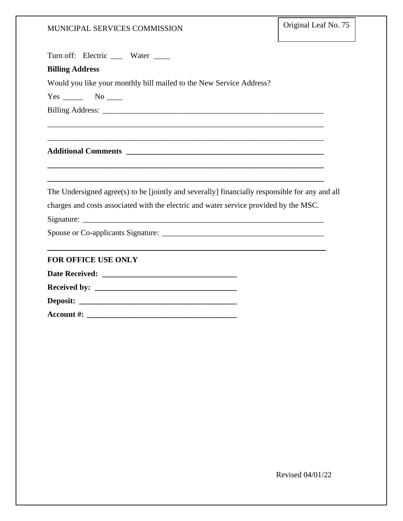Turn off: Electric \_\_\_ Water \_\_\_

#### **Billing Address**

Would you like your monthly bill mailed to the New Service Address?

 $Yes \_\_ No \_\_$ 

Billing Address: \_\_\_\_\_\_\_\_\_\_\_\_\_\_\_\_\_\_\_\_\_\_\_\_\_\_\_\_\_\_\_\_\_\_\_\_\_\_\_\_\_\_\_\_\_\_\_\_\_\_\_\_\_\_\_\_

**Additional Comments \_\_\_\_\_\_\_\_\_\_\_\_\_\_\_\_\_\_\_\_\_\_\_\_\_\_\_\_\_\_\_\_\_\_\_\_\_\_\_\_\_\_\_\_\_\_\_\_\_\_**

The Undersigned agree(s) to be [jointly and severally] financially responsible for any and all charges and costs associated with the electric and water service provided by the MSC.

\_\_\_\_\_\_\_\_\_\_\_\_\_\_\_\_\_\_\_\_\_\_\_\_\_\_\_\_\_\_\_\_\_\_\_\_\_\_\_\_\_\_\_\_\_\_\_\_\_\_\_\_\_\_\_\_\_\_\_\_\_\_\_\_\_\_\_\_\_\_

\_\_\_\_\_\_\_\_\_\_\_\_\_\_\_\_\_\_\_\_\_\_\_\_\_\_\_\_\_\_\_\_\_\_\_\_\_\_\_\_\_\_\_\_\_\_\_\_\_\_\_\_\_\_\_\_\_\_\_\_\_\_\_\_\_\_\_\_\_\_

**\_\_\_\_\_\_\_\_\_\_\_\_\_\_\_\_\_\_\_\_\_\_\_\_\_\_\_\_\_\_\_\_\_\_\_\_\_\_\_\_\_\_\_\_\_\_\_\_\_\_\_\_\_\_\_\_\_\_\_\_\_\_\_\_\_\_\_\_\_\_**

**\_\_\_\_\_\_\_\_\_\_\_\_\_\_\_\_\_\_\_\_\_\_\_\_\_\_\_\_\_\_\_\_\_\_\_\_\_\_\_\_\_\_\_\_\_\_\_\_\_\_\_\_\_\_\_\_\_\_\_\_\_\_\_\_\_\_\_\_\_\_**

Signature: \_\_\_\_\_\_\_\_\_\_\_\_\_\_\_\_\_\_\_\_\_\_\_\_\_\_\_\_\_\_\_\_\_\_\_\_\_\_\_\_\_\_\_\_\_\_\_\_\_\_\_\_\_\_\_\_\_\_\_\_\_

Spouse or Co-applicants Signature: \_\_\_\_\_\_\_\_\_\_\_\_\_\_\_\_\_\_\_\_\_\_\_\_\_\_\_\_\_\_\_\_\_\_\_\_\_\_\_\_\_

#### **FOR OFFICE USE ONLY**

**Date Received: \_\_\_\_\_\_\_\_\_\_\_\_\_\_\_\_\_\_\_\_\_\_\_\_\_\_\_\_\_\_\_\_\_\_**

**Received by: \_\_\_\_\_\_\_\_\_\_\_\_\_\_\_\_\_\_\_\_\_\_\_\_\_\_\_\_\_\_\_\_\_\_\_\_**

**Deposit:**  $\blacksquare$ 

**Account #: \_\_\_\_\_\_\_\_\_\_\_\_\_\_\_\_\_\_\_\_\_\_\_\_\_\_\_\_\_\_\_\_\_\_\_\_\_\_**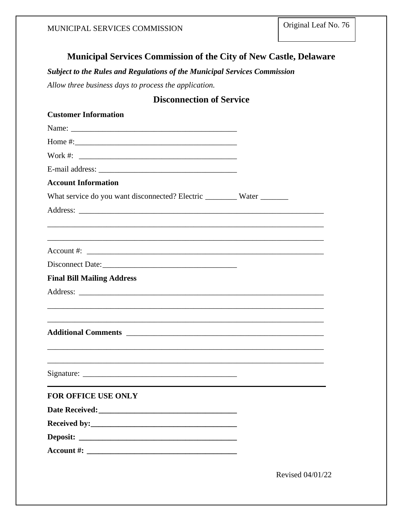### **Municipal Services Commission of the City of New Castle, Delaware**

*Subject to the Rules and Regulations of the Municipal Services Commission*

*Allow three business days to process the application.* 

### **Disconnection of Service**

| <b>Customer Information</b>                                                                                                      |  |
|----------------------------------------------------------------------------------------------------------------------------------|--|
|                                                                                                                                  |  |
| Home $\#$ :                                                                                                                      |  |
| Work #: $\qquad \qquad$                                                                                                          |  |
|                                                                                                                                  |  |
| <b>Account Information</b>                                                                                                       |  |
| What service do you want disconnected? Electric __________ Water _________                                                       |  |
|                                                                                                                                  |  |
|                                                                                                                                  |  |
|                                                                                                                                  |  |
|                                                                                                                                  |  |
| <b>Final Bill Mailing Address</b>                                                                                                |  |
|                                                                                                                                  |  |
|                                                                                                                                  |  |
|                                                                                                                                  |  |
|                                                                                                                                  |  |
|                                                                                                                                  |  |
|                                                                                                                                  |  |
|                                                                                                                                  |  |
| <b>FOR OFFICE USE ONLY</b>                                                                                                       |  |
| Date Received: New York 1988                                                                                                     |  |
|                                                                                                                                  |  |
| Deposit:<br><u> Alexandria de la contrada de la contrada de la contrada de la contrada de la contrada de la contrada de la c</u> |  |
|                                                                                                                                  |  |
|                                                                                                                                  |  |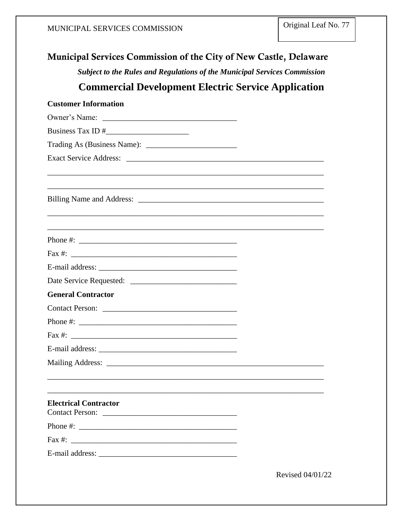| <b>Municipal Services Commission of the City of New Castle, Delaware</b>         |                  |
|----------------------------------------------------------------------------------|------------------|
| <b>Subject to the Rules and Regulations of the Municipal Services Commission</b> |                  |
| <b>Commercial Development Electric Service Application</b>                       |                  |
| <b>Customer Information</b>                                                      |                  |
|                                                                                  |                  |
|                                                                                  |                  |
|                                                                                  |                  |
| Exact Service Address: Lawrence Address:                                         |                  |
|                                                                                  |                  |
|                                                                                  |                  |
|                                                                                  |                  |
|                                                                                  |                  |
|                                                                                  |                  |
| <b>General Contractor</b>                                                        |                  |
|                                                                                  |                  |
| Phone $\#$ :                                                                     |                  |
|                                                                                  |                  |
|                                                                                  |                  |
|                                                                                  |                  |
| <b>Electrical Contractor</b>                                                     |                  |
|                                                                                  |                  |
| Fax $\#$ :                                                                       |                  |
|                                                                                  |                  |
|                                                                                  | Revised 04/01/22 |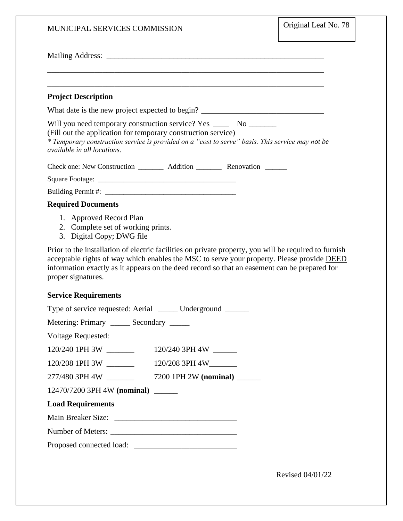| MUNICIPAL SERVICES COMMISSION                                                                                                                                                                                                                                                                                             | Original Leaf No. 78 |
|---------------------------------------------------------------------------------------------------------------------------------------------------------------------------------------------------------------------------------------------------------------------------------------------------------------------------|----------------------|
|                                                                                                                                                                                                                                                                                                                           |                      |
|                                                                                                                                                                                                                                                                                                                           |                      |
| <b>Project Description</b>                                                                                                                                                                                                                                                                                                |                      |
| What date is the new project expected to begin? ________________________________                                                                                                                                                                                                                                          |                      |
| Will you need temporary construction service? Yes ________ No _________<br>(Fill out the application for temporary construction service)<br>* Temporary construction service is provided on a "cost to serve" basis. This service may not be<br>available in all locations.                                               |                      |
| Check one: New Construction __________ Addition ___________ Renovation ________                                                                                                                                                                                                                                           |                      |
|                                                                                                                                                                                                                                                                                                                           |                      |
|                                                                                                                                                                                                                                                                                                                           |                      |
| <b>Required Documents</b>                                                                                                                                                                                                                                                                                                 |                      |
| 1. Approved Record Plan<br>2. Complete set of working prints.<br>3. Digital Copy; DWG file                                                                                                                                                                                                                                |                      |
| Prior to the installation of electric facilities on private property, you will be required to furnish<br>acceptable rights of way which enables the MSC to serve your property. Please provide DEED<br>information exactly as it appears on the deed record so that an easement can be prepared for<br>proper signatures. |                      |
| <b>Service Requirements</b>                                                                                                                                                                                                                                                                                               |                      |
| Type of service requested: Aerial<br>Underground                                                                                                                                                                                                                                                                          |                      |
| Metering: Primary _______ Secondary ______                                                                                                                                                                                                                                                                                |                      |
| <b>Voltage Requested:</b>                                                                                                                                                                                                                                                                                                 |                      |
| $120/240$ 1PH 3W ________                                                                                                                                                                                                                                                                                                 |                      |
| 120/208 1PH 3W<br>120/208 3PH 4W________                                                                                                                                                                                                                                                                                  |                      |
| 277/480 3PH 4W ______<br>7200 1PH 2W (nominal) ______                                                                                                                                                                                                                                                                     |                      |
| 12470/7200 3PH 4W (nominal) ______                                                                                                                                                                                                                                                                                        |                      |
| <b>Load Requirements</b>                                                                                                                                                                                                                                                                                                  |                      |
|                                                                                                                                                                                                                                                                                                                           |                      |
|                                                                                                                                                                                                                                                                                                                           |                      |
|                                                                                                                                                                                                                                                                                                                           |                      |
|                                                                                                                                                                                                                                                                                                                           |                      |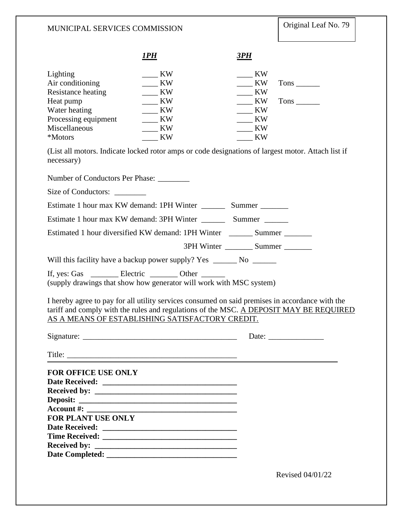|                                                                                                                                                                                                                                              | 1PH                                                        | 3PH                                                                      |                       |
|----------------------------------------------------------------------------------------------------------------------------------------------------------------------------------------------------------------------------------------------|------------------------------------------------------------|--------------------------------------------------------------------------|-----------------------|
| Lighting<br>Air conditioning<br>Resistance heating<br>Heat pump<br>Water heating<br>Processing equipment<br>Miscellaneous<br>*Motors<br>(List all motors. Indicate locked rotor amps or code designations of largest motor. Attach list if   | KW<br>KW<br>KW<br>KW<br>KW<br>KW<br><b>KW</b><br><b>KW</b> | KW<br>KW<br>$\frac{1}{1}$ KW<br><b>KW</b><br>KW<br>KW<br><b>KW</b><br>KW |                       |
| necessary)                                                                                                                                                                                                                                   |                                                            |                                                                          |                       |
| Number of Conductors Per Phase:                                                                                                                                                                                                              |                                                            |                                                                          |                       |
| Size of Conductors:                                                                                                                                                                                                                          |                                                            |                                                                          |                       |
|                                                                                                                                                                                                                                              |                                                            |                                                                          |                       |
|                                                                                                                                                                                                                                              |                                                            |                                                                          |                       |
| Estimated 1 hour diversified KW demand: 1PH Winter _________ Summer ________                                                                                                                                                                 |                                                            |                                                                          |                       |
|                                                                                                                                                                                                                                              |                                                            | 3PH Winter __________ Summer ________                                    |                       |
| Will this facility have a backup power supply? Yes ______________________________                                                                                                                                                            |                                                            |                                                                          |                       |
| If, yes: Gas __________ Electric __________ Other ________<br>(supply drawings that show how generator will work with MSC system)                                                                                                            |                                                            |                                                                          |                       |
| I hereby agree to pay for all utility services consumed on said premises in accordance with the<br>tariff and comply with the rules and regulations of the MSC. A DEPOSIT MAY BE REQUIRED<br>AS A MEANS OF ESTABLISHING SATISFACTORY CREDIT. |                                                            |                                                                          |                       |
|                                                                                                                                                                                                                                              |                                                            |                                                                          | Date: $\qquad \qquad$ |
| Title:                                                                                                                                                                                                                                       |                                                            |                                                                          |                       |
| <b>FOR OFFICE USE ONLY</b><br><b>FOR PLANT USE ONLY</b><br><b>Received by:</b>                                                                                                                                                               |                                                            |                                                                          |                       |
|                                                                                                                                                                                                                                              |                                                            |                                                                          | Revised 04/01/22      |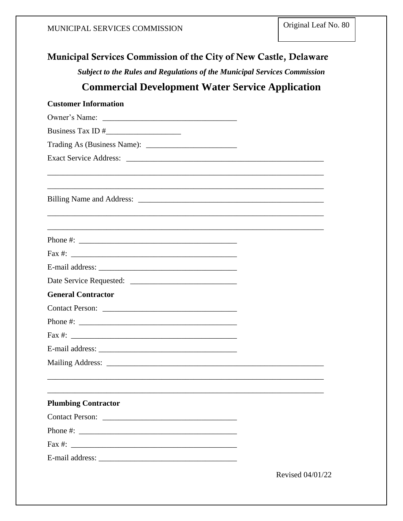# Municipal Services Commission of the City of New Castle, Delaware Subject to the Rules and Regulations of the Municipal Services Commission **Commercial Development Water Service Application Customer Information** Owner's Name: Business Tax ID # Trading As (Business Name): Phone  $\#$ : Fax  $\#$ : E-mail address: Date Service Requested: **General Contractor** Contact Person: Fax #:  $\frac{1}{2}$  =  $\frac{1}{2}$  =  $\frac{1}{2}$  =  $\frac{1}{2}$  =  $\frac{1}{2}$  =  $\frac{1}{2}$  =  $\frac{1}{2}$  =  $\frac{1}{2}$  =  $\frac{1}{2}$  =  $\frac{1}{2}$  =  $\frac{1}{2}$  =  $\frac{1}{2}$  =  $\frac{1}{2}$  =  $\frac{1}{2}$  =  $\frac{1}{2}$  =  $\frac{1}{2}$  =  $\frac{1}{2}$  =  $\frac{1}{2}$  **Plumbing Contractor** Contact Person: Laterature and the contract Person: Phone #: E-mail address: Revised 04/01/22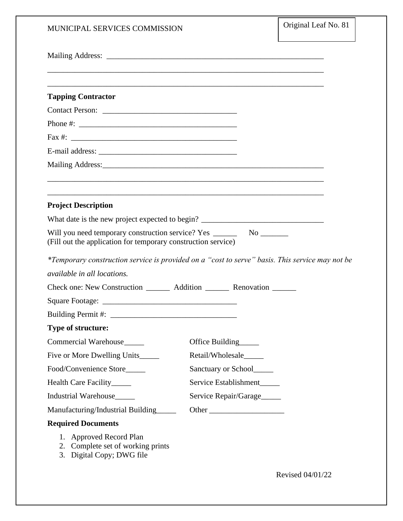| MUNICIPAL SERVICES COMMISSION                                                                                                                                                                                                  |                       | Original Leaf No. 81 |
|--------------------------------------------------------------------------------------------------------------------------------------------------------------------------------------------------------------------------------|-----------------------|----------------------|
|                                                                                                                                                                                                                                |                       |                      |
|                                                                                                                                                                                                                                |                       |                      |
| <b>Tapping Contractor</b>                                                                                                                                                                                                      |                       |                      |
| Contact Person:                                                                                                                                                                                                                |                       |                      |
|                                                                                                                                                                                                                                |                       |                      |
|                                                                                                                                                                                                                                |                       |                      |
|                                                                                                                                                                                                                                |                       |                      |
| Mailing Address: Universe of the Contractor of the Contractor of the Contractor of the Contractor of the Contractor of the Contractor of the Contractor of the Contractor of the Contractor of the Contractor of the Contracto |                       |                      |
|                                                                                                                                                                                                                                |                       |                      |
| <b>Project Description</b>                                                                                                                                                                                                     |                       |                      |
| What date is the new project expected to begin? _________________________________                                                                                                                                              |                       |                      |
| Will you need temporary construction service? Yes _______________________________<br>(Fill out the application for temporary construction service)                                                                             |                       |                      |
| *Temporary construction service is provided on a "cost to serve" basis. This service may not be                                                                                                                                |                       |                      |
| available in all locations.                                                                                                                                                                                                    |                       |                      |
| Check one: New Construction ________ Addition ________ Renovation ______                                                                                                                                                       |                       |                      |
|                                                                                                                                                                                                                                |                       |                      |
| Building Permit#:                                                                                                                                                                                                              |                       |                      |
| <b>Type of structure:</b>                                                                                                                                                                                                      |                       |                      |
| Commercial Warehouse                                                                                                                                                                                                           | Office Building       |                      |
| Five or More Dwelling Units                                                                                                                                                                                                    | Retail/Wholesale      |                      |
| Food/Convenience Store_____                                                                                                                                                                                                    | Sanctuary or School   |                      |
| Health Care Facility______                                                                                                                                                                                                     | Service Establishment |                      |
| Industrial Warehouse____                                                                                                                                                                                                       | Service Repair/Garage |                      |
| Manufacturing/Industrial Building                                                                                                                                                                                              |                       |                      |
| <b>Required Documents</b>                                                                                                                                                                                                      |                       |                      |
| 1. Approved Record Plan<br>2. Complete set of working prints<br>3. Digital Copy; DWG file                                                                                                                                      |                       |                      |

Revised 04/01/22

 $\overline{\mathsf{r}}$ 

 $\overline{\mathsf{I}}$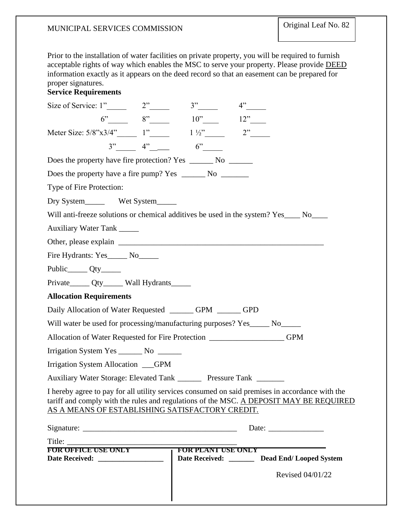Prior to the installation of water facilities on private property, you will be required to furnish acceptable rights of way which enables the MSC to serve your property. Please provide DEED information exactly as it appears on the deed record so that an easement can be prepared for proper signatures.

### **Service Requirements**

| Size of Service: $1"$ 2" 3"                                                                                                                                                                                                                                                                                                                                                                                  |                                             | 4" |                                                          |
|--------------------------------------------------------------------------------------------------------------------------------------------------------------------------------------------------------------------------------------------------------------------------------------------------------------------------------------------------------------------------------------------------------------|---------------------------------------------|----|----------------------------------------------------------|
|                                                                                                                                                                                                                                                                                                                                                                                                              | $6"$ $8"$ $10"$ $12"$                       |    |                                                          |
| Meter Size: $5/8$ "x3/4" 1" 1'/2" 2"                                                                                                                                                                                                                                                                                                                                                                         |                                             |    |                                                          |
|                                                                                                                                                                                                                                                                                                                                                                                                              | $3"$ $4"$ $6"$                              |    |                                                          |
| Does the property have fire protection? Yes ________ No ________                                                                                                                                                                                                                                                                                                                                             |                                             |    |                                                          |
|                                                                                                                                                                                                                                                                                                                                                                                                              |                                             |    |                                                          |
| Type of Fire Protection:                                                                                                                                                                                                                                                                                                                                                                                     |                                             |    |                                                          |
| Dry System________ Wet System______                                                                                                                                                                                                                                                                                                                                                                          |                                             |    |                                                          |
| Will anti-freeze solutions or chemical additives be used in the system? Yes____ No____                                                                                                                                                                                                                                                                                                                       |                                             |    |                                                          |
| Auxiliary Water Tank ______                                                                                                                                                                                                                                                                                                                                                                                  |                                             |    |                                                          |
|                                                                                                                                                                                                                                                                                                                                                                                                              |                                             |    |                                                          |
| Fire Hydrants: Yes______ No______                                                                                                                                                                                                                                                                                                                                                                            |                                             |    |                                                          |
|                                                                                                                                                                                                                                                                                                                                                                                                              |                                             |    |                                                          |
| Private______ Qty______ Wall Hydrants______                                                                                                                                                                                                                                                                                                                                                                  |                                             |    |                                                          |
| <b>Allocation Requirements</b>                                                                                                                                                                                                                                                                                                                                                                               |                                             |    |                                                          |
| Daily Allocation of Water Requested ________ GPM _______ GPD                                                                                                                                                                                                                                                                                                                                                 |                                             |    |                                                          |
| Will water be used for processing/manufacturing purposes? Yes______ No______                                                                                                                                                                                                                                                                                                                                 |                                             |    |                                                          |
| Allocation of Water Requested for Fire Protection ___________________GPM                                                                                                                                                                                                                                                                                                                                     |                                             |    |                                                          |
| Irrigation System Yes ________ No _______                                                                                                                                                                                                                                                                                                                                                                    |                                             |    |                                                          |
| Irrigation System Allocation GPM                                                                                                                                                                                                                                                                                                                                                                             |                                             |    |                                                          |
| Auxiliary Water Storage: Elevated Tank ________ Pressure Tank _______                                                                                                                                                                                                                                                                                                                                        |                                             |    |                                                          |
| I hereby agree to pay for all utility services consumed on said premises in accordance with the<br>tariff and comply with the rules and regulations of the MSC. A DEPOSIT MAY BE REQUIRED<br>AS A MEANS OF ESTABLISHING SATISFACTORY CREDIT.                                                                                                                                                                 |                                             |    |                                                          |
|                                                                                                                                                                                                                                                                                                                                                                                                              |                                             |    | Date: $\frac{1}{\sqrt{1-\frac{1}{2}} \cdot \frac{1}{2}}$ |
| Title: $\frac{1}{\sqrt{1-\frac{1}{2}}\sqrt{1-\frac{1}{2}}\sqrt{1-\frac{1}{2}}\sqrt{1-\frac{1}{2}}\sqrt{1-\frac{1}{2}}\sqrt{1-\frac{1}{2}}\sqrt{1-\frac{1}{2}}\sqrt{1-\frac{1}{2}}\sqrt{1-\frac{1}{2}}\sqrt{1-\frac{1}{2}}\sqrt{1-\frac{1}{2}}\sqrt{1-\frac{1}{2}}\sqrt{1-\frac{1}{2}}\sqrt{1-\frac{1}{2}}\sqrt{1-\frac{1}{2}}\sqrt{1-\frac{1}{2}}\sqrt{1-\frac{1}{2}}\sqrt{1-\frac{1}{2}}\sqrt{1-\frac{1}{2$ |                                             |    |                                                          |
| <b>FOR OFFICE USE ONLY</b><br>Date Received: __________________                                                                                                                                                                                                                                                                                                                                              | FOR PLANT USE ONLY<br>Date Received: ______ |    | <b>Dead End/Looped System</b>                            |
|                                                                                                                                                                                                                                                                                                                                                                                                              |                                             |    | Revised 04/01/22                                         |
|                                                                                                                                                                                                                                                                                                                                                                                                              |                                             |    |                                                          |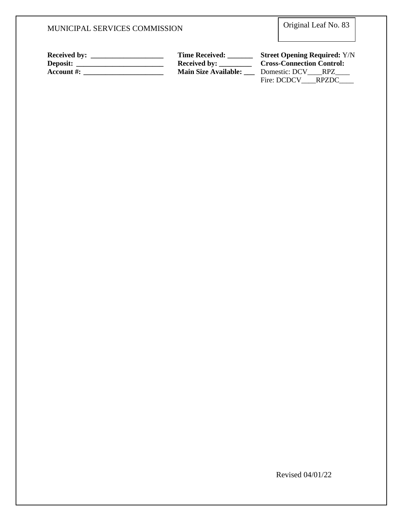Original Leaf No. 83

| <b>Received by:</b> | <b>Time Received:</b>       | <b>Street Opening Required: Y/N</b> |
|---------------------|-----------------------------|-------------------------------------|
| Deposit:            | <b>Received by:</b>         | <b>Cross-Connection Control:</b>    |
| Account $\#$ :      | <b>Main Size Available:</b> | Domestic: DCV<br>RPZ.               |
|                     |                             | Fire: DCDCV<br>RPZDC.               |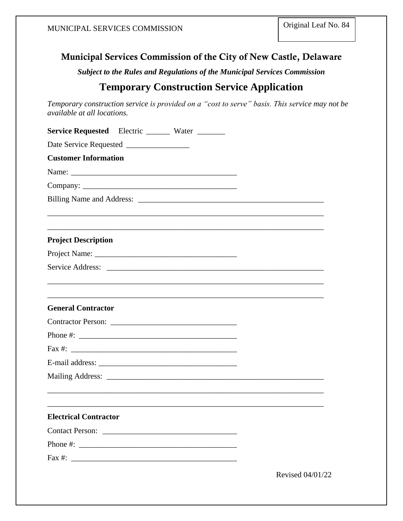### Municipal Services Commission of the City of New Castle, Delaware

*Subject to the Rules and Regulations of the Municipal Services Commission*

### **Temporary Construction Service Application**

*Temporary construction service is provided on a "cost to serve" basis. This service may not be available at all locations.*

| <b>Service Requested</b> Electric Water                                                                                                                                                                                                                                                                |                  |
|--------------------------------------------------------------------------------------------------------------------------------------------------------------------------------------------------------------------------------------------------------------------------------------------------------|------------------|
|                                                                                                                                                                                                                                                                                                        |                  |
| <b>Customer Information</b>                                                                                                                                                                                                                                                                            |                  |
|                                                                                                                                                                                                                                                                                                        |                  |
|                                                                                                                                                                                                                                                                                                        |                  |
|                                                                                                                                                                                                                                                                                                        |                  |
|                                                                                                                                                                                                                                                                                                        |                  |
|                                                                                                                                                                                                                                                                                                        |                  |
| <b>Project Description</b>                                                                                                                                                                                                                                                                             |                  |
|                                                                                                                                                                                                                                                                                                        |                  |
|                                                                                                                                                                                                                                                                                                        |                  |
|                                                                                                                                                                                                                                                                                                        |                  |
| <b>General Contractor</b>                                                                                                                                                                                                                                                                              |                  |
|                                                                                                                                                                                                                                                                                                        |                  |
|                                                                                                                                                                                                                                                                                                        |                  |
|                                                                                                                                                                                                                                                                                                        |                  |
| E-mail address:                                                                                                                                                                                                                                                                                        |                  |
|                                                                                                                                                                                                                                                                                                        |                  |
|                                                                                                                                                                                                                                                                                                        |                  |
| <b>Electrical Contractor</b>                                                                                                                                                                                                                                                                           |                  |
| Contact Person:                                                                                                                                                                                                                                                                                        |                  |
| Phone #: $\frac{1}{2}$ = $\frac{1}{2}$ = $\frac{1}{2}$ = $\frac{1}{2}$ = $\frac{1}{2}$ = $\frac{1}{2}$ = $\frac{1}{2}$ = $\frac{1}{2}$ = $\frac{1}{2}$ = $\frac{1}{2}$ = $\frac{1}{2}$ = $\frac{1}{2}$ = $\frac{1}{2}$ = $\frac{1}{2}$ = $\frac{1}{2}$ = $\frac{1}{2}$ = $\frac{1}{2}$ = $\frac{1}{2}$ |                  |
|                                                                                                                                                                                                                                                                                                        |                  |
|                                                                                                                                                                                                                                                                                                        | Revised 04/01/22 |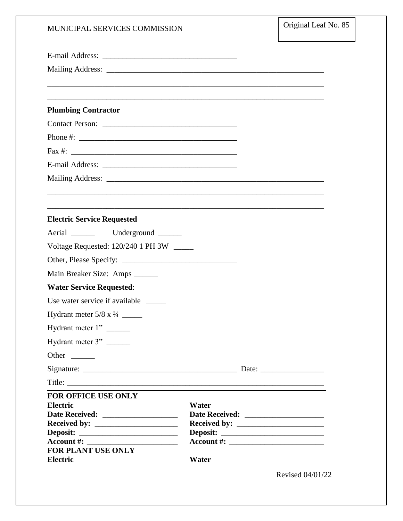| MUNICIPAL SERVICES COMMISSION                                                                                                                                                                                                                                                                        |                                                                                  | Original Leaf No. 85 |
|------------------------------------------------------------------------------------------------------------------------------------------------------------------------------------------------------------------------------------------------------------------------------------------------------|----------------------------------------------------------------------------------|----------------------|
|                                                                                                                                                                                                                                                                                                      |                                                                                  |                      |
|                                                                                                                                                                                                                                                                                                      |                                                                                  |                      |
| <b>Plumbing Contractor</b>                                                                                                                                                                                                                                                                           |                                                                                  |                      |
| Contact Person:                                                                                                                                                                                                                                                                                      |                                                                                  |                      |
|                                                                                                                                                                                                                                                                                                      |                                                                                  |                      |
| Fax #: $\frac{1}{2}$ = $\frac{1}{2}$ = $\frac{1}{2}$ = $\frac{1}{2}$ = $\frac{1}{2}$ = $\frac{1}{2}$ = $\frac{1}{2}$ = $\frac{1}{2}$ = $\frac{1}{2}$ = $\frac{1}{2}$ = $\frac{1}{2}$ = $\frac{1}{2}$ = $\frac{1}{2}$ = $\frac{1}{2}$ = $\frac{1}{2}$ = $\frac{1}{2}$ = $\frac{1}{2}$ = $\frac{1}{2}$ |                                                                                  |                      |
|                                                                                                                                                                                                                                                                                                      |                                                                                  |                      |
|                                                                                                                                                                                                                                                                                                      |                                                                                  |                      |
|                                                                                                                                                                                                                                                                                                      | ,我们也不会有什么。""我们的人,我们也不会有什么?""我们的人,我们也不会有什么?""我们的人,我们也不会有什么?""我们的人,我们也不会有什么?""我们的人 |                      |
| <b>Electric Service Requested</b>                                                                                                                                                                                                                                                                    |                                                                                  |                      |
|                                                                                                                                                                                                                                                                                                      |                                                                                  |                      |
| Voltage Requested: 120/240 1 PH 3W _____                                                                                                                                                                                                                                                             |                                                                                  |                      |
|                                                                                                                                                                                                                                                                                                      |                                                                                  |                      |
| Main Breaker Size: Amps ______                                                                                                                                                                                                                                                                       |                                                                                  |                      |
| <b>Water Service Requested:</b>                                                                                                                                                                                                                                                                      |                                                                                  |                      |
| Use water service if available                                                                                                                                                                                                                                                                       |                                                                                  |                      |
|                                                                                                                                                                                                                                                                                                      |                                                                                  |                      |
| Hydrant meter 1"                                                                                                                                                                                                                                                                                     |                                                                                  |                      |
| Hydrant meter 3"                                                                                                                                                                                                                                                                                     |                                                                                  |                      |
| Other                                                                                                                                                                                                                                                                                                |                                                                                  |                      |
|                                                                                                                                                                                                                                                                                                      |                                                                                  |                      |
| Title:                                                                                                                                                                                                                                                                                               |                                                                                  |                      |
| <b>FOR OFFICE USE ONLY</b><br><b>Electric</b><br><b>FOR PLANT USE ONLY</b><br><b>Electric</b>                                                                                                                                                                                                        | Water<br>Water                                                                   |                      |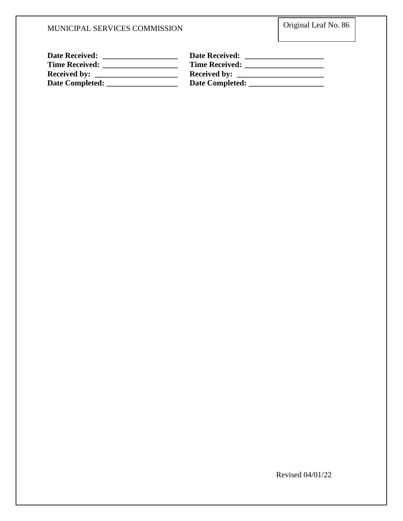| <b>Date Received:</b> | <b>Date Received:</b> |
|-----------------------|-----------------------|
| <b>Time Received:</b> | <b>Time Received:</b> |
| <b>Received by:</b>   | <b>Received by:</b>   |
| Date Completed:       | Date Completed:       |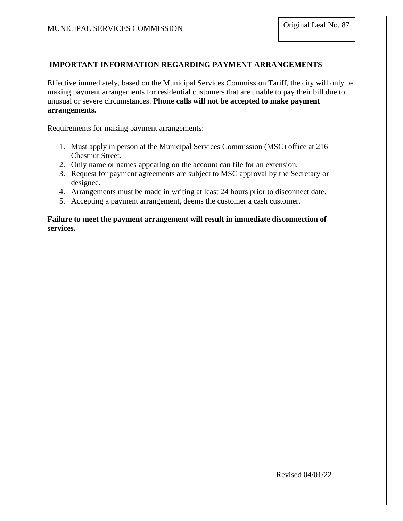#### **IMPORTANT INFORMATION REGARDING PAYMENT ARRANGEMENTS**

Effective immediately, based on the Municipal Services Commission Tariff, the city will only be making payment arrangements for residential customers that are unable to pay their bill due to unusual or severe circumstances. **Phone calls will not be accepted to make payment arrangements.** 

Requirements for making payment arrangements:

- 1. Must apply in person at the Municipal Services Commission (MSC) office at 216 Chestnut Street.
- 2. Only name or names appearing on the account can file for an extension.
- 3. Request for payment agreements are subject to MSC approval by the Secretary or designee.
- 4. Arrangements must be made in writing at least 24 hours prior to disconnect date.
- 5. Accepting a payment arrangement, deems the customer a cash customer.

**Failure to meet the payment arrangement will result in immediate disconnection of services.**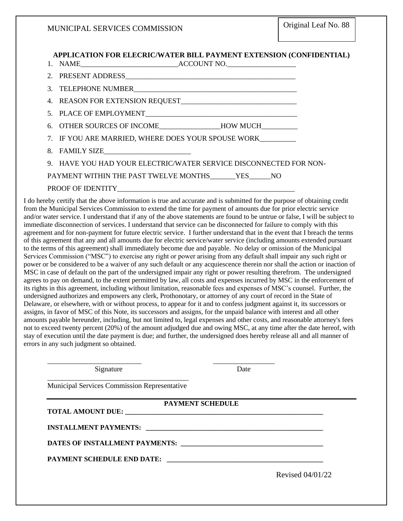**APPLICATION FOR ELECRIC/WATER BILL PAYMENT EXTENSION (CONFIDENTIAL)**

|                                              | 6. OTHER SOURCES OF INCOME_______________HOW MUCH_________        |
|----------------------------------------------|-------------------------------------------------------------------|
|                                              | 7. IF YOU ARE MARRIED, WHERE DOES YOUR SPOUSE WORK                |
|                                              |                                                                   |
|                                              | 9. HAVE YOU HAD YOUR ELECTRIC/WATER SERVICE DISCONNECTED FOR NON- |
| PAYMENT WITHIN THE PAST TWELVE MONTHS YES NO |                                                                   |
|                                              |                                                                   |

I do hereby certify that the above information is true and accurate and is submitted for the purpose of obtaining credit from the Municipal Services Commission to extend the time for payment of amounts due for prior electric service and/or water service. I understand that if any of the above statements are found to be untrue or false, I will be subject to immediate disconnection of services. I understand that service can be disconnected for failure to comply with this agreement and for non-payment for future electric service. I further understand that in the event that I breach the terms of this agreement that any and all amounts due for electric service/water service (including amounts extended pursuant to the terms of this agreement) shall immediately become due and payable. No delay or omission of the Municipal Services Commission ("MSC") to exercise any right or power arising from any default shall impair any such right or power or be considered to be a waiver of any such default or any acquiescence therein nor shall the action or inaction of MSC in case of default on the part of the undersigned impair any right or power resulting therefrom. The undersigned agrees to pay on demand, to the extent permitted by law, all costs and expenses incurred by MSC in the enforcement of its rights in this agreement, including without limitation, reasonable fees and expenses of MSC's counsel. Further, the undersigned authorizes and empowers any clerk, Prothonotary, or attorney of any court of record in the State of Delaware, or elsewhere, with or without process, to appear for it and to confess judgment against it, its successors or assigns, in favor of MSC of this Note, its successors and assigns, for the unpaid balance with interest and all other amounts payable hereunder, including, but not limited to, legal expenses and other costs, and reasonable attorney's fees not to exceed twenty percent (20%) of the amount adjudged due and owing MSC, at any time after the date hereof, with stay of execution until the date payment is due; and further, the undersigned does hereby release all and all manner of errors in any such judgment so obtained.

| DATES OF INSTALLMENT PAYMENTS: NAMEL AND RESERVE AND RESERVE AND RESERVE AND RESERVE AND RESERVE AND RESERVE A |
|----------------------------------------------------------------------------------------------------------------|
|                                                                                                                |
| Revised 04/01/22                                                                                               |
|                                                                                                                |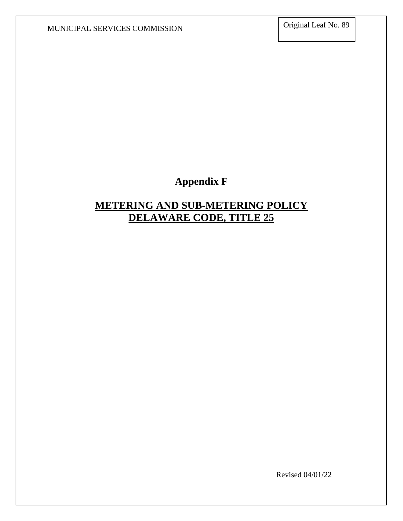## **Appendix F**

### **METERING AND SUB-METERING POLICY DELAWARE CODE, TITLE 25**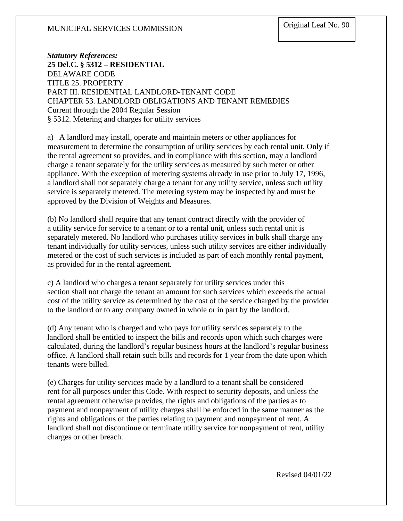*Statutory References:* **25 Del.C. § 5312 – RESIDENTIAL** DELAWARE CODE TITLE 25. PROPERTY PART III. RESIDENTIAL LANDLORD-TENANT CODE CHAPTER 53. LANDLORD OBLIGATIONS AND TENANT REMEDIES Current through the 2004 Regular Session § 5312. Metering and charges for utility services

a) A landlord may install, operate and maintain meters or other appliances for measurement to determine the consumption of utility services by each rental unit. Only if the rental agreement so provides, and in compliance with this section, may a landlord charge a tenant separately for the utility services as measured by such meter or other appliance. With the exception of metering systems already in use prior to July 17, 1996, a landlord shall not separately charge a tenant for any utility service, unless such utility service is separately metered. The metering system may be inspected by and must be approved by the Division of Weights and Measures.

(b) No landlord shall require that any tenant contract directly with the provider of a utility service for service to a tenant or to a rental unit, unless such rental unit is separately metered. No landlord who purchases utility services in bulk shall charge any tenant individually for utility services, unless such utility services are either individually metered or the cost of such services is included as part of each monthly rental payment, as provided for in the rental agreement.

c) A landlord who charges a tenant separately for utility services under this section shall not charge the tenant an amount for such services which exceeds the actual cost of the utility service as determined by the cost of the service charged by the provider to the landlord or to any company owned in whole or in part by the landlord.

(d) Any tenant who is charged and who pays for utility services separately to the landlord shall be entitled to inspect the bills and records upon which such charges were calculated, during the landlord's regular business hours at the landlord's regular business office. A landlord shall retain such bills and records for 1 year from the date upon which tenants were billed.

(e) Charges for utility services made by a landlord to a tenant shall be considered rent for all purposes under this Code. With respect to security deposits, and unless the rental agreement otherwise provides, the rights and obligations of the parties as to payment and nonpayment of utility charges shall be enforced in the same manner as the rights and obligations of the parties relating to payment and nonpayment of rent. A landlord shall not discontinue or terminate utility service for nonpayment of rent, utility charges or other breach.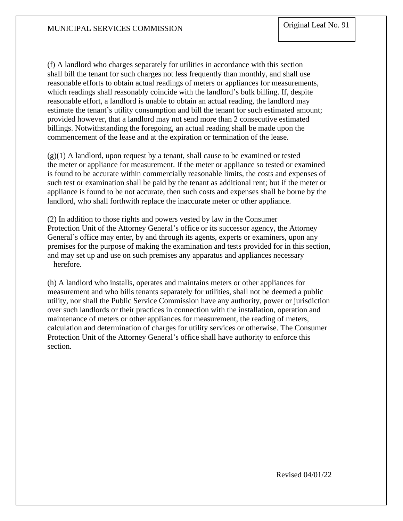(f) A landlord who charges separately for utilities in accordance with this section shall bill the tenant for such charges not less frequently than monthly, and shall use reasonable efforts to obtain actual readings of meters or appliances for measurements, which readings shall reasonably coincide with the landlord's bulk billing. If, despite reasonable effort, a landlord is unable to obtain an actual reading, the landlord may estimate the tenant's utility consumption and bill the tenant for such estimated amount; provided however, that a landlord may not send more than 2 consecutive estimated billings. Notwithstanding the foregoing, an actual reading shall be made upon the commencement of the lease and at the expiration or termination of the lease.

 $(g)(1)$  A landlord, upon request by a tenant, shall cause to be examined or tested the meter or appliance for measurement. If the meter or appliance so tested or examined is found to be accurate within commercially reasonable limits, the costs and expenses of such test or examination shall be paid by the tenant as additional rent; but if the meter or appliance is found to be not accurate, then such costs and expenses shall be borne by the landlord, who shall forthwith replace the inaccurate meter or other appliance.

(2) In addition to those rights and powers vested by law in the Consumer Protection Unit of the Attorney General's office or its successor agency, the Attorney General's office may enter, by and through its agents, experts or examiners, upon any premises for the purpose of making the examination and tests provided for in this section, and may set up and use on such premises any apparatus and appliances necessary herefore.

(h) A landlord who installs, operates and maintains meters or other appliances for measurement and who bills tenants separately for utilities, shall not be deemed a public utility, nor shall the Public Service Commission have any authority, power or jurisdiction over such landlords or their practices in connection with the installation, operation and maintenance of meters or other appliances for measurement, the reading of meters, calculation and determination of charges for utility services or otherwise. The Consumer Protection Unit of the Attorney General's office shall have authority to enforce this section.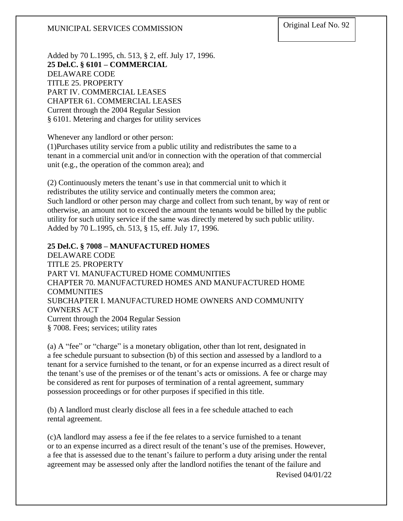Added by 70 L.1995, ch. 513, § 2, eff. July 17, 1996. **25 Del.C. § 6101 – COMMERCIAL** DELAWARE CODE TITLE 25. PROPERTY PART IV. COMMERCIAL LEASES CHAPTER 61. COMMERCIAL LEASES Current through the 2004 Regular Session § 6101. Metering and charges for utility services

Whenever any landlord or other person:

(1)Purchases utility service from a public utility and redistributes the same to a tenant in a commercial unit and/or in connection with the operation of that commercial unit (e.g., the operation of the common area); and

(2) Continuously meters the tenant's use in that commercial unit to which it redistributes the utility service and continually meters the common area; Such landlord or other person may charge and collect from such tenant, by way of rent or otherwise, an amount not to exceed the amount the tenants would be billed by the public utility for such utility service if the same was directly metered by such public utility. Added by 70 L.1995, ch. 513, § 15, eff. July 17, 1996.

#### **25 Del.C. § 7008 – MANUFACTURED HOMES**

DELAWARE CODE TITLE 25. PROPERTY PART VI. MANUFACTURED HOME COMMUNITIES CHAPTER 70. MANUFACTURED HOMES AND MANUFACTURED HOME COMMUNITIES SUBCHAPTER I. MANUFACTURED HOME OWNERS AND COMMUNITY OWNERS ACT Current through the 2004 Regular Session § 7008. Fees; services; utility rates

(a) A "fee" or "charge" is a monetary obligation, other than lot rent, designated in a fee schedule pursuant to subsection (b) of this section and assessed by a landlord to a tenant for a service furnished to the tenant, or for an expense incurred as a direct result of the tenant's use of the premises or of the tenant's acts or omissions. A fee or charge may be considered as rent for purposes of termination of a rental agreement, summary possession proceedings or for other purposes if specified in this title.

(b) A landlord must clearly disclose all fees in a fee schedule attached to each rental agreement.

(c)A landlord may assess a fee if the fee relates to a service furnished to a tenant or to an expense incurred as a direct result of the tenant's use of the premises. However, a fee that is assessed due to the tenant's failure to perform a duty arising under the rental agreement may be assessed only after the landlord notifies the tenant of the failure and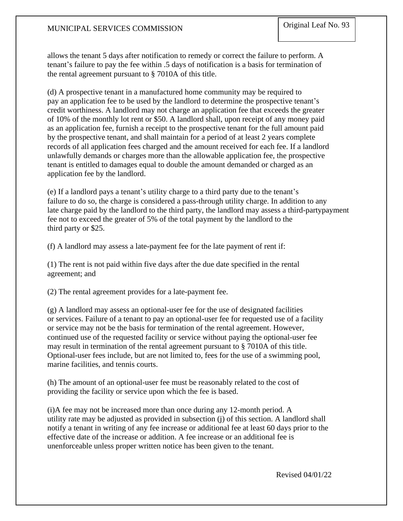allows the tenant 5 days after notification to remedy or correct the failure to perform. A tenant's failure to pay the fee within .5 days of notification is a basis for termination of the rental agreement pursuant to § 7010A of this title.

(d) A prospective tenant in a manufactured home community may be required to pay an application fee to be used by the landlord to determine the prospective tenant's credit worthiness. A landlord may not charge an application fee that exceeds the greater of 10% of the monthly lot rent or \$50. A landlord shall, upon receipt of any money paid as an application fee, furnish a receipt to the prospective tenant for the full amount paid by the prospective tenant, and shall maintain for a period of at least 2 years complete records of all application fees charged and the amount received for each fee. If a landlord unlawfully demands or charges more than the allowable application fee, the prospective tenant is entitled to damages equal to double the amount demanded or charged as an application fee by the landlord.

(e) If a landlord pays a tenant's utility charge to a third party due to the tenant's failure to do so, the charge is considered a pass-through utility charge. In addition to any late charge paid by the landlord to the third party, the landlord may assess a third-partypayment fee not to exceed the greater of 5% of the total payment by the landlord to the third party or \$25.

(f) A landlord may assess a late-payment fee for the late payment of rent if:

(1) The rent is not paid within five days after the due date specified in the rental agreement; and

(2) The rental agreement provides for a late-payment fee.

(g) A landlord may assess an optional-user fee for the use of designated facilities or services. Failure of a tenant to pay an optional-user fee for requested use of a facility or service may not be the basis for termination of the rental agreement. However, continued use of the requested facility or service without paying the optional-user fee may result in termination of the rental agreement pursuant to § 7010A of this title. Optional-user fees include, but are not limited to, fees for the use of a swimming pool, marine facilities, and tennis courts.

(h) The amount of an optional-user fee must be reasonably related to the cost of providing the facility or service upon which the fee is based.

(i)A fee may not be increased more than once during any 12-month period. A utility rate may be adjusted as provided in subsection (j) of this section. A landlord shall notify a tenant in writing of any fee increase or additional fee at least 60 days prior to the effective date of the increase or addition. A fee increase or an additional fee is unenforceable unless proper written notice has been given to the tenant.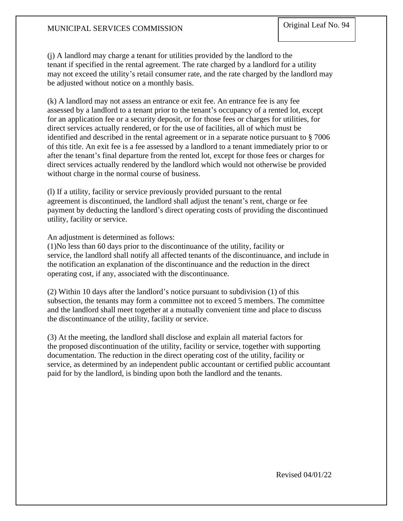(j) A landlord may charge a tenant for utilities provided by the landlord to the tenant if specified in the rental agreement. The rate charged by a landlord for a utility may not exceed the utility's retail consumer rate, and the rate charged by the landlord may be adjusted without notice on a monthly basis.

(k) A landlord may not assess an entrance or exit fee. An entrance fee is any fee assessed by a landlord to a tenant prior to the tenant's occupancy of a rented lot, except for an application fee or a security deposit, or for those fees or charges for utilities, for direct services actually rendered, or for the use of facilities, all of which must be identified and described in the rental agreement or in a separate notice pursuant to § 7006 of this title. An exit fee is a fee assessed by a landlord to a tenant immediately prior to or after the tenant's final departure from the rented lot, except for those fees or charges for direct services actually rendered by the landlord which would not otherwise be provided without charge in the normal course of business.

(l) If a utility, facility or service previously provided pursuant to the rental agreement is discontinued, the landlord shall adjust the tenant's rent, charge or fee payment by deducting the landlord's direct operating costs of providing the discontinued utility, facility or service.

An adjustment is determined as follows:

(1)No less than 60 days prior to the discontinuance of the utility, facility or service, the landlord shall notify all affected tenants of the discontinuance, and include in the notification an explanation of the discontinuance and the reduction in the direct operating cost, if any, associated with the discontinuance.

(2) Within 10 days after the landlord's notice pursuant to subdivision (1) of this subsection, the tenants may form a committee not to exceed 5 members. The committee and the landlord shall meet together at a mutually convenient time and place to discuss the discontinuance of the utility, facility or service.

(3) At the meeting, the landlord shall disclose and explain all material factors for the proposed discontinuation of the utility, facility or service, together with supporting documentation. The reduction in the direct operating cost of the utility, facility or service, as determined by an independent public accountant or certified public accountant paid for by the landlord, is binding upon both the landlord and the tenants.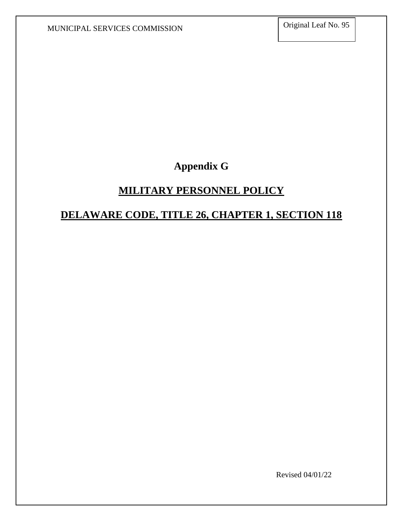**Appendix G**

### **MILITARY PERSONNEL POLICY**

### **DELAWARE CODE, TITLE 26, CHAPTER 1, SECTION 118**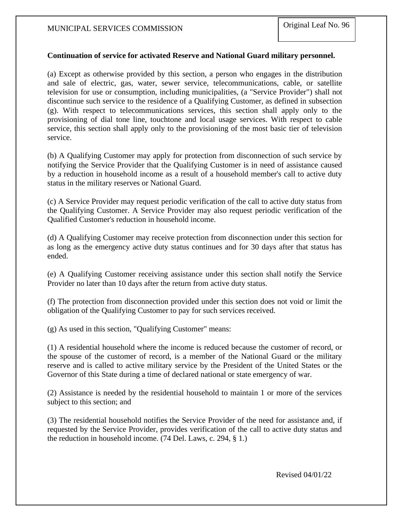#### **Continuation of service for activated Reserve and National Guard military personnel.**

(a) Except as otherwise provided by this section, a person who engages in the distribution and sale of electric, gas, water, sewer service, telecommunications, cable, or satellite television for use or consumption, including municipalities, (a "Service Provider") shall not discontinue such service to the residence of a Qualifying Customer, as defined in subsection (g). With respect to telecommunications services, this section shall apply only to the provisioning of dial tone line, touchtone and local usage services. With respect to cable service, this section shall apply only to the provisioning of the most basic tier of television service.

(b) A Qualifying Customer may apply for protection from disconnection of such service by notifying the Service Provider that the Qualifying Customer is in need of assistance caused by a reduction in household income as a result of a household member's call to active duty status in the military reserves or National Guard.

(c) A Service Provider may request periodic verification of the call to active duty status from the Qualifying Customer. A Service Provider may also request periodic verification of the Qualified Customer's reduction in household income.

(d) A Qualifying Customer may receive protection from disconnection under this section for as long as the emergency active duty status continues and for 30 days after that status has ended.

(e) A Qualifying Customer receiving assistance under this section shall notify the Service Provider no later than 10 days after the return from active duty status.

(f) The protection from disconnection provided under this section does not void or limit the obligation of the Qualifying Customer to pay for such services received.

(g) As used in this section, "Qualifying Customer" means:

(1) A residential household where the income is reduced because the customer of record, or the spouse of the customer of record, is a member of the National Guard or the military reserve and is called to active military service by the President of the United States or the Governor of this State during a time of declared national or state emergency of war.

(2) Assistance is needed by the residential household to maintain 1 or more of the services subject to this section; and

(3) The residential household notifies the Service Provider of the need for assistance and, if requested by the Service Provider, provides verification of the call to active duty status and the reduction in household income. (74 Del. Laws, c. 294, § 1.)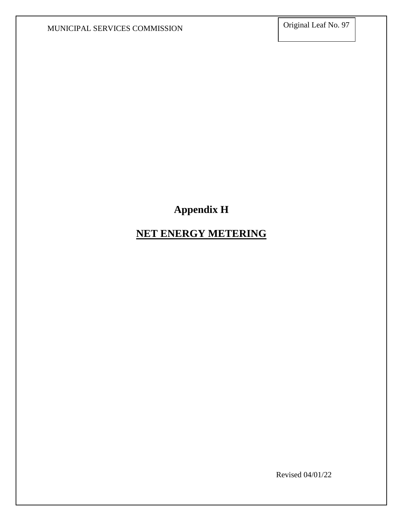# **Appendix H**

## **NET ENERGY METERING**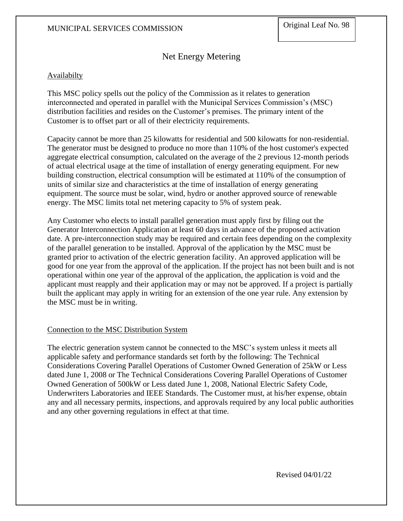### Net Energy Metering

#### **Availabilty**

This MSC policy spells out the policy of the Commission as it relates to generation interconnected and operated in parallel with the Municipal Services Commission's (MSC) distribution facilities and resides on the Customer's premises. The primary intent of the Customer is to offset part or all of their electricity requirements.

Capacity cannot be more than 25 kilowatts for residential and 500 kilowatts for non-residential. The generator must be designed to produce no more than 110% of the host customer's expected aggregate electrical consumption, calculated on the average of the 2 previous 12-month periods of actual electrical usage at the time of installation of energy generating equipment. For new building construction, electrical consumption will be estimated at 110% of the consumption of units of similar size and characteristics at the time of installation of energy generating equipment. The source must be solar, wind, hydro or another approved source of renewable energy. The MSC limits total net metering capacity to 5% of system peak.

Any Customer who elects to install parallel generation must apply first by filing out the Generator Interconnection Application at least 60 days in advance of the proposed activation date. A pre-interconnection study may be required and certain fees depending on the complexity of the parallel generation to be installed. Approval of the application by the MSC must be granted prior to activation of the electric generation facility. An approved application will be good for one year from the approval of the application. If the project has not been built and is not operational within one year of the approval of the application, the application is void and the applicant must reapply and their application may or may not be approved. If a project is partially built the applicant may apply in writing for an extension of the one year rule. Any extension by the MSC must be in writing.

#### Connection to the MSC Distribution System

The electric generation system cannot be connected to the MSC's system unless it meets all applicable safety and performance standards set forth by the following: The Technical Considerations Covering Parallel Operations of Customer Owned Generation of 25kW or Less dated June 1, 2008 or The Technical Considerations Covering Parallel Operations of Customer Owned Generation of 500kW or Less dated June 1, 2008, National Electric Safety Code, Underwriters Laboratories and IEEE Standards. The Customer must, at his/her expense, obtain any and all necessary permits, inspections, and approvals required by any local public authorities and any other governing regulations in effect at that time.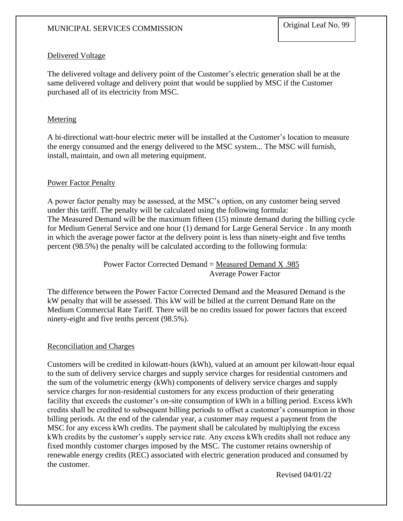#### Delivered Voltage

The delivered voltage and delivery point of the Customer's electric generation shall be at the same delivered voltage and delivery point that would be supplied by MSC if the Customer purchased all of its electricity from MSC.

#### **Metering**

A bi-directional watt-hour electric meter will be installed at the Customer's location to measure the energy consumed and the energy delivered to the MSC system... The MSC will furnish, install, maintain, and own all metering equipment.

#### Power Factor Penalty

A power factor penalty may be assessed, at the MSC's option, on any customer being served under this tariff. The penalty will be calculated using the following formula: The Measured Demand will be the maximum fifteen (15) minute demand during the billing cycle for Medium General Service and one hour (1) demand for Large General Service . In any month in which the average power factor at the delivery point is less than ninety-eight and five tenths percent (98.5%) the penalty will be calculated according to the following formula:

> Power Factor Corrected Demand  $=$  Measured Demand X .985 Average Power Factor

The difference between the Power Factor Corrected Demand and the Measured Demand is the kW penalty that will be assessed. This kW will be billed at the current Demand Rate on the Medium Commercial Rate Tariff. There will be no credits issued for power factors that exceed ninety-eight and five tenths percent (98.5%).

#### Reconciliation and Charges

Customers will be credited in kilowatt-hours (kWh), valued at an amount per kilowatt-hour equal to the sum of delivery service charges and supply service charges for residential customers and the sum of the volumetric energy (kWh) components of delivery service charges and supply service charges for non-residential customers for any excess production of their generating facility that exceeds the customer's on-site consumption of kWh in a billing period. Excess kWh credits shall be credited to subsequent billing periods to offset a customer's consumption in those billing periods. At the end of the calendar year, a customer may request a payment from the MSC for any excess kWh credits. The payment shall be calculated by multiplying the excess kWh credits by the customer's supply service rate. Any excess kWh credits shall not reduce any fixed monthly customer charges imposed by the MSC. The customer retains ownership of renewable energy credits (REC) associated with electric generation produced and consumed by the customer.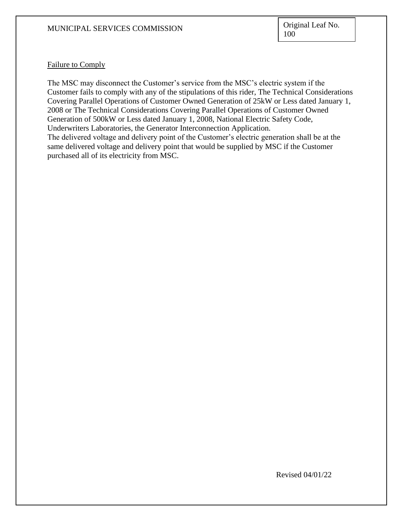#### Failure to Comply

The MSC may disconnect the Customer's service from the MSC's electric system if the Customer fails to comply with any of the stipulations of this rider, The Technical Considerations Covering Parallel Operations of Customer Owned Generation of 25kW or Less dated January 1, 2008 or The Technical Considerations Covering Parallel Operations of Customer Owned Generation of 500kW or Less dated January 1, 2008, National Electric Safety Code, Underwriters Laboratories, the Generator Interconnection Application. The delivered voltage and delivery point of the Customer's electric generation shall be at the same delivered voltage and delivery point that would be supplied by MSC if the Customer purchased all of its electricity from MSC.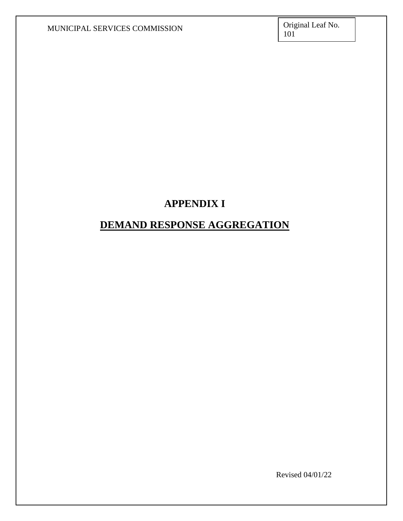## **APPENDIX I**

### **DEMAND RESPONSE AGGREGATION**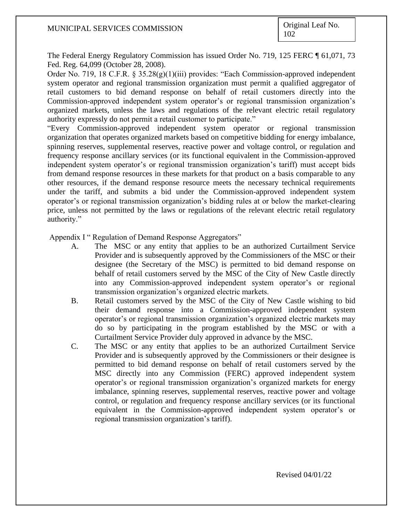The Federal Energy Regulatory Commission has issued Order No. 719, 125 FERC ¶ 61,071, 73 Fed. Reg. 64,099 (October 28, 2008).

Order No. 719, 18 C.F.R. § 35.28(g)(1)(iii) provides: "Each Commission-approved independent system operator and regional transmission organization must permit a qualified aggregator of retail customers to bid demand response on behalf of retail customers directly into the Commission-approved independent system operator's or regional transmission organization's organized markets, unless the laws and regulations of the relevant electric retail regulatory authority expressly do not permit a retail customer to participate."

"Every Commission-approved independent system operator or regional transmission organization that operates organized markets based on competitive bidding for energy imbalance, spinning reserves, supplemental reserves, reactive power and voltage control, or regulation and frequency response ancillary services (or its functional equivalent in the Commission-approved independent system operator's or regional transmission organization's tariff) must accept bids from demand response resources in these markets for that product on a basis comparable to any other resources, if the demand response resource meets the necessary technical requirements under the tariff, and submits a bid under the Commission-approved independent system operator's or regional transmission organization's bidding rules at or below the market-clearing price, unless not permitted by the laws or regulations of the relevant electric retail regulatory authority."

Appendix I " Regulation of Demand Response Aggregators"

- A. The MSC or any entity that applies to be an authorized Curtailment Service Provider and is subsequently approved by the Commissioners of the MSC or their designee (the Secretary of the MSC) is permitted to bid demand response on behalf of retail customers served by the MSC of the City of New Castle directly into any Commission-approved independent system operator's or regional transmission organization's organized electric markets.
- B. Retail customers served by the MSC of the City of New Castle wishing to bid their demand response into a Commission-approved independent system operator's or regional transmission organization's organized electric markets may do so by participating in the program established by the MSC or with a Curtailment Service Provider duly approved in advance by the MSC.
- C. The MSC or any entity that applies to be an authorized Curtailment Service Provider and is subsequently approved by the Commissioners or their designee is permitted to bid demand response on behalf of retail customers served by the MSC directly into any Commission (FERC) approved independent system operator's or regional transmission organization's organized markets for energy imbalance, spinning reserves, supplemental reserves, reactive power and voltage control, or regulation and frequency response ancillary services (or its functional equivalent in the Commission-approved independent system operator's or regional transmission organization's tariff).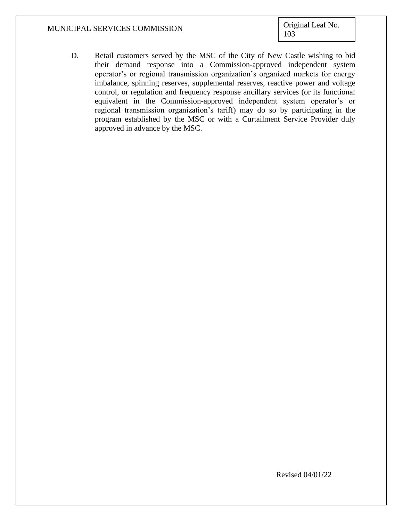D. Retail customers served by the MSC of the City of New Castle wishing to bid their demand response into a Commission-approved independent system operator's or regional transmission organization's organized markets for energy imbalance, spinning reserves, supplemental reserves, reactive power and voltage control, or regulation and frequency response ancillary services (or its functional equivalent in the Commission-approved independent system operator's or regional transmission organization's tariff) may do so by participating in the program established by the MSC or with a Curtailment Service Provider duly approved in advance by the MSC.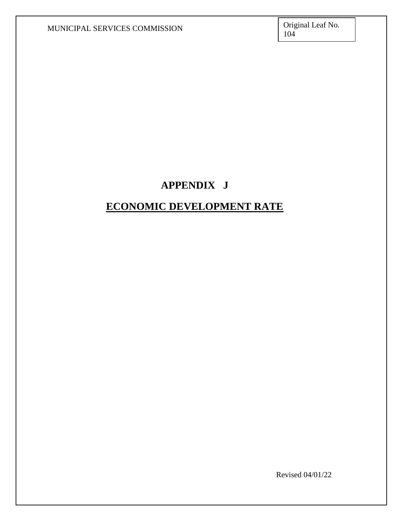### **APPENDIX J**

## **ECONOMIC DEVELOPMENT RATE**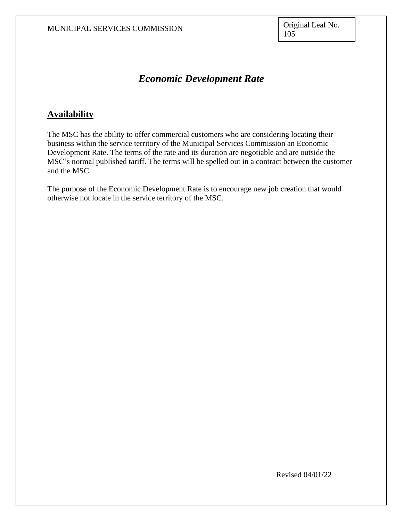#### *Economic Development Rate*

#### **Availability**

The MSC has the ability to offer commercial customers who are considering locating their business within the service territory of the Municipal Services Commission an Economic Development Rate. The terms of the rate and its duration are negotiable and are outside the MSC's normal published tariff. The terms will be spelled out in a contract between the customer and the MSC.

The purpose of the Economic Development Rate is to encourage new job creation that would otherwise not locate in the service territory of the MSC.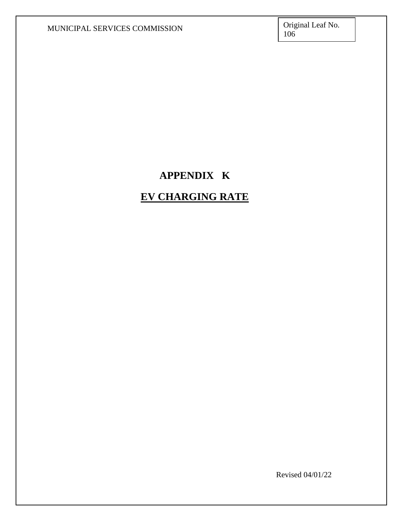# **APPENDIX K**

# **EV CHARGING RATE**

Revised 04/01/22